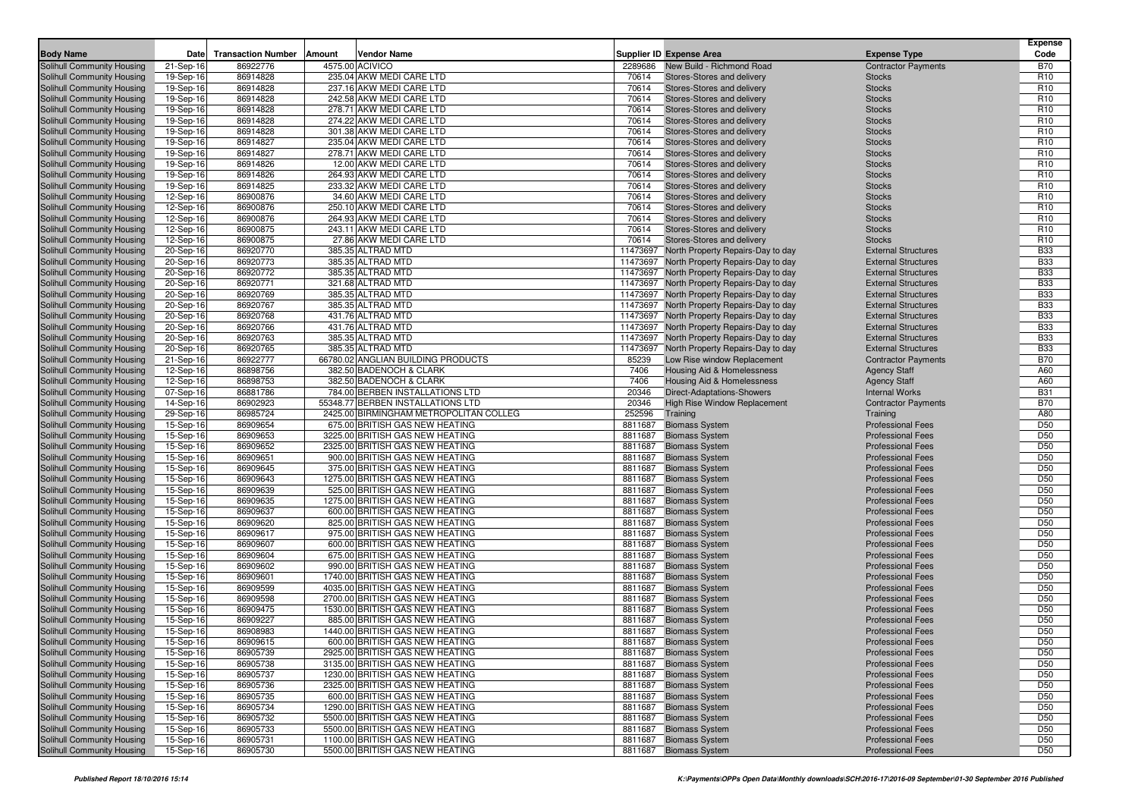| <b>Body Name</b>                                         | Date                   | <b>Transaction Number</b> | Amount | <b>Vendor Name</b>                                               |         | <b>Supplier ID Expense Area</b>                  | <b>Expense Type</b>                                  | <b>Expense</b><br>Code             |
|----------------------------------------------------------|------------------------|---------------------------|--------|------------------------------------------------------------------|---------|--------------------------------------------------|------------------------------------------------------|------------------------------------|
| Solihull Community Housing                               | 21-Sep-16              | 86922776                  |        | 4575.00 ACIVICO                                                  |         | 2289686 New Build - Richmond Road                | <b>Contractor Payments</b>                           | <b>B70</b>                         |
| Solihull Community Housing                               | 19-Sep-16              | 86914828                  |        | 235.04 AKW MEDI CARE LTD                                         | 70614   | Stores-Stores and delivery                       | Stocks                                               | R <sub>10</sub>                    |
| <b>Solihull Community Housing</b>                        | 19-Sep-16              | 86914828                  |        | 237.16 AKW MEDI CARE LTD                                         | 70614   | <b>Stores-Stores and delivery</b>                | <b>Stocks</b>                                        | R <sub>10</sub>                    |
| Solihull Community Housing                               | 19-Sep-16              | 86914828                  |        | 242.58 AKW MEDI CARE LTD                                         | 70614   | Stores-Stores and delivery                       | <b>Stocks</b>                                        | R <sub>10</sub>                    |
| Solihull Community Housing                               | 19-Sep-16              | 86914828                  |        | 278.71 AKW MEDI CARE LTD                                         | 70614   | Stores-Stores and delivery                       | <b>Stocks</b>                                        | R <sub>10</sub>                    |
| Solihull Community Housing                               | 19-Sep-16              | 86914828                  |        | 274.22 AKW MEDI CARE LTD                                         | 70614   | Stores-Stores and delivery                       | <b>Stocks</b>                                        | R <sub>10</sub>                    |
| Solihull Community Housing                               | 19-Sep-16              | 86914828                  |        | 301.38 AKW MEDI CARE LTD                                         | 70614   | Stores-Stores and delivery                       | <b>Stocks</b>                                        | R <sub>10</sub>                    |
| Solihull Community Housing                               | 19-Sep-16              | 86914827                  |        | 235.04 AKW MEDI CARE LTD                                         | 70614   | Stores-Stores and delivery                       | <b>Stocks</b>                                        | R <sub>10</sub>                    |
| Solihull Community Housing                               | 19-Sep-16              | 86914827                  |        | 278.71 AKW MEDI CARE LTD                                         | 70614   | Stores-Stores and delivery                       | <b>Stocks</b>                                        | R <sub>10</sub>                    |
| Solihull Community Housing                               | 19-Sep-16              | 86914826                  |        | 12.00 AKW MEDI CARE LTD                                          | 70614   | Stores-Stores and delivery                       | <b>Stocks</b>                                        | R <sub>10</sub>                    |
| Solihull Community Housing                               | 19-Sep-16              | 86914826                  |        | 264.93 AKW MEDI CARE LTD                                         | 70614   | Stores-Stores and delivery                       | <b>Stocks</b>                                        | R <sub>10</sub>                    |
| Solihull Community Housing                               | 19-Sep-16              | 86914825                  |        | 233.32 AKW MEDI CARE LTD                                         | 70614   | Stores-Stores and delivery                       | <b>Stocks</b>                                        | R <sub>10</sub>                    |
| Solihull Community Housing                               | 12-Sep-16              | 86900876                  |        | 34.60 AKW MEDI CARE LTD                                          | 70614   | <b>Stores-Stores and delivery</b>                | <b>Stocks</b>                                        | R <sub>10</sub>                    |
| Solihull Community Housing                               | 12-Sep-16              | 86900876                  |        | 250.10 AKW MEDI CARE LTD                                         | 70614   | Stores-Stores and delivery                       | <b>Stocks</b>                                        | R <sub>10</sub>                    |
| Solihull Community Housing                               | 12-Sep-16              | 86900876                  |        | 264.93 AKW MEDI CARE LTD                                         | 70614   | Stores-Stores and delivery                       | <b>Stocks</b>                                        | R <sub>10</sub>                    |
| Solihull Community Housing                               | 12-Sep-16              | 86900875                  |        | 243.11 AKW MEDI CARE LTD                                         | 70614   | <b>Stores-Stores and delivery</b>                | <b>Stocks</b>                                        | R <sub>10</sub>                    |
| Solihull Community Housing                               | 12-Sep-16              | 86900875                  |        | 27.86 AKW MEDI CARE LTD                                          | 70614   | Stores-Stores and delivery                       | <b>Stocks</b>                                        | R <sub>10</sub>                    |
| Solihull Community Housing                               | 20-Sep-16              | 86920770                  |        | 385.35 ALTRAD MTD                                                |         | 11473697 North Property Repairs-Day to day       | <b>External Structures</b>                           | <b>B33</b>                         |
| Solihull Community Housing                               | 20-Sep-16              | 86920773                  |        | 385.35 ALTRAD MTD                                                |         | 11473697 North Property Repairs-Day to day       | <b>External Structures</b>                           | <b>B33</b>                         |
| Solihull Community Housing                               | 20-Sep-16              | 86920772                  |        | 385.35 ALTRAD MTD                                                |         | 11473697 North Property Repairs-Day to day       | <b>External Structures</b>                           | <b>B33</b>                         |
| Solihull Community Housing                               | 20-Sep-16              | 86920771                  |        | 321.68 ALTRAD MTD                                                |         | 11473697 North Property Repairs-Day to day       | <b>External Structures</b>                           | <b>B33</b>                         |
| Solihull Community Housing                               | 20-Sep-16              | 86920769                  |        | 385.35 ALTRAD MTD                                                |         | 11473697 North Property Repairs-Day to day       | <b>External Structures</b>                           | <b>B33</b>                         |
| Solihull Community Housing                               | 20-Sep-16              | 86920767                  |        | 385.35 ALTRAD MTD                                                |         | 11473697 North Property Repairs-Day to day       | <b>External Structures</b>                           | <b>B33</b>                         |
| Solihull Community Housing                               | 20-Sep-16              | 86920768                  |        | 431.76 ALTRAD MTD                                                |         | 11473697 North Property Repairs-Day to day       | <b>External Structures</b>                           | <b>B33</b>                         |
| Solihull Community Housing                               | 20-Sep-16              | 86920766                  |        | 431.76 ALTRAD MTD                                                |         | 11473697 North Property Repairs-Day to day       | <b>External Structures</b>                           | <b>B33</b>                         |
| Solihull Community Housing                               | 20-Sep-16              | 86920763                  |        | 385.35 ALTRAD MTD                                                |         | 11473697 North Property Repairs-Day to day       | <b>External Structures</b>                           | <b>B33</b>                         |
| Solihull Community Housing                               | 20-Sep-16              | 86920765                  |        | 385.35 ALTRAD MTD                                                |         | 11473697 North Property Repairs-Day to day       | <b>External Structures</b>                           | <b>B33</b>                         |
| Solihull Community Housing                               | 21-Sep-16              | 86922777                  |        | 66780.02 ANGLIAN BUILDING PRODUCTS                               | 85239   | Low Rise window Replacement                      | <b>Contractor Payments</b>                           | <b>B70</b>                         |
| Solihull Community Housing                               | 12-Sep-16              | 86898756                  |        | 382.50 BADENOCH & CLARK                                          | 7406    | Housing Aid & Homelessness                       | <b>Agency Staff</b>                                  | A60                                |
| Solihull Community Housing                               | 12-Sep-16              | 86898753                  |        | 382.50 BADENOCH & CLARK                                          | 7406    | Housing Aid & Homelessness                       | <b>Agency Staff</b>                                  | A60                                |
| Solihull Community Housing                               | 07-Sep-16              | 86881786                  |        | 784.00 BERBEN INSTALLATIONS LTD                                  | 20346   | <b>Direct-Adaptations-Showers</b>                | <b>Internal Works</b>                                | <b>B31</b>                         |
| <b>Solihull Community Housing</b>                        | 14-Sep-16              | 86902923                  |        | 55348.77 BERBEN INSTALLATIONS LTD                                | 20346   | High Rise Window Replacement                     | <b>Contractor Payments</b>                           | <b>B70</b>                         |
| <b>Solihull Community Housing</b>                        | 29-Sep-16              | 86985724                  |        | 2425.00 BIRMINGHAM METROPOLITAN COLLEG                           | 252596  | Training                                         | Training                                             | A80                                |
| Solihull Community Housing                               | 15-Sep-16              | 86909654                  |        | 675.00 BRITISH GAS NEW HEATING                                   | 8811687 | <b>Biomass System</b>                            | <b>Professional Fees</b>                             | D <sub>50</sub>                    |
| Solihull Community Housing                               | 15-Sep-16              | 86909653                  |        | 3225.00 BRITISH GAS NEW HEATING                                  | 8811687 | <b>Biomass System</b>                            | <b>Professional Fees</b>                             | D <sub>50</sub>                    |
| Solihull Community Housing                               | 15-Sep-16              | 86909652                  |        | 2325.00 BRITISH GAS NEW HEATING                                  | 8811687 | <b>Biomass System</b>                            | <b>Professional Fees</b>                             | D <sub>50</sub>                    |
| Solihull Community Housing                               | 15-Sep-16              | 86909651                  |        | 900.00 BRITISH GAS NEW HEATING                                   |         | 8811687 Biomass System                           | <b>Professional Fees</b>                             | D <sub>50</sub>                    |
| Solihull Community Housing                               | 15-Sep-16              | 86909645                  |        | 375.00 BRITISH GAS NEW HEATING                                   |         | 8811687 Biomass System                           | <b>Professional Fees</b>                             | D <sub>50</sub>                    |
| Solihull Community Housing                               | 15-Sep-16              | 86909643                  |        | 1275.00 BRITISH GAS NEW HEATING                                  |         | 8811687 Biomass System                           | <b>Professional Fees</b>                             | D <sub>50</sub>                    |
| Solihull Community Housing                               | 15-Sep-16              | 86909639                  |        | 525.00 BRITISH GAS NEW HEATING                                   | 8811687 | <b>Biomass System</b>                            | <b>Professional Fees</b>                             | D <sub>50</sub>                    |
| Solihull Community Housing                               | 15-Sep-16              | 86909635                  |        | 1275.00 BRITISH GAS NEW HEATING                                  | 8811687 | <b>Biomass System</b>                            | <b>Professional Fees</b><br><b>Professional Fees</b> | D <sub>50</sub><br>D <sub>50</sub> |
| Solihull Community Housing                               | 15-Sep-16              | 86909637                  |        | 600.00 BRITISH GAS NEW HEATING<br>825.00 BRITISH GAS NEW HEATING |         | 8811687 Biomass System                           |                                                      | D <sub>50</sub>                    |
| Solihull Community Housing<br>Solihull Community Housing | 15-Sep-16<br>15-Sep-16 | 86909620<br>86909617      |        | 975.00 BRITISH GAS NEW HEATING                                   |         | 8811687 Biomass System<br>8811687 Biomass System | <b>Professional Fees</b><br><b>Professional Fees</b> | D <sub>50</sub>                    |
| Solihull Community Housing                               | 15-Sep-16              | 86909607                  |        | 600.00 BRITISH GAS NEW HEATING                                   |         | 8811687 Biomass System                           | <b>Professional Fees</b>                             | D <sub>50</sub>                    |
| Solihull Community Housing                               | 15-Sep-16              | 86909604                  |        | 675.00 BRITISH GAS NEW HEATING                                   |         | 8811687 Biomass System                           | <b>Professional Fees</b>                             | D <sub>50</sub>                    |
| Solihull Community Housing                               | 15-Sep-16              | 86909602                  |        | 990.00 BRITISH GAS NEW HEATING                                   | 8811687 | <b>Biomass System</b>                            | <b>Professional Fees</b>                             | D <sub>50</sub>                    |
| <b>Solihull Community Housing</b>                        | 15-Sep-16              | 86909601                  |        | 1740.00 BRITISH GAS NEW HEATING                                  |         | 8811687 Biomass System                           | <b>Professional Fees</b>                             | D <sub>50</sub>                    |
| Solihull Community Housing                               | 15-Sep-16              | 86909599                  |        | 4035.00 BRITISH GAS NEW HEATING                                  |         | 8811687 Biomass System                           | <b>Professional Fees</b>                             | D <sub>50</sub>                    |
| <b>Solihull Community Housing</b>                        | 15-Sep-16              | 86909598                  |        | 2700.00 BRITISH GAS NEW HEATING                                  | 8811687 | <b>Biomass System</b>                            | <b>Professional Fees</b>                             | D <sub>50</sub>                    |
| Solihull Community Housing                               | 15-Sep-16              | 86909475                  |        | 1530.00 BRITISH GAS NEW HEATING                                  |         | 8811687 Biomass System                           | <b>Professional Fees</b>                             | D <sub>50</sub>                    |
| Solihull Community Housing                               | 15-Sep-16              | 86909227                  |        | 885.00 BRITISH GAS NEW HEATING                                   |         | 8811687 Biomass System                           | <b>Professional Fees</b>                             | D <sub>50</sub>                    |
| Solihull Community Housing                               | 15-Sep-16              | 86908983                  |        | 1440.00 BRITISH GAS NEW HEATING                                  |         | 8811687 Biomass System                           | <b>Professional Fees</b>                             | D <sub>50</sub>                    |
| Solihull Community Housing                               | 15-Sep-16              | 86909615                  |        | 600.00 BRITISH GAS NEW HEATING                                   |         | 8811687 Biomass System                           | <b>Professional Fees</b>                             | D <sub>50</sub>                    |
| Solihull Community Housing                               | 15-Sep-16              | 86905739                  |        | 2925.00 BRITISH GAS NEW HEATING                                  |         | 8811687 Biomass System                           | <b>Professional Fees</b>                             | D <sub>50</sub>                    |
| Solihull Community Housing                               | 15-Sep-16              | 86905738                  |        | 3135.00 BRITISH GAS NEW HEATING                                  |         | 8811687 Biomass System                           | <b>Professional Fees</b>                             | D <sub>50</sub>                    |
| Solihull Community Housing                               | 15-Sep-16              | 86905737                  |        | 1230.00 BRITISH GAS NEW HEATING                                  |         | 8811687 Biomass System                           | <b>Professional Fees</b>                             | D <sub>50</sub>                    |
| Solihull Community Housing                               | 15-Sep-16              | 86905736                  |        | 2325.00 BRITISH GAS NEW HEATING                                  |         | 8811687 Biomass System                           | <b>Professional Fees</b>                             | D <sub>50</sub>                    |
| Solihull Community Housing                               | 15-Sep-16              | 86905735                  |        | 600.00 BRITISH GAS NEW HEATING                                   |         | 8811687 Biomass System                           | <b>Professional Fees</b>                             | D <sub>50</sub>                    |
| Solihull Community Housing                               | 15-Sep-16              | 86905734                  |        | 1290.00 BRITISH GAS NEW HEATING                                  |         | 8811687 Biomass System                           | <b>Professional Fees</b>                             | D <sub>50</sub>                    |
| Solihull Community Housing                               | 15-Sep-16              | 86905732                  |        | 5500.00 BRITISH GAS NEW HEATING                                  |         | 8811687 Biomass System                           | <b>Professional Fees</b>                             | D <sub>50</sub>                    |
| Solihull Community Housing                               | 15-Sep-16              | 86905733                  |        | 5500.00 BRITISH GAS NEW HEATING                                  |         | 8811687 Biomass System                           | <b>Professional Fees</b>                             | D <sub>50</sub>                    |
| Solihull Community Housing                               | 15-Sep-16              | 86905731                  |        | 1100.00 BRITISH GAS NEW HEATING                                  |         | 8811687 Biomass System                           | <b>Professional Fees</b>                             | D <sub>50</sub>                    |
| Solihull Community Housing                               | 15-Sep-16              | 86905730                  |        | 5500.00 BRITISH GAS NEW HEATING                                  |         | 8811687 Biomass System                           | <b>Professional Fees</b>                             | D <sub>50</sub>                    |
|                                                          |                        |                           |        |                                                                  |         |                                                  |                                                      |                                    |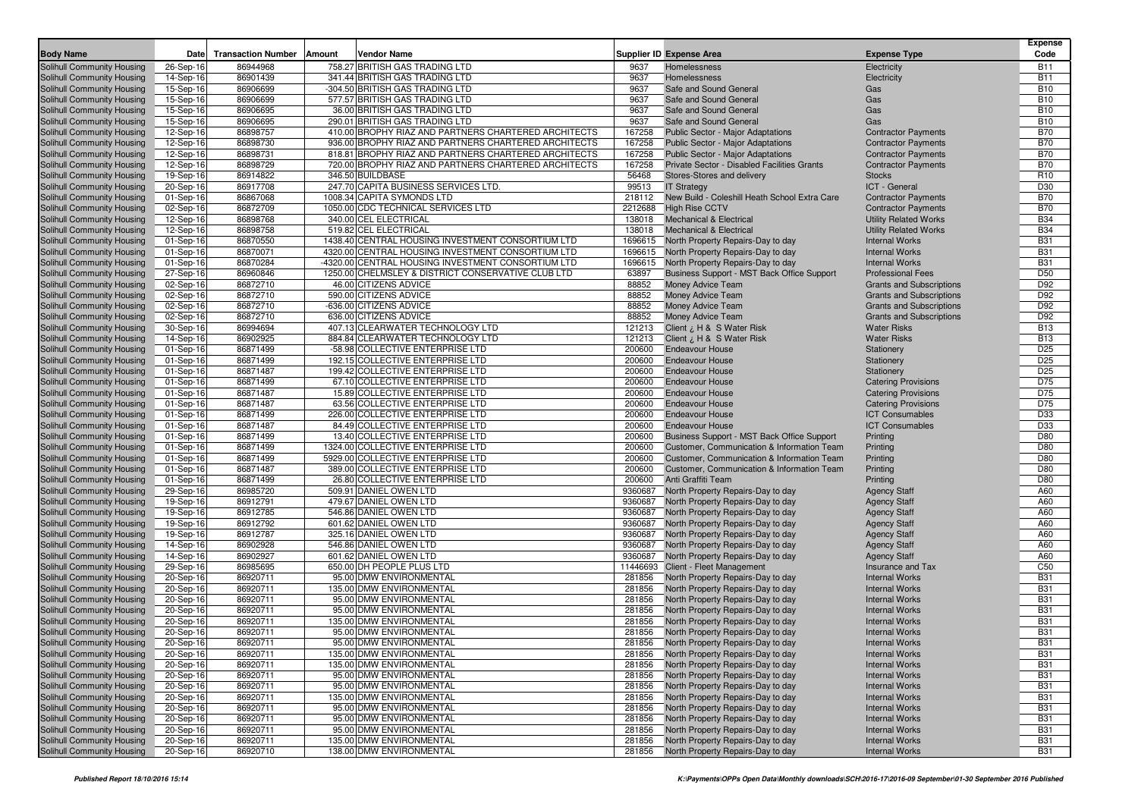| <b>Body Name</b>                                         | Date                   | <b>Transaction Number</b> | Amount | <b>Vendor Name</b>                                                                                      |                  | Supplier ID Expense Area                                                                 | <b>Expense Type</b>                            | <b>Expense</b><br>Code   |
|----------------------------------------------------------|------------------------|---------------------------|--------|---------------------------------------------------------------------------------------------------------|------------------|------------------------------------------------------------------------------------------|------------------------------------------------|--------------------------|
| Solihull Community Housing                               | 26-Sep-16              | 86944968                  |        | 758.27 BRITISH GAS TRADING LTD                                                                          | 9637             | Homelessness                                                                             | Electricity                                    | <b>B11</b>               |
| Solihull Community Housing                               | 14-Sep-16              | 86901439                  |        | 341.44 BRITISH GAS TRADING LTD                                                                          | 9637             | Homelessness                                                                             | Electricity                                    | <b>B11</b>               |
| Solihull Community Housing                               | 15-Sep-16              | 86906699                  |        | -304.50 BRITISH GAS TRADING LTD                                                                         | 9637             | Safe and Sound General                                                                   | Gas                                            | <b>B10</b>               |
| Solihull Community Housing                               | 15-Sep-16              | 86906699                  |        | 577.57 BRITISH GAS TRADING LTD                                                                          | 9637             | Safe and Sound General                                                                   | Gas                                            | <b>B10</b>               |
| Solihull Community Housing                               | 15-Sep-16              | 86906695                  |        | 36.00 BRITISH GAS TRADING LTD                                                                           | 9637             | Safe and Sound General                                                                   | Gas                                            | <b>B10</b>               |
| Solihull Community Housing                               | 15-Sep-16              | 86906695                  |        | 290.01 BRITISH GAS TRADING LTD                                                                          | 9637             | Safe and Sound General                                                                   | Gas                                            | <b>B10</b>               |
| Solihull Community Housing                               | 12-Sep-16              | 86898757                  |        | 410.00 BROPHY RIAZ AND PARTNERS CHARTERED ARCHITECTS                                                    | 167258           | Public Sector - Major Adaptations                                                        | <b>Contractor Payments</b>                     | <b>B70</b>               |
| Solihull Community Housing                               | 12-Sep-16              | 86898730                  |        | 936.00 BROPHY RIAZ AND PARTNERS CHARTERED ARCHITECTS                                                    | 167258           | Public Sector - Major Adaptations                                                        | <b>Contractor Payments</b>                     | <b>B70</b>               |
| Solihull Community Housing                               | 12-Sep-16              | 86898731                  |        | 818.81 BROPHY RIAZ AND PARTNERS CHARTERED ARCHITECTS                                                    | 167258           | Public Sector - Major Adaptations                                                        | <b>Contractor Payments</b>                     | <b>B70</b>               |
| Solihull Community Housing                               | 12-Sep-16              | 86898729                  |        | 720.00 BROPHY RIAZ AND PARTNERS CHARTERED ARCHITECTS                                                    | 167258           | Private Sector - Disabled Facilities Grants                                              | <b>Contractor Payments</b>                     | <b>B70</b>               |
| Solihull Community Housing                               | 19-Sep-16              | 86914822                  |        | 346.50 BUILDBASE                                                                                        | 56468            | Stores-Stores and delivery                                                               | <b>Stocks</b>                                  | R <sub>10</sub>          |
| Solihull Community Housing                               | 20-Sep-16              | 86917708                  |        | 247.70 CAPITA BUSINESS SERVICES LTD.                                                                    | 99513            | <b>IT Strategy</b>                                                                       | ICT - General                                  | D30                      |
| Solihull Community Housing                               | $01-Sep-16$            | 86867068                  |        | 1008.34 CAPITA SYMONDS LTD                                                                              | 218112           | New Build - Coleshill Heath School Extra Care                                            | <b>Contractor Payments</b>                     | <b>B70</b>               |
| Solihull Community Housing                               | 02-Sep-16              | 86872709                  |        | 1050.00 CDC TECHNICAL SERVICES LTD                                                                      | 2212688          | <b>High Rise CCTV</b>                                                                    | <b>Contractor Payments</b>                     | <b>B70</b>               |
| Solihull Community Housing                               | 12-Sep-16              | 86898768                  |        | 340.00 CEL ELECTRICAL                                                                                   | 138018           | <b>Mechanical &amp; Electrical</b>                                                       | <b>Utility Related Works</b>                   | <b>B34</b>               |
| Solihull Community Housing                               | 12-Sep-16              | 86898758                  |        | 519.82 CEL ELECTRICAL                                                                                   | 138018           | <b>Mechanical &amp; Electrical</b>                                                       | <b>Utility Related Works</b>                   | <b>B34</b>               |
| Solihull Community Housing                               | 01-Sep-16              | 86870550                  |        | 1438.40 CENTRAL HOUSING INVESTMENT CONSORTIUM LTD                                                       | 1696615          | North Property Repairs-Day to day                                                        | <b>Internal Works</b><br><b>Internal Works</b> | <b>B31</b><br><b>B31</b> |
| Solihull Community Housing<br>Solihull Community Housing | 01-Sep-16<br>01-Sep-16 | 86870071<br>86870284      |        | 4320.00 CENTRAL HOUSING INVESTMENT CONSORTIUM LTD<br>-4320.00 CENTRAL HOUSING INVESTMENT CONSORTIUM LTD |                  | 1696615 North Property Repairs-Day to day<br>1696615 North Property Repairs-Day to day   | <b>Internal Works</b>                          | <b>B31</b>               |
| Solihull Community Housing                               | 27-Sep-16              | 86960846                  |        | 1250.00 CHELMSLEY & DISTRICT CONSERVATIVE CLUB LTD                                                      | 63897            | Business Support - MST Back Office Support                                               | <b>Professional Fees</b>                       | D <sub>50</sub>          |
| Solihull Community Housing                               | 02-Sep-16              | 86872710                  |        | 46.00 CITIZENS ADVICE                                                                                   | 88852            | Money Advice Team                                                                        | <b>Grants and Subscriptions</b>                | D92                      |
| Solihull Community Housing                               | 02-Sep-16              | 86872710                  |        | 590.00 CITIZENS ADVICE                                                                                  | 88852            | Money Advice Team                                                                        | <b>Grants and Subscriptions</b>                | D92                      |
| Solihull Community Housing                               | 02-Sep-16              | 86872710                  |        | -636.00 CITIZENS ADVICE                                                                                 | 88852            | Money Advice Team                                                                        | <b>Grants and Subscriptions</b>                | D92                      |
| Solihull Community Housing                               | 02-Sep-16              | 86872710                  |        | 636.00 CITIZENS ADVICE                                                                                  | 88852            | Money Advice Team                                                                        | <b>Grants and Subscriptions</b>                | D92                      |
| Solihull Community Housing                               | 30-Sep-16              | 86994694                  |        | 407.13 CLEARWATER TECHNOLOGY LTD                                                                        | 121213           | Client ¿ H & S Water Risk                                                                | <b>Water Risks</b>                             | <b>B13</b>               |
| Solihull Community Housing                               | 14-Sep-16              | 86902925                  |        | 884.84 CLEARWATER TECHNOLOGY LTD                                                                        | 121213           | Client ¿ H & S Water Risk                                                                | <b>Water Risks</b>                             | <b>B13</b>               |
| Solihull Community Housing                               | 01-Sep-16              | 86871499                  |        | -58.98 COLLECTIVE ENTERPRISE LTD                                                                        | 200600           | <b>Endeavour House</b>                                                                   | Stationery                                     | D <sub>25</sub>          |
| Solihull Community Housing                               | 01-Sep-16              | 86871499                  |        | 192.15 COLLECTIVE ENTERPRISE LTD                                                                        | 200600           | <b>Endeavour House</b>                                                                   | Stationery                                     | D <sub>25</sub>          |
| Solihull Community Housing                               | 01-Sep-16              | 86871487                  |        | 199.42 COLLECTIVE ENTERPRISE LTD                                                                        | 200600           | <b>Endeavour House</b>                                                                   | Stationery                                     | D <sub>25</sub>          |
| Solihull Community Housing                               | 01-Sep-16              | 86871499                  |        | 67.10 COLLECTIVE ENTERPRISE LTD                                                                         | 200600           | <b>Endeavour House</b>                                                                   | <b>Catering Provisions</b>                     | D75                      |
| Solihull Community Housing                               | 01-Sep-16              | 86871487                  |        | 15.89 COLLECTIVE ENTERPRISE LTD                                                                         | 200600           | <b>Endeavour House</b>                                                                   | <b>Catering Provisions</b>                     | D75                      |
| Solihull Community Housing                               | 01-Sep-16              | 86871487                  |        | 63.56 COLLECTIVE ENTERPRISE LTD                                                                         | 200600           | <b>Endeavour House</b>                                                                   | <b>Catering Provisions</b>                     | D75                      |
| Solihull Community Housing                               | 01-Sep-16              | 86871499                  |        | 226.00 COLLECTIVE ENTERPRISE LTD                                                                        | 200600           | <b>Endeavour House</b>                                                                   | <b>ICT Consumables</b>                         | D33                      |
| Solihull Community Housing                               | 01-Sep-16              | 86871487                  |        | 84.49 COLLECTIVE ENTERPRISE LTD                                                                         | 200600           | <b>Endeavour House</b>                                                                   | <b>ICT Consumables</b>                         | D33                      |
| Solihull Community Housing                               | 01-Sep-16              | 86871499                  |        | 13.40 COLLECTIVE ENTERPRISE LTD                                                                         | 200600           | Business Support - MST Back Office Support                                               | Printing                                       | D80                      |
| Solihull Community Housing                               | 01-Sep-16              | 86871499<br>86871499      |        | 1324.00 COLLECTIVE ENTERPRISE LTD<br>5929.00 COLLECTIVE ENTERPRISE LTD                                  | 200600<br>200600 | Customer, Communication & Information Team<br>Customer, Communication & Information Team | Printing<br>Printing                           | D80<br>D80               |
| Solihull Community Housing<br>Solihull Community Housing | 01-Sep-16<br>01-Sep-16 | 86871487                  |        | 389.00 COLLECTIVE ENTERPRISE LTD                                                                        | 200600           | Customer, Communication & Information Team                                               | Printing                                       | D80                      |
| Solihull Community Housing                               | 01-Sep-16              | 86871499                  |        | 26.80 COLLECTIVE ENTERPRISE LTD                                                                         | 200600           | Anti Graffiti Team                                                                       | Printing                                       | D80                      |
| Solihull Community Housing                               | 29-Sep-16              | 86985720                  |        | 509.91 DANIEL OWEN LTD                                                                                  | 9360687          | North Property Repairs-Day to day                                                        | <b>Agency Staff</b>                            | A60                      |
| Solihull Community Housing                               | 19-Sep-16              | 86912791                  |        | 479.67 DANIEL OWEN LTD                                                                                  | 9360687          | North Property Repairs-Day to day                                                        | <b>Agency Staff</b>                            | A60                      |
| Solihull Community Housing                               | 19-Sep-16              | 86912785                  |        | 546.86 DANIEL OWEN LTD                                                                                  | 9360687          | North Property Repairs-Day to day                                                        | <b>Agency Staff</b>                            | A60                      |
| Solihull Community Housing                               | 19-Sep-16              | 86912792                  |        | 601.62 DANIEL OWEN LTD                                                                                  |                  | 9360687 North Property Repairs-Day to day                                                | <b>Agency Staff</b>                            | A60                      |
| Solihull Community Housing                               | 19-Sep-16              | 86912787                  |        | 325.16 DANIEL OWEN LTD                                                                                  | 9360687          | North Property Repairs-Day to day                                                        | <b>Agency Staff</b>                            | A60                      |
| Solihull Community Housing                               | 14-Sep-16              | 86902928                  |        | 546.86 DANIEL OWEN LTD                                                                                  | 9360687          | North Property Repairs-Day to day                                                        | <b>Agency Staff</b>                            | A60                      |
| Solihull Community Housing                               | 14-Sep-16              | 86902927                  |        | 601.62 DANIEL OWEN LTD                                                                                  | 9360687          | North Property Repairs-Day to day                                                        | <b>Agency Staff</b>                            | A60                      |
| Solihull Community Housing                               | 29-Sep-16              | 86985695                  |        | 650.00 DH PEOPLE PLUS LTD                                                                               |                  | 11446693 Client - Fleet Management                                                       | Insurance and Tax                              | C50                      |
| Solihull Community Housing                               | 20-Sep-16              | 86920711                  |        | 95.00 DMW ENVIRONMENTAL                                                                                 | 281856           | North Property Repairs-Day to day                                                        | <b>Internal Works</b>                          | <b>B31</b>               |
| Solihull Community Housing                               | 20-Sep-16              | 86920711                  |        | 135.00 DMW ENVIRONMENTAL                                                                                | 281856           | North Property Repairs-Day to day                                                        | <b>Internal Works</b>                          | <b>B31</b>               |
| Solihull Community Housing                               | 20-Sep-16              | 86920711                  |        | 95.00 DMW ENVIRONMENTAL                                                                                 | 281856           | North Property Repairs-Day to day                                                        | <b>Internal Works</b>                          | <b>B31</b>               |
| Solihull Community Housing                               | 20-Sep-16              | 86920711                  |        | 95.00 DMW ENVIRONMENTAL                                                                                 | 281856           | North Property Repairs-Day to day                                                        | <b>Internal Works</b>                          | <b>B31</b>               |
| Solihull Community Housing                               | 20-Sep-16              | 86920711                  |        | 135.00 DMW ENVIRONMENTAL                                                                                | 281856           | North Property Repairs-Day to day                                                        | <b>Internal Works</b>                          | <b>B31</b>               |
| Solihull Community Housing<br>Solihull Community Housing | 20-Sep-16              | 86920711                  |        | 95.00 DMW ENVIRONMENTAL<br>95.00 DMW ENVIRONMENTAL                                                      |                  | 281856 North Property Repairs-Day to day<br>281856 North Property Repairs-Day to day     | <b>Internal Works</b>                          | <b>B31</b>               |
| Solihull Community Housing                               | 20-Sep-16<br>20-Sep-16 | 86920711                  |        |                                                                                                         |                  |                                                                                          | <b>Internal Works</b>                          | <b>B31</b><br><b>B31</b> |
| Solihull Community Housing                               | 20-Sep-16              | 86920711<br>86920711      |        | 135.00 DMW ENVIRONMENTAL<br>135.00 DMW ENVIRONMENTAL                                                    |                  | 281856 North Property Repairs-Day to day<br>281856 North Property Repairs-Day to day     | <b>Internal Works</b><br><b>Internal Works</b> | <b>B31</b>               |
| Solihull Community Housing                               | 20-Sep-16              | 86920711                  |        | 95.00 DMW ENVIRONMENTAL                                                                                 | 281856           | North Property Repairs-Day to day                                                        | <b>Internal Works</b>                          | <b>B31</b>               |
| Solihull Community Housing                               | 20-Sep-16              | 86920711                  |        | 95.00 DMW ENVIRONMENTAL                                                                                 |                  | 281856 North Property Repairs-Day to day                                                 | <b>Internal Works</b>                          | <b>B31</b>               |
| Solihull Community Housing                               | 20-Sep-16              | 86920711                  |        | 135.00 DMW ENVIRONMENTAL                                                                                | 281856           | North Property Repairs-Day to day                                                        | <b>Internal Works</b>                          | <b>B31</b>               |
| Solihull Community Housing                               | 20-Sep-16              | 86920711                  |        | 95.00 DMW ENVIRONMENTAL                                                                                 | 281856           | North Property Repairs-Day to day                                                        | <b>Internal Works</b>                          | <b>B31</b>               |
| Solihull Community Housing                               | 20-Sep-16              | 86920711                  |        | 95.00 DMW ENVIRONMENTAL                                                                                 | 281856           | North Property Repairs-Day to day                                                        | <b>Internal Works</b>                          | <b>B31</b>               |
| Solihull Community Housing                               | 20-Sep-16              | 86920711                  |        | 95.00 DMW ENVIRONMENTAL                                                                                 | 281856           | North Property Repairs-Day to day                                                        | <b>Internal Works</b>                          | <b>B31</b>               |
| Solihull Community Housing                               | 20-Sep-16              | 86920711                  |        | 135.00 DMW ENVIRONMENTAL                                                                                | 281856           | North Property Repairs-Day to day                                                        | <b>Internal Works</b>                          | <b>B31</b>               |
| Solihull Community Housing                               | 20-Sep-16              | 86920710                  |        | 138.00 DMW ENVIRONMENTAL                                                                                |                  | 281856 North Property Repairs-Day to day                                                 | <b>Internal Works</b>                          | <b>B31</b>               |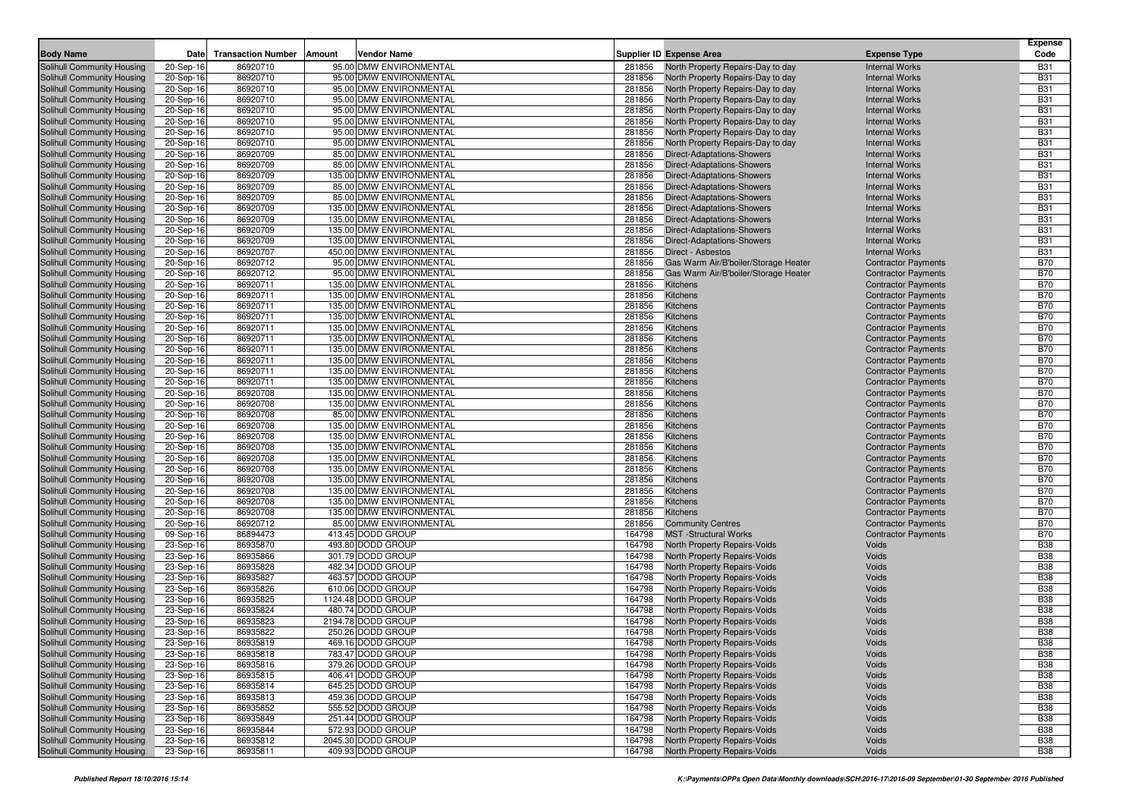|                                                          |                        |                           |        |                                                      |                  |                                      |                                                          | <b>Expense</b>           |
|----------------------------------------------------------|------------------------|---------------------------|--------|------------------------------------------------------|------------------|--------------------------------------|----------------------------------------------------------|--------------------------|
| <b>Body Name</b>                                         | <b>Date</b>            | <b>Transaction Number</b> | Amount | Vendor Name                                          |                  | <b>Supplier ID Expense Area</b>      | <b>Expense Type</b>                                      | Code                     |
| Solihull Community Housing                               | 20-Sep-16              | 86920710                  |        | 95.00 DMW ENVIRONMENTAL                              | 281856           | North Property Repairs-Day to day    | <b>Internal Works</b>                                    | <b>B31</b>               |
| Solihull Community Housing                               | 20-Sep-16              | 86920710                  |        | 95.00 DMW ENVIRONMENTAL                              | 281856           | North Property Repairs-Day to day    | <b>Internal Works</b>                                    | <b>B31</b>               |
| Solihull Community Housing                               | 20-Sep-16              | 86920710                  |        | 95.00 DMW ENVIRONMENTAL                              | 281856           | North Property Repairs-Day to day    | <b>Internal Works</b>                                    | <b>B31</b>               |
| Solihull Community Housing                               | 20-Sep-16              | 86920710                  |        | 95.00 DMW ENVIRONMENTAL                              | 281856           | North Property Repairs-Day to day    | <b>Internal Works</b>                                    | <b>B31</b>               |
| Solihull Community Housing                               | 20-Sep-16              | 86920710                  |        | 95.00 DMW ENVIRONMENTAL                              | 281856           | North Property Repairs-Day to day    | <b>Internal Works</b>                                    | <b>B31</b>               |
| Solihull Community Housing                               | 20-Sep-16              | 86920710                  |        | 95.00 DMW ENVIRONMENTAL                              | 281856           | North Property Repairs-Day to day    | <b>Internal Works</b>                                    | <b>B31</b>               |
| Solihull Community Housing                               | 20-Sep-16              | 86920710                  |        | 95.00 DMW ENVIRONMENTAL                              | 281856           | North Property Repairs-Day to day    | <b>Internal Works</b>                                    | <b>B31</b>               |
| Solihull Community Housing                               | 20-Sep-16              | 86920710                  |        | 95.00 DMW ENVIRONMENTAL                              | 281856           | North Property Repairs-Day to day    | <b>Internal Works</b>                                    | <b>B31</b>               |
| Solihull Community Housing                               | 20-Sep-16              | 86920709                  |        | 85.00 DMW ENVIRONMENTAL                              | 281856           | <b>Direct-Adaptations-Showers</b>    | <b>Internal Works</b>                                    | <b>B31</b>               |
| Solihull Community Housing                               | 20-Sep-16              | 86920709                  |        | 85.00 DMW ENVIRONMENTAL                              | 281856           | <b>Direct-Adaptations-Showers</b>    | <b>Internal Works</b>                                    | <b>B31</b>               |
| Solihull Community Housing                               | 20-Sep-16              | 86920709                  |        | 135.00 DMW ENVIRONMENTAL                             | 281856           | <b>Direct-Adaptations-Showers</b>    | <b>Internal Works</b>                                    | <b>B31</b>               |
| Solihull Community Housing                               | 20-Sep-16              | 86920709                  |        | 85.00 DMW ENVIRONMENTAL                              | 281856           | <b>Direct-Adaptations-Showers</b>    | <b>Internal Works</b>                                    | <b>B31</b>               |
| Solihull Community Housing                               | 20-Sep-16              | 86920709                  |        | 85.00 DMW ENVIRONMENTAL                              | 281856           | <b>Direct-Adaptations-Showers</b>    | <b>Internal Works</b>                                    | <b>B31</b>               |
| Solihull Community Housing                               | 20-Sep-16              | 86920709                  |        | 135.00 DMW ENVIRONMENTAL                             | 281856           | <b>Direct-Adaptations-Showers</b>    | <b>Internal Works</b>                                    | <b>B31</b>               |
| Solihull Community Housing                               | 20-Sep-16              | 86920709                  |        | 135.00 DMW ENVIRONMENTAL                             | 281856           | <b>Direct-Adaptations-Showers</b>    | <b>Internal Works</b>                                    | <b>B31</b>               |
| Solihull Community Housing                               | 20-Sep-16              | 86920709                  |        | 135.00 DMW ENVIRONMENTAL                             | 281856           | <b>Direct-Adaptations-Showers</b>    | <b>Internal Works</b>                                    | <b>B31</b>               |
| Solihull Community Housing                               | 20-Sep-16              | 86920709                  |        | 135.00 DMW ENVIRONMENTAL                             | 281856           | <b>Direct-Adaptations-Showers</b>    | <b>Internal Works</b>                                    | <b>B31</b>               |
| Solihull Community Housing                               | 20-Sep-16              | 86920707                  |        | 450.00 DMW ENVIRONMENTAL                             | 281856           | Direct - Asbestos                    | <b>Internal Works</b>                                    | <b>B31</b>               |
| Solihull Community Housing                               | 20-Sep-16              | 86920712                  |        | 95.00 DMW ENVIRONMENTAL                              | 281856           | Gas Warm Air/B'boiler/Storage Heater | <b>Contractor Payments</b>                               | <b>B70</b>               |
| Solihull Community Housing                               | 20-Sep-16              | 86920712                  |        | 95.00 DMW ENVIRONMENTAL                              | 281856           | Gas Warm Air/B'boiler/Storage Heater | <b>Contractor Payments</b>                               | <b>B70</b>               |
| Solihull Community Housing                               | 20-Sep-16              | 86920711                  |        | 135.00 DMW ENVIRONMENTAL                             | 281856           | Kitchens                             | <b>Contractor Payments</b>                               | <b>B70</b>               |
| Solihull Community Housing                               | 20-Sep-16              | 86920711                  |        | 135.00 DMW ENVIRONMENTAL                             | 281856           | Kitchens                             | <b>Contractor Payments</b>                               | <b>B70</b>               |
| Solihull Community Housing                               | 20-Sep-16              | 86920711                  |        | 135.00 DMW ENVIRONMENTAL                             | 281856           | Kitchens                             | <b>Contractor Payments</b>                               | <b>B70</b>               |
| Solihull Community Housing                               | 20-Sep-16              | 86920711                  |        | 135.00 DMW ENVIRONMENTAL                             | 281856           | Kitchens                             | <b>Contractor Payments</b>                               | <b>B70</b>               |
| Solihull Community Housing                               | 20-Sep-16              | 86920711                  |        | 135.00 DMW ENVIRONMENTAL                             | 281856           | Kitchens                             | <b>Contractor Payments</b>                               | <b>B70</b>               |
| Solihull Community Housing                               | 20-Sep-16              | 86920711                  |        | 135.00 DMW ENVIRONMENTAL                             | 281856           | Kitchens                             | <b>Contractor Payments</b>                               | <b>B70</b>               |
| Solihull Community Housing                               | 20-Sep-16              | 86920711                  |        | 135.00 DMW ENVIRONMENTAL                             | 281856           | Kitchens                             | <b>Contractor Payments</b>                               | <b>B70</b>               |
| Solihull Community Housing                               | 20-Sep-16              | 86920711                  |        | 135.00 DMW ENVIRONMENTAL                             | 281856           | <b>Kitchens</b>                      | <b>Contractor Payments</b>                               | <b>B70</b>               |
| Solihull Community Housing                               | 20-Sep-16              | 86920711                  |        | 135.00 DMW ENVIRONMENTAL                             | 281856           | <b>Kitchens</b>                      | <b>Contractor Payments</b>                               | <b>B70</b>               |
| Solihull Community Housing                               | 20-Sep-16              | 86920711                  |        | 135.00 DMW ENVIRONMENTAL                             | 281856           | Kitchens                             | <b>Contractor Payments</b>                               | <b>B70</b>               |
| Solihull Community Housing<br>Solihull Community Housing | 20-Sep-16              | 86920708<br>86920708      |        | 135.00 DMW ENVIRONMENTAL<br>135.00 DMW ENVIRONMENTAL | 281856           | Kitchens                             | <b>Contractor Payments</b>                               | <b>B70</b><br><b>B70</b> |
| Solihull Community Housing                               | 20-Sep-16              |                           |        | 85.00 DMW ENVIRONMENTAL                              | 281856           | Kitchens                             | <b>Contractor Payments</b>                               | <b>B70</b>               |
| Solihull Community Housing                               | 20-Sep-16<br>20-Sep-16 | 86920708<br>86920708      |        | 135.00 DMW ENVIRONMENTAL                             | 281856<br>281856 | Kitchens<br>Kitchens                 | <b>Contractor Payments</b><br><b>Contractor Payments</b> | <b>B70</b>               |
| Solihull Community Housing                               | 20-Sep-16              | 86920708                  |        | 135.00 DMW ENVIRONMENTAL                             | 281856           | Kitchens                             | <b>Contractor Payments</b>                               | <b>B70</b>               |
| Solihull Community Housing                               | 20-Sep-16              | 86920708                  |        | 135.00 DMW ENVIRONMENTAL                             | 281856           | Kitchens                             | <b>Contractor Payments</b>                               | <b>B70</b>               |
| Solihull Community Housing                               | 20-Sep-16              | 86920708                  |        | 135.00 DMW ENVIRONMENTAL                             | 281856           | Kitchens                             | <b>Contractor Payments</b>                               | <b>B70</b>               |
| Solihull Community Housing                               | 20-Sep-16              | 86920708                  |        | 135.00 DMW ENVIRONMENTAL                             | 281856           | Kitchens                             | <b>Contractor Payments</b>                               | <b>B70</b>               |
| Solihull Community Housing                               | 20-Sep-16              | 86920708                  |        | 135.00 DMW ENVIRONMENTAL                             | 281856           | Kitchens                             | <b>Contractor Payments</b>                               | <b>B70</b>               |
| Solihull Community Housing                               | 20-Sep-16              | 86920708                  |        | 135.00 DMW ENVIRONMENTAL                             | 281856           | Kitchens                             | <b>Contractor Payments</b>                               | <b>B70</b>               |
| Solihull Community Housing                               | 20-Sep-16              | 86920708                  |        | 135.00 DMW ENVIRONMENTAL                             | 281856           | Kitchens                             | <b>Contractor Payments</b>                               | <b>B70</b>               |
| Solihull Community Housing                               | 20-Sep-16              | 86920708                  |        | 135.00 DMW ENVIRONMENTAL                             | 281856           | Kitchens                             | <b>Contractor Payments</b>                               | <b>B70</b>               |
| Solihull Community Housing                               | 20-Sep-16              | 86920712                  |        | 85.00 DMW ENVIRONMENTAL                              | 281856           | <b>Community Centres</b>             | <b>Contractor Payments</b>                               | <b>B70</b>               |
| Solihull Community Housing                               | 09-Sep-16              | 86894473                  |        | 413.45 DODD GROUP                                    | 164798           | <b>MST</b> -Structural Works         | <b>Contractor Payments</b>                               | <b>B70</b>               |
| Solihull Community Housing                               | 23-Sep-16              | 86935870                  |        | 493.80 DODD GROUP                                    | 164798           | North Property Repairs-Voids         | Voids                                                    | <b>B38</b>               |
| Solihull Community Housing                               | 23-Sep-16              | 86935866                  |        | 301.79 DODD GROUP                                    | 164798           | North Property Repairs-Voids         | Voids                                                    | <b>B38</b>               |
| Solihull Community Housing                               | 23-Sep-16              | 86935828                  |        | 482.34 DODD GROUP                                    | 164798           | North Property Repairs-Voids         | Voids                                                    | <b>B38</b>               |
| Solihull Community Housing                               | 23-Sep-16              | 86935827                  |        | 463.57 DODD GROUP                                    | 164798           | North Property Repairs-Voids         | Voids                                                    | <b>B38</b>               |
| Solihull Community Housing                               | 23-Sep-16              | 86935826                  |        | 610.06 DODD GROUP                                    | 164798           | <b>North Property Repairs-Voids</b>  | Voids                                                    | <b>B38</b>               |
| Solihull Community Housing                               | 23-Sep-16              | 86935825                  |        | 1124.48 DODD GROUP                                   | 164798           | North Property Repairs-Voids         | Voids                                                    | <b>B38</b>               |
| Solihull Community Housing                               | 23-Sep-16              | 86935824                  |        | 480.74 DODD GROUP                                    | 164798           | North Property Repairs-Voids         | Voids                                                    | <b>B38</b>               |
| Solihull Community Housing                               | 23-Sep-16              | 86935823                  |        | 2194.78 DODD GROUP                                   | 164798           | North Property Repairs-Voids         | Voids                                                    | <b>B38</b>               |
| Solihull Community Housing                               | 23-Sep-16              | 86935822                  |        | 250.26 DODD GROUP                                    | 164798           | <b>North Property Repairs-Voids</b>  | Voids                                                    | <b>B38</b>               |
| Solihull Community Housing                               | 23-Sep-16              | 86935819                  |        | 469.16 DODD GROUP                                    |                  | 164798 North Property Repairs-Voids  | Voids                                                    | <b>B38</b>               |
| Solihull Community Housing                               | 23-Sep-16              | 86935818                  |        | 783.47 DODD GROUP                                    |                  | 164798 North Property Repairs-Voids  | Voids                                                    | <b>B38</b>               |
| Solihull Community Housing                               | 23-Sep-16              | 86935816                  |        | 379.26 DODD GROUP                                    |                  | 164798 North Property Repairs-Voids  | Voids                                                    | <b>B38</b>               |
| Solihull Community Housing                               | 23-Sep-16              | 86935815                  |        | 406.41 DODD GROUP                                    | 164798           | North Property Repairs-Voids         | Voids                                                    | <b>B38</b>               |
| Solihull Community Housing                               | 23-Sep-16              | 86935814                  |        | 645.25 DODD GROUP                                    | 164798           | <b>North Property Repairs-Voids</b>  | Voids                                                    | <b>B38</b>               |
| Solihull Community Housing                               | 23-Sep-16              | 86935813                  |        | 459.36 DODD GROUP                                    | 164798           | <b>North Property Repairs-Voids</b>  | Voids                                                    | <b>B38</b>               |
| Solihull Community Housing                               | 23-Sep-16              | 86935852                  |        | 555.52 DODD GROUP                                    | 164798           | North Property Repairs-Voids         | Voids                                                    | <b>B38</b>               |
| Solihull Community Housing                               | 23-Sep-16              | 86935849                  |        | 251.44 DODD GROUP                                    | 164798           | North Property Repairs-Voids         | Voids                                                    | <b>B38</b>               |
| Solihull Community Housing                               | 23-Sep-16              | 86935844                  |        | 572.93 DODD GROUP                                    | 164798           | North Property Repairs-Voids         | Voids                                                    | <b>B38</b>               |
| Solihull Community Housing                               | 23-Sep-16              | 86935812                  |        | 2045.30 DODD GROUP                                   | 164798           | North Property Repairs-Voids         | Voids                                                    | <b>B38</b>               |
| Solihull Community Housing                               | 23-Sep-16              | 86935811                  |        | 409.93 DODD GROUP                                    | 164798           | North Property Repairs-Voids         | Voids                                                    | <b>B38</b>               |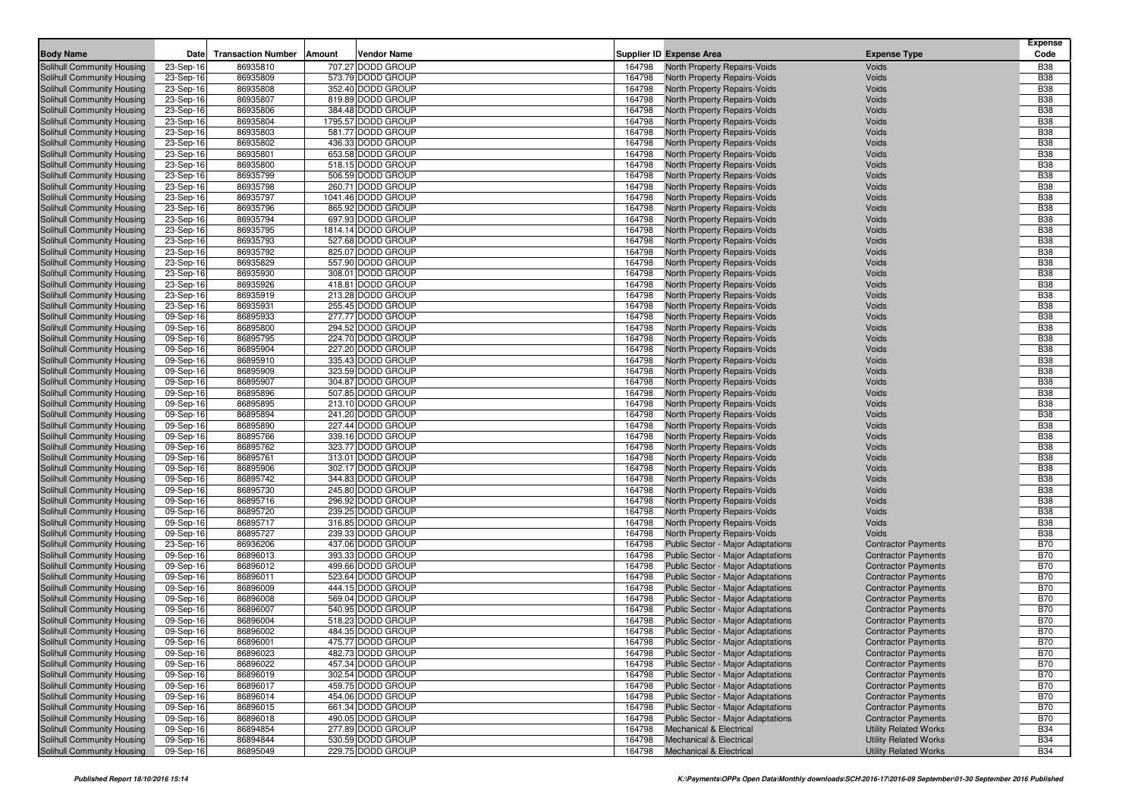| <b>Body Name</b>                                         | Date                   | <b>Transaction Number</b> | Amount | Vendor Name                            |                  | Supplier ID Expense Area                                     | <b>Expense Type</b>          | <b>Expense</b><br>Code   |
|----------------------------------------------------------|------------------------|---------------------------|--------|----------------------------------------|------------------|--------------------------------------------------------------|------------------------------|--------------------------|
| Solihull Community Housing                               | 23-Sep-16              | 86935810                  |        | 707.27 DODD GROUP                      | 164798           | <b>North Property Repairs-Voids</b>                          | Voids                        | <b>B38</b>               |
| Solihull Community Housing                               | 23-Sep-16              | 86935809                  |        | 573.79 DODD GROUP                      | 164798           | North Property Repairs-Voids                                 | Voids                        | <b>B38</b>               |
| Solihull Community Housing                               | 23-Sep-16              | 86935808                  |        | 352.40 DODD GROUP                      | 164798           | North Property Repairs-Voids                                 | Voids                        | <b>B38</b>               |
| Solihull Community Housing                               | 23-Sep-16              | 86935807                  |        | 819.89 DODD GROUP                      | 164798           | North Property Repairs-Voids                                 | Voids                        | <b>B38</b>               |
| Solihull Community Housing                               | 23-Sep-16              | 86935806                  |        | 384.48 DODD GROUP                      | 164798           | North Property Repairs-Voids                                 | Voids                        | <b>B38</b>               |
| Solihull Community Housing                               | 23-Sep-16              | 86935804                  |        | 1795.57 DODD GROUP                     | 164798           | North Property Repairs-Voids                                 | Voids                        | <b>B38</b>               |
| Solihull Community Housing                               | 23-Sep-16              | 86935803                  |        | 581.77 DODD GROUP                      | 164798           | North Property Repairs-Voids                                 | Voids                        | <b>B38</b>               |
| Solihull Community Housing                               | 23-Sep-16              | 86935802                  |        | 436.33 DODD GROUP                      | 164798           | North Property Repairs-Voids                                 | Voids                        | <b>B38</b>               |
| Solihull Community Housing                               | 23-Sep-16              | 86935801                  |        | 653.58 DODD GROUP                      | 164798           | North Property Repairs-Voids                                 | Voids                        | <b>B38</b>               |
| Solihull Community Housing                               | 23-Sep-16              | 86935800                  |        | 518.15 DODD GROUP                      | 164798           | North Property Repairs-Voids                                 | Voids                        | <b>B38</b>               |
| Solihull Community Housing                               | 23-Sep-16              | 86935799                  |        | 506.59 DODD GROUP                      | 164798           | North Property Repairs-Voids                                 | Voids                        | <b>B38</b>               |
| Solihull Community Housing                               | 23-Sep-16              | 86935798                  |        | 260.71 DODD GROUP                      | 164798           | North Property Repairs-Voids                                 | Voids                        | <b>B38</b>               |
| Solihull Community Housing                               | 23-Sep-16              | 86935797                  |        | 1041.46 DODD GROUP                     | 164798           | North Property Repairs-Voids                                 | Voids                        | <b>B38</b>               |
| Solihull Community Housing                               | 23-Sep-16              | 86935796                  |        | 865.92 DODD GROUP                      | 164798           | North Property Repairs-Voids                                 | Voids                        | <b>B38</b>               |
| Solihull Community Housing                               | 23-Sep-16              | 86935794                  |        | 697.93 DODD GROUP                      | 164798           | North Property Repairs-Voids                                 | Voids                        | <b>B38</b>               |
| Solihull Community Housing                               | 23-Sep-16              | 86935795                  |        | 1814.14 DODD GROUP                     | 164798           | North Property Repairs-Voids                                 | Voids                        | <b>B38</b>               |
| Solihull Community Housing                               | 23-Sep-16              | 86935793                  |        | 527.68 DODD GROUP                      | 164798           | North Property Repairs-Voids                                 | Voids                        | <b>B38</b>               |
| Solihull Community Housing                               | 23-Sep-16              | 86935792                  |        | 825.07 DODD GROUP                      | 164798           | North Property Repairs-Voids                                 | Voids                        | <b>B38</b>               |
| Solihull Community Housing<br>Solihull Community Housing | 23-Sep-16<br>23-Sep-16 | 86935829<br>86935930      |        | 557.90 DODD GROUP<br>308.01 DODD GROUP | 164798<br>164798 | North Property Repairs-Voids<br>North Property Repairs-Voids | Voids<br>Voids               | <b>B38</b><br><b>B38</b> |
| Solihull Community Housing                               | 23-Sep-16              | 86935926                  |        | 418.81 DODD GROUP                      | 164798           | North Property Repairs-Voids                                 | Voids                        | <b>B38</b>               |
| Solihull Community Housing                               | 23-Sep-16              | 86935919                  |        | 213.28 DODD GROUP                      | 164798           | North Property Repairs-Voids                                 | Voids                        | <b>B38</b>               |
| Solihull Community Housing                               | 23-Sep-16              | 86935931                  |        | 255.45 DODD GROUP                      | 164798           | North Property Repairs-Voids                                 | Voids                        | <b>B38</b>               |
| Solihull Community Housing                               | 09-Sep-16              | 86895933                  |        | 277.77 DODD GROUP                      | 164798           | North Property Repairs-Voids                                 | Voids                        | <b>B38</b>               |
| Solihull Community Housing                               | 09-Sep-16              | 86895800                  |        | 294.52 DODD GROUP                      | 164798           | North Property Repairs-Voids                                 | Voids                        | <b>B38</b>               |
| Solihull Community Housing                               | 09-Sep-16              | 86895795                  |        | 224.70 DODD GROUP                      | 164798           | North Property Repairs-Voids                                 | Voids                        | <b>B38</b>               |
| Solihull Community Housing                               | 09-Sep-16              | 86895904                  |        | 227.20 DODD GROUP                      | 164798           | <b>North Property Repairs-Voids</b>                          | Voids                        | <b>B38</b>               |
| Solihull Community Housing                               | 09-Sep-16              | 86895910                  |        | 335.43 DODD GROUP                      | 164798           | North Property Repairs-Voids                                 | Voids                        | <b>B38</b>               |
| Solihull Community Housing                               | 09-Sep-16              | 86895909                  |        | 323.59 DODD GROUP                      | 164798           | North Property Repairs-Voids                                 | Voids                        | <b>B38</b>               |
| Solihull Community Housing                               | 09-Sep-16              | 86895907                  |        | 304.87 DODD GROUP                      | 164798           | <b>North Property Repairs-Voids</b>                          | Voids                        | <b>B38</b>               |
| Solihull Community Housing                               | 09-Sep-16              | 86895896                  |        | 507.85 DODD GROUP                      | 164798           | North Property Repairs-Voids                                 | Voids                        | <b>B38</b>               |
| Solihull Community Housing                               | 09-Sep-16              | 86895895                  |        | 213.10 DODD GROUP                      | 164798           | North Property Repairs-Voids                                 | Voids                        | <b>B38</b>               |
| Solihull Community Housing                               | 09-Sep-16              | 86895894                  |        | 241.20 DODD GROUP                      | 164798           | North Property Repairs-Voids                                 | Voids                        | <b>B38</b>               |
| Solihull Community Housing                               | 09-Sep-16              | 86895890                  |        | 227.44 DODD GROUP                      | 164798           | North Property Repairs-Voids                                 | Voids                        | <b>B38</b>               |
| Solihull Community Housing                               | 09-Sep-16              | 86895766                  |        | 339.16 DODD GROUP                      | 164798           | North Property Repairs-Voids                                 | Voids                        | <b>B38</b>               |
| Solihull Community Housing                               | 09-Sep-16              | 86895762                  |        | 323.77 DODD GROUP                      | 164798           | North Property Repairs-Voids                                 | Voids                        | <b>B38</b>               |
| Solihull Community Housing                               | 09-Sep-16              | 86895761                  |        | 313.01 DODD GROUP                      | 164798           | <b>North Property Repairs-Voids</b>                          | Voids                        | <b>B38</b>               |
| Solihull Community Housing                               | 09-Sep-16              | 86895906                  |        | 302.17 DODD GROUP                      | 164798           | North Property Repairs-Voids                                 | Voids                        | <b>B38</b>               |
| Solihull Community Housing                               | 09-Sep-16              | 86895742                  |        | 344.83 DODD GROUP                      | 164798           | <b>North Property Repairs-Voids</b>                          | Voids                        | <b>B38</b>               |
| Solihull Community Housing                               | 09-Sep-16              | 86895730                  |        | 245.80 DODD GROUP                      | 164798           | North Property Repairs-Voids                                 | Voids                        | <b>B38</b>               |
| Solihull Community Housing                               | 09-Sep-16              | 86895716                  |        | 296.92 DODD GROUP                      | 164798           | North Property Repairs-Voids                                 | Voids                        | <b>B38</b>               |
| Solihull Community Housing                               | 09-Sep-16              | 86895720                  |        | 239.25 DODD GROUP<br>316.85 DODD GROUP | 164798           | North Property Repairs-Voids                                 | Voids<br>Voids               | <b>B38</b><br><b>B38</b> |
| Solihull Community Housing<br>Solihull Community Housing | 09-Sep-16<br>09-Sep-16 | 86895717<br>86895727      |        | 239.33 DODD GROUP                      | 164798<br>164798 | North Property Repairs-Voids<br>North Property Repairs-Voids | Voids                        | <b>B38</b>               |
| Solihull Community Housing                               | 23-Sep-16              | 86936206                  |        | 437.06 DODD GROUP                      | 164798           | <b>Public Sector - Major Adaptations</b>                     | <b>Contractor Payments</b>   | <b>B70</b>               |
| Solihull Community Housing                               | 09-Sep-16              | 86896013                  |        | 393.33 DODD GROUP                      | 164798           | <b>Public Sector - Major Adaptations</b>                     | <b>Contractor Payments</b>   | <b>B70</b>               |
| Solihull Community Housing                               | 09-Sep-16              | 86896012                  |        | 499.66 DODD GROUP                      | 164798           | <b>Public Sector - Major Adaptations</b>                     | <b>Contractor Payments</b>   | <b>B70</b>               |
| Solihull Community Housing                               | 09-Sep-16              | 86896011                  |        | 523.64 DODD GROUP                      | 164798           | <b>Public Sector - Major Adaptations</b>                     | <b>Contractor Payments</b>   | <b>B70</b>               |
| Solihull Community Housing                               | 09-Sep-16              | 86896009                  |        | 444.15 DODD GROUP                      | 164798           | <b>Public Sector - Major Adaptations</b>                     | <b>Contractor Payments</b>   | <b>B70</b>               |
| Solihull Community Housing                               | 09-Sep-16              | 86896008                  |        | 569.04 DODD GROUP                      | 164798           | <b>Public Sector - Major Adaptations</b>                     | <b>Contractor Payments</b>   | <b>B70</b>               |
| Solihull Community Housing                               | 09-Sep-16              | 86896007                  |        | 540.95 DODD GROUP                      | 164798           | <b>Public Sector - Major Adaptations</b>                     | <b>Contractor Payments</b>   | <b>B70</b>               |
| Solihull Community Housing                               | 09-Sep-16              | 86896004                  |        | 518.23 DODD GROUP                      | 164798           | <b>Public Sector - Major Adaptations</b>                     | <b>Contractor Payments</b>   | <b>B70</b>               |
| Solihull Community Housing                               | 09-Sep-16              | 86896002                  |        | 484.35 DODD GROUP                      | 164798           | Public Sector - Major Adaptations                            | <b>Contractor Payments</b>   | <b>B70</b>               |
| Solihull Community Housing                               | 09-Sep-16              | 86896001                  |        | 475.77 DODD GROUP                      |                  | 164798 Public Sector - Major Adaptations                     | <b>Contractor Payments</b>   | <b>B70</b>               |
| Solihull Community Housing                               | 09-Sep-16              | 86896023                  |        | 482.73 DODD GROUP                      |                  | 164798 Public Sector - Major Adaptations                     | <b>Contractor Payments</b>   | <b>B70</b>               |
| Solihull Community Housing                               | 09-Sep-16              | 86896022                  |        | 457.34 DODD GROUP                      |                  | 164798 Public Sector - Major Adaptations                     | <b>Contractor Payments</b>   | <b>B70</b>               |
| <b>Solihull Community Housing</b>                        | 09-Sep-16              | 86896019                  |        | 302.54 DODD GROUP                      |                  | 164798 Public Sector - Major Adaptations                     | <b>Contractor Payments</b>   | <b>B70</b>               |
| Solihull Community Housing                               | 09-Sep-16              | 86896017                  |        | 459.75 DODD GROUP                      |                  | 164798 Public Sector - Major Adaptations                     | <b>Contractor Payments</b>   | <b>B70</b>               |
| Solihull Community Housing                               | 09-Sep-16              | 86896014                  |        | 454.06 DODD GROUP                      |                  | 164798 Public Sector - Major Adaptations                     | <b>Contractor Payments</b>   | <b>B70</b>               |
| Solihull Community Housing                               | 09-Sep-16              | 86896015                  |        | 661.34 DODD GROUP                      |                  | 164798 Public Sector - Major Adaptations                     | <b>Contractor Payments</b>   | <b>B70</b>               |
| Solihull Community Housing                               | 09-Sep-16              | 86896018                  |        | 490.05 DODD GROUP                      | 164798           | <b>Public Sector - Major Adaptations</b>                     | <b>Contractor Payments</b>   | <b>B70</b>               |
| Solihull Community Housing                               | 09-Sep-16              | 86894854                  |        | 277.89 DODD GROUP                      | 164798           | <b>Mechanical &amp; Electrical</b>                           | <b>Utility Related Works</b> | <b>B34</b>               |
| Solihull Community Housing                               | 09-Sep-16              | 86894844                  |        | 530.59 DODD GROUP                      | 164798           | <b>Mechanical &amp; Electrical</b>                           | <b>Utility Related Works</b> | <b>B34</b>               |
| Solihull Community Housing                               | 09-Sep-16              | 86895049                  |        | 229.75 DODD GROUP                      |                  | 164798 Mechanical & Electrical                               | <b>Utility Related Works</b> | <b>B34</b>               |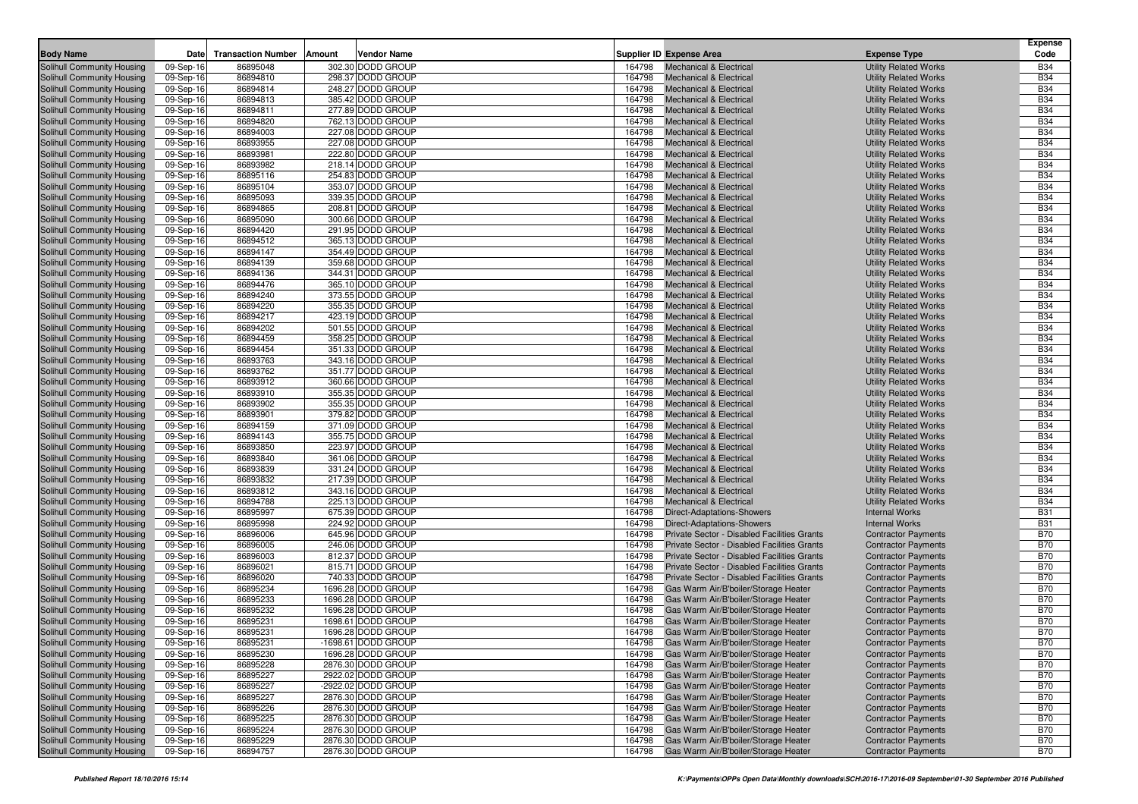|                            |             |                           |        |                                          |        |                                                                                     |                              | <b>Expense</b> |
|----------------------------|-------------|---------------------------|--------|------------------------------------------|--------|-------------------------------------------------------------------------------------|------------------------------|----------------|
| <b>Body Name</b>           | <b>Date</b> | <b>Transaction Number</b> | Amount | Vendor Name                              |        | Supplier ID Expense Area                                                            | <b>Expense Type</b>          | Code           |
| Solihull Community Housing | 09-Sep-16   | 86895048                  |        | 302.30 DODD GROUP                        | 164798 | <b>Mechanical &amp; Electrical</b>                                                  | <b>Utility Related Works</b> | <b>B34</b>     |
| Solihull Community Housing | 09-Sep-16   | 86894810                  |        | 298.37 DODD GROUP                        | 164798 | <b>Mechanical &amp; Electrical</b>                                                  | <b>Utility Related Works</b> | <b>B34</b>     |
| Solihull Community Housing | 09-Sep-16   | 86894814                  |        | 248.27 DODD GROUP                        | 164798 | <b>Mechanical &amp; Electrical</b>                                                  | <b>Utility Related Works</b> | <b>B34</b>     |
| Solihull Community Housing | 09-Sep-16   | 86894813                  |        | 385.42 DODD GROUP                        | 164798 | <b>Mechanical &amp; Electrical</b>                                                  | <b>Utility Related Works</b> | <b>B34</b>     |
| Solihull Community Housing | 09-Sep-16   | 86894811                  |        | 277.89 DODD GROUP                        | 164798 | <b>Mechanical &amp; Electrical</b>                                                  | <b>Utility Related Works</b> | <b>B34</b>     |
| Solihull Community Housing | 09-Sep-16   | 86894820                  |        | 762.13 DODD GROUP                        | 164798 | <b>Mechanical &amp; Electrical</b>                                                  | <b>Utility Related Works</b> | <b>B34</b>     |
| Solihull Community Housing | 09-Sep-16   | 86894003                  |        | 227.08 DODD GROUP                        | 164798 | <b>Mechanical &amp; Electrical</b>                                                  | <b>Utility Related Works</b> | <b>B34</b>     |
| Solihull Community Housing | 09-Sep-16   | 86893955                  |        | 227.08 DODD GROUP                        | 164798 | <b>Mechanical &amp; Electrical</b>                                                  | <b>Utility Related Works</b> | <b>B34</b>     |
| Solihull Community Housing | 09-Sep-16   | 86893981                  |        | 222.80 DODD GROUP                        | 164798 | <b>Mechanical &amp; Electrical</b>                                                  | <b>Utility Related Works</b> | <b>B34</b>     |
| Solihull Community Housing | 09-Sep-16   | 86893982                  |        | 218.14 DODD GROUP                        | 164798 | <b>Mechanical &amp; Electrical</b>                                                  | <b>Utility Related Works</b> | <b>B34</b>     |
| Solihull Community Housing | 09-Sep-16   | 86895116                  |        | 254.83 DODD GROUP                        | 164798 | <b>Mechanical &amp; Electrical</b>                                                  | <b>Utility Related Works</b> | <b>B34</b>     |
| Solihull Community Housing | 09-Sep-16   | 86895104                  |        | 353.07 DODD GROUP                        | 164798 | <b>Mechanical &amp; Electrical</b>                                                  | <b>Utility Related Works</b> | <b>B34</b>     |
| Solihull Community Housing | 09-Sep-16   | 86895093                  |        | 339.35 DODD GROUP                        | 164798 | <b>Mechanical &amp; Electrical</b>                                                  | <b>Utility Related Works</b> | <b>B34</b>     |
| Solihull Community Housing | 09-Sep-16   | 86894865                  |        | 208.81 DODD GROUP                        | 164798 | Mechanical & Electrical                                                             | <b>Utility Related Works</b> | <b>B34</b>     |
| Solihull Community Housing | 09-Sep-16   | 86895090                  |        | 300.66 DODD GROUP                        | 164798 | <b>Mechanical &amp; Electrical</b>                                                  | <b>Utility Related Works</b> | <b>B34</b>     |
| Solihull Community Housing | 09-Sep-16   | 86894420                  |        | 291.95 DODD GROUP                        | 164798 | <b>Mechanical &amp; Electrical</b>                                                  | <b>Utility Related Works</b> | <b>B34</b>     |
| Solihull Community Housing | 09-Sep-16   | 86894512                  |        | 365.13 DODD GROUP                        | 164798 | <b>Mechanical &amp; Electrical</b>                                                  | <b>Utility Related Works</b> | <b>B34</b>     |
| Solihull Community Housing | 09-Sep-16   | 86894147                  |        | 354.49 DODD GROUP                        | 164798 | <b>Mechanical &amp; Electrical</b>                                                  | <b>Utility Related Works</b> | <b>B34</b>     |
| Solihull Community Housing | 09-Sep-16   | 86894139                  |        | 359.68 DODD GROUP                        | 164798 | <b>Mechanical &amp; Electrical</b>                                                  | <b>Utility Related Works</b> | <b>B34</b>     |
| Solihull Community Housing | 09-Sep-16   | 86894136                  |        | 344.31 DODD GROUP                        | 164798 | <b>Mechanical &amp; Electrical</b>                                                  | <b>Utility Related Works</b> | <b>B34</b>     |
| Solihull Community Housing | 09-Sep-16   | 86894476                  |        | 365.10 DODD GROUP                        | 164798 | <b>Mechanical &amp; Electrical</b>                                                  | <b>Utility Related Works</b> | <b>B34</b>     |
| Solihull Community Housing | 09-Sep-16   | 86894240                  |        | 373.55 DODD GROUP                        | 164798 | <b>Mechanical &amp; Electrical</b>                                                  | <b>Utility Related Works</b> | <b>B34</b>     |
| Solihull Community Housing | 09-Sep-16   | 86894220                  |        | 355.35 DODD GROUP                        | 164798 | <b>Mechanical &amp; Electrical</b>                                                  | <b>Utility Related Works</b> | <b>B34</b>     |
| Solihull Community Housing | 09-Sep-16   | 86894217                  |        | 423.19 DODD GROUP                        | 164798 | <b>Mechanical &amp; Electrical</b>                                                  | <b>Utility Related Works</b> | <b>B34</b>     |
| Solihull Community Housing | 09-Sep-16   | 86894202                  |        | 501.55 DODD GROUP                        | 164798 | Mechanical & Electrical                                                             | <b>Utility Related Works</b> | <b>B34</b>     |
| Solihull Community Housing | 09-Sep-16   | 86894459                  |        | 358.25 DODD GROUP                        | 164798 | <b>Mechanical &amp; Electrical</b>                                                  | <b>Utility Related Works</b> | <b>B34</b>     |
| Solihull Community Housing | 09-Sep-16   | 86894454                  |        | 351.33 DODD GROUP                        | 164798 | <b>Mechanical &amp; Electrical</b>                                                  | <b>Utility Related Works</b> | <b>B34</b>     |
| Solihull Community Housing | 09-Sep-16   | 86893763                  |        | 343.16 DODD GROUP                        | 164798 | <b>Mechanical &amp; Electrical</b>                                                  | <b>Utility Related Works</b> | <b>B34</b>     |
| Solihull Community Housing | 09-Sep-16   | 86893762                  |        | 351.77 DODD GROUP                        | 164798 | <b>Mechanical &amp; Electrical</b>                                                  | <b>Utility Related Works</b> | <b>B34</b>     |
| Solihull Community Housing | 09-Sep-16   | 86893912                  |        | 360.66 DODD GROUP                        | 164798 | <b>Mechanical &amp; Electrical</b>                                                  | <b>Utility Related Works</b> | <b>B34</b>     |
| Solihull Community Housing | 09-Sep-16   | 86893910                  |        | 355.35 DODD GROUP                        | 164798 | <b>Mechanical &amp; Electrical</b>                                                  | <b>Utility Related Works</b> | <b>B34</b>     |
| Solihull Community Housing | 09-Sep-16   | 86893902                  |        | 355.35 DODD GROUP                        | 164798 | <b>Mechanical &amp; Electrical</b>                                                  | <b>Utility Related Works</b> | <b>B34</b>     |
| Solihull Community Housing | 09-Sep-16   | 86893901                  |        | 379.82 DODD GROUP                        | 164798 | <b>Mechanical &amp; Electrical</b>                                                  | <b>Utility Related Works</b> | <b>B34</b>     |
| Solihull Community Housing | 09-Sep-16   | 86894159                  |        | 371.09 DODD GROUP                        | 164798 | <b>Mechanical &amp; Electrical</b>                                                  | <b>Utility Related Works</b> | <b>B34</b>     |
| Solihull Community Housing | 09-Sep-16   | 86894143                  |        | 355.75 DODD GROUP                        | 164798 | <b>Mechanical &amp; Electrical</b>                                                  | <b>Utility Related Works</b> | <b>B34</b>     |
| Solihull Community Housing | 09-Sep-16   | 86893850                  |        | 223.97 DODD GROUP                        | 164798 | <b>Mechanical &amp; Electrical</b>                                                  | <b>Utility Related Works</b> | <b>B34</b>     |
| Solihull Community Housing | 09-Sep-16   | 86893840                  |        | 361.06 DODD GROUP                        | 164798 | <b>Mechanical &amp; Electrical</b>                                                  | <b>Utility Related Works</b> | <b>B34</b>     |
| Solihull Community Housing | 09-Sep-16   | 86893839                  |        | 331.24 DODD GROUP                        | 164798 | <b>Mechanical &amp; Electrical</b>                                                  | <b>Utility Related Works</b> | <b>B34</b>     |
| Solihull Community Housing | 09-Sep-16   | 86893832                  |        | 217.39 DODD GROUP                        | 164798 | Mechanical & Electrical                                                             | <b>Utility Related Works</b> | <b>B34</b>     |
| Solihull Community Housing | 09-Sep-16   | 86893812                  |        | 343.16 DODD GROUP                        | 164798 | <b>Mechanical &amp; Electrical</b>                                                  | <b>Utility Related Works</b> | <b>B34</b>     |
| Solihull Community Housing | 09-Sep-16   | 86894788                  |        | 225.13 DODD GROUP                        | 164798 | <b>Mechanical &amp; Electrical</b>                                                  | <b>Utility Related Works</b> | <b>B34</b>     |
| Solihull Community Housing | 09-Sep-16   | 86895997                  |        | 675.39 DODD GROUP                        | 164798 | <b>Direct-Adaptations-Showers</b>                                                   | <b>Internal Works</b>        | <b>B31</b>     |
| Solihull Community Housing | 09-Sep-16   | 86895998                  |        | 224.92 DODD GROUP                        | 164798 | <b>Direct-Adaptations-Showers</b>                                                   | <b>Internal Works</b>        | <b>B31</b>     |
| Solihull Community Housing | 09-Sep-16   | 86896006                  |        | 645.96 DODD GROUP                        | 164798 | Private Sector - Disabled Facilities Grants                                         | <b>Contractor Payments</b>   | <b>B70</b>     |
| Solihull Community Housing | 09-Sep-16   | 86896005                  |        | 246.06 DODD GROUP                        | 164798 | Private Sector - Disabled Facilities Grants                                         | <b>Contractor Payments</b>   | <b>B70</b>     |
| Solihull Community Housing | 09-Sep-16   | 86896003                  |        | 812.37 DODD GROUP                        | 164798 | Private Sector - Disabled Facilities Grants                                         | <b>Contractor Payments</b>   | <b>B70</b>     |
| Solihull Community Housing | 09-Sep-16   | 86896021                  |        | 815.71 DODD GROUP                        | 164798 | Private Sector - Disabled Facilities Grants                                         | <b>Contractor Payments</b>   | <b>B70</b>     |
| Solihull Community Housing | 09-Sep-16   | 86896020                  |        | 740.33 DODD GROUP                        | 164798 | Private Sector - Disabled Facilities Grants                                         | <b>Contractor Payments</b>   | <b>B70</b>     |
| Solihull Community Housing | 09-Sep-16   | 86895234                  |        | 1696.28 DODD GROUP                       | 164798 | Gas Warm Air/B'boiler/Storage Heater                                                | <b>Contractor Payments</b>   | <b>B70</b>     |
| Solihull Community Housing |             | 86895233                  |        | 1696.28 DODD GROUP                       | 164798 | Gas Warm Air/B'boiler/Storage Heater                                                | <b>Contractor Payments</b>   | <b>B70</b>     |
|                            | 09-Sep-16   | 86895232                  |        | 1696.28 DODD GROUP                       | 164798 |                                                                                     |                              | <b>B70</b>     |
| Solihull Community Housing | 09-Sep-16   |                           |        | 1698.61 DODD GROUP                       | 164798 | Gas Warm Air/B'boiler/Storage Heater                                                | <b>Contractor Payments</b>   | <b>B70</b>     |
| Solihull Community Housing | 09-Sep-16   | 86895231                  |        | 1696.28 DODD GROUP                       |        | Gas Warm Air/B'boiler/Storage Heater                                                | <b>Contractor Payments</b>   | <b>B70</b>     |
| Solihull Community Housing | 09-Sep-16   | 86895231                  |        |                                          | 164798 | Gas Warm Air/B'boiler/Storage Heater                                                | <b>Contractor Payments</b>   |                |
| Solihull Community Housing | 09-Sep-16   | 86895231                  |        | 1698.61 DODD GROUP                       |        | 164798 Gas Warm Air/B'boiler/Storage Heater                                         | <b>Contractor Payments</b>   | <b>B70</b>     |
| Solihull Community Housing | 09-Sep-16   | 86895230                  |        | 1696.28 DODD GROUP                       |        | 164798 Gas Warm Air/B'boiler/Storage Heater                                         | <b>Contractor Payments</b>   | <b>B70</b>     |
| Solihull Community Housing | 09-Sep-16   | 86895228                  |        | 2876.30 DODD GROUP<br>2922.02 DODD GROUP |        | 164798 Gas Warm Air/B'boiler/Storage Heater<br>Gas Warm Air/B'boiler/Storage Heater | <b>Contractor Payments</b>   | B70            |
| Solihull Community Housing | 09-Sep-16   | 86895227                  |        |                                          | 164798 |                                                                                     | <b>Contractor Payments</b>   | <b>B70</b>     |
| Solihull Community Housing | 09-Sep-16   | 86895227                  |        | -2922.02 DODD GROUP                      | 164798 | Gas Warm Air/B'boiler/Storage Heater                                                | <b>Contractor Payments</b>   | <b>B70</b>     |
| Solihull Community Housing | 09-Sep-16   | 86895227                  |        | 2876.30 DODD GROUP                       | 164798 | Gas Warm Air/B'boiler/Storage Heater                                                | <b>Contractor Payments</b>   | <b>B70</b>     |
| Solihull Community Housing | 09-Sep-16   | 86895226                  |        | 2876.30 DODD GROUP                       | 164798 | Gas Warm Air/B'boiler/Storage Heater                                                | <b>Contractor Payments</b>   | <b>B70</b>     |
| Solihull Community Housing | 09-Sep-16   | 86895225                  |        | 2876.30 DODD GROUP                       | 164798 | Gas Warm Air/B'boiler/Storage Heater                                                | <b>Contractor Payments</b>   | <b>B70</b>     |
| Solihull Community Housing | 09-Sep-16   | 86895224                  |        | 2876.30 DODD GROUP                       | 164798 | Gas Warm Air/B'boiler/Storage Heater                                                | <b>Contractor Payments</b>   | <b>B70</b>     |
| Solihull Community Housing | 09-Sep-16   | 86895229                  |        | 2876.30 DODD GROUP                       | 164798 | Gas Warm Air/B'boiler/Storage Heater                                                | <b>Contractor Payments</b>   | <b>B70</b>     |
| Solihull Community Housing | 09-Sep-16   | 86894757                  |        | 2876.30 DODD GROUP                       | 164798 | Gas Warm Air/B'boiler/Storage Heater                                                | <b>Contractor Payments</b>   | <b>B70</b>     |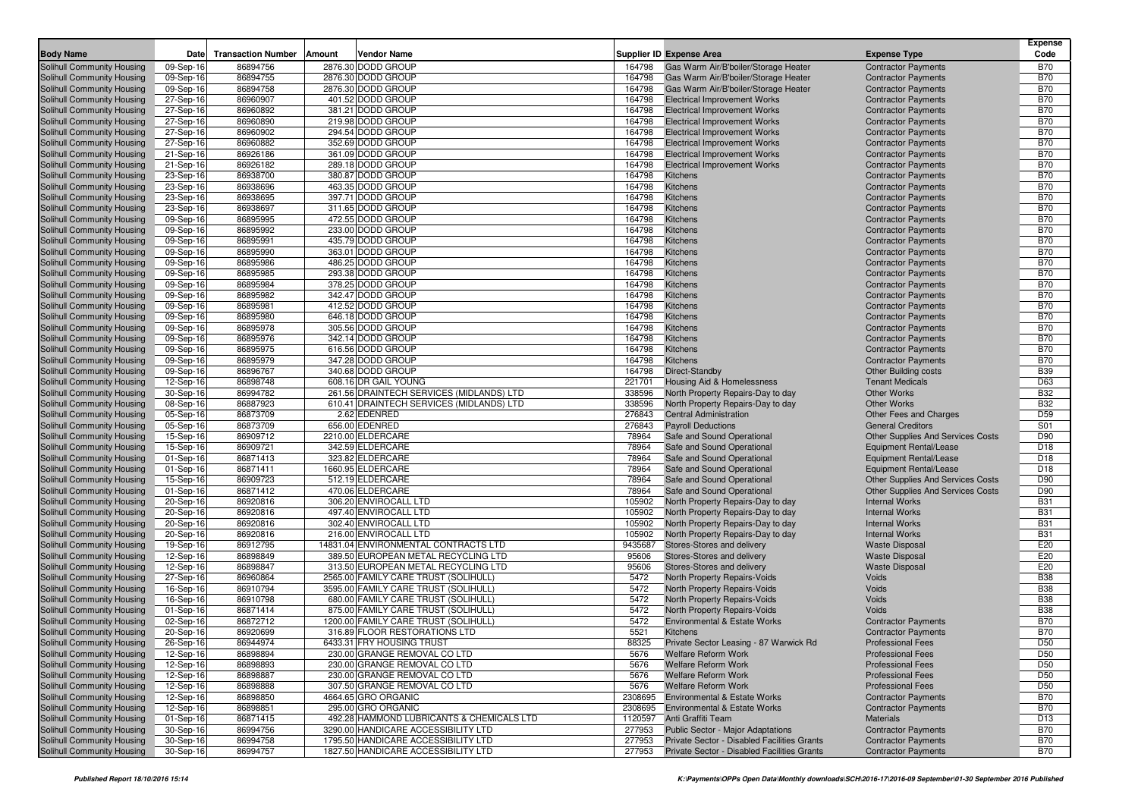|                                                                 |                         |                                    |                                                                              |                  |                                                                            |                                                          | <b>Expense</b><br>Code   |
|-----------------------------------------------------------------|-------------------------|------------------------------------|------------------------------------------------------------------------------|------------------|----------------------------------------------------------------------------|----------------------------------------------------------|--------------------------|
| <b>Body Name</b>                                                | Date                    | <b>Transaction Number   Amount</b> | Vendor Name                                                                  |                  | <b>Supplier ID Expense Area</b>                                            | <b>Expense Type</b>                                      |                          |
| Solihull Community Housing                                      | 09-Sep-16               | 86894756                           | 2876.30 DODD GROUP                                                           | 164798           | Gas Warm Air/B'boiler/Storage Heater                                       | <b>Contractor Payments</b>                               | <b>B70</b>               |
| Solihull Community Housing                                      | 09-Sep-16               | 86894755                           | 2876.30 DODD GROUP                                                           | 164798           | Gas Warm Air/B'boiler/Storage Heater                                       | <b>Contractor Payments</b>                               | <b>B70</b>               |
| Solihull Community Housing                                      | 09-Sep-16               | 86894758                           | 2876.30 DODD GROUP                                                           | 164798           | Gas Warm Air/B'boiler/Storage Heater                                       | <b>Contractor Payments</b>                               | <b>B70</b>               |
| Solihull Community Housing                                      | 27-Sep-16               | 86960907                           | 401.52 DODD GROUP                                                            | 164798           | <b>Electrical Improvement Works</b>                                        | <b>Contractor Payments</b>                               | <b>B70</b>               |
| Solihull Community Housing                                      | 27-Sep-16               | 86960892                           | 381.21 DODD GROUP                                                            | 164798           | <b>Electrical Improvement Works</b>                                        | <b>Contractor Payments</b>                               | <b>B70</b>               |
| Solihull Community Housing                                      | 27-Sep-16               | 86960890                           | 219.98 DODD GROUP                                                            | 164798           | <b>Electrical Improvement Works</b>                                        | <b>Contractor Payments</b>                               | <b>B70</b>               |
| Solihull Community Housing                                      | 27-Sep-16               | 86960902                           | 294.54 DODD GROUP                                                            | 164798           | <b>Electrical Improvement Works</b>                                        | <b>Contractor Payments</b>                               | <b>B70</b>               |
| Solihull Community Housing<br>Solihull Community Housing        | 27-Sep-16               | 86960882<br>86926186               | 352.69 DODD GROUP<br>361.09 DODD GROUP                                       | 164798<br>164798 | <b>Electrical Improvement Works</b><br><b>Electrical Improvement Works</b> | <b>Contractor Payments</b><br><b>Contractor Payments</b> | <b>B70</b><br><b>B70</b> |
| Solihull Community Housing                                      | 21-Sep-16<br>21-Sep-16  | 86926182                           | 289.18 DODD GROUP                                                            | 164798           | <b>Electrical Improvement Works</b>                                        | <b>Contractor Payments</b>                               | <b>B70</b>               |
| Solihull Community Housing                                      | 23-Sep-16               | 86938700                           | 380.87 DODD GROUP                                                            | 164798           | Kitchens                                                                   | <b>Contractor Payments</b>                               | <b>B70</b>               |
| Solihull Community Housing                                      | 23-Sep-16               | 86938696                           | 463.35 DODD GROUP                                                            | 164798           | Kitchens                                                                   | <b>Contractor Payments</b>                               | <b>B70</b>               |
| Solihull Community Housing                                      | 23-Sep-16               | 86938695                           | 397.71 DODD GROUP                                                            | 164798           | Kitchens                                                                   | <b>Contractor Payments</b>                               | <b>B70</b>               |
| Solihull Community Housing                                      | 23-Sep-16               | 86938697                           | 311.65 DODD GROUP                                                            | 164798           | Kitchens                                                                   | <b>Contractor Payments</b>                               | <b>B70</b>               |
| Solihull Community Housing                                      | 09-Sep-16               | 86895995                           | 472.55 DODD GROUP                                                            | 164798           | Kitchens                                                                   | <b>Contractor Payments</b>                               | <b>B70</b>               |
| Solihull Community Housing                                      | 09-Sep-16               | 86895992                           | 233.00 DODD GROUP                                                            | 164798           | Kitchens                                                                   | <b>Contractor Payments</b>                               | <b>B70</b>               |
| Solihull Community Housing                                      | 09-Sep-16               | 86895991                           | 435.79 DODD GROUP                                                            | 164798           | Kitchens                                                                   | <b>Contractor Payments</b>                               | <b>B70</b>               |
| Solihull Community Housing                                      | 09-Sep-16               | 86895990                           | 363.01 DODD GROUP                                                            | 164798           | Kitchens                                                                   | <b>Contractor Payments</b>                               | <b>B70</b>               |
| Solihull Community Housing                                      | 09-Sep-16               | 86895986                           | 486.25 DODD GROUP                                                            | 164798           | Kitchens                                                                   | <b>Contractor Payments</b>                               | <b>B70</b>               |
| Solihull Community Housing                                      | 09-Sep-16               | 86895985                           | 293.38 DODD GROUP                                                            | 164798           | Kitchens                                                                   | <b>Contractor Payments</b>                               | <b>B70</b>               |
| Solihull Community Housing                                      | 09-Sep-16               | 86895984                           | 378.25 DODD GROUP                                                            | 164798           | Kitchens                                                                   | <b>Contractor Payments</b>                               | <b>B70</b>               |
| Solihull Community Housing                                      | 09-Sep-16               | 86895982                           | 342.47 DODD GROUP                                                            | 164798           | Kitchens                                                                   | <b>Contractor Payments</b>                               | <b>B70</b>               |
| Solihull Community Housing                                      | 09-Sep-16               | 86895981                           | 412.52 DODD GROUP                                                            | 164798           | Kitchens                                                                   | <b>Contractor Payments</b>                               | <b>B70</b>               |
| Solihull Community Housing                                      | 09-Sep-16               | 86895980                           | 646.18 DODD GROUP                                                            | 164798           | Kitchens                                                                   | <b>Contractor Payments</b>                               | <b>B70</b>               |
| Solihull Community Housing                                      | 09-Sep-16               | 86895978                           | 305.56 DODD GROUP                                                            | 164798           | Kitchens                                                                   | <b>Contractor Payments</b>                               | <b>B70</b>               |
| Solihull Community Housing                                      | 09-Sep-16               | 86895976                           | 342.14 DODD GROUP                                                            | 164798           | Kitchens                                                                   | <b>Contractor Payments</b>                               | <b>B70</b>               |
| Solihull Community Housing                                      | 09-Sep-16               | 86895975                           | 616.56 DODD GROUP                                                            | 164798           | Kitchens                                                                   | <b>Contractor Payments</b>                               | <b>B70</b>               |
| Solihull Community Housing                                      | 09-Sep-16               | 86895979                           | 347.28 DODD GROUP                                                            | 164798           | Kitchens                                                                   | <b>Contractor Payments</b>                               | <b>B70</b>               |
| Solihull Community Housing                                      | 09-Sep-16               | 86896767                           | 340.68 DODD GROUP                                                            | 164798           | Direct-Standby                                                             | <b>Other Building costs</b>                              | <b>B39</b>               |
| Solihull Community Housing                                      | 12-Sep-16               | 86898748                           | 608.16 DR GAIL YOUNG                                                         | 221701           | Housing Aid & Homelessness                                                 | <b>Tenant Medicals</b>                                   | D63                      |
| Solihull Community Housing                                      | 30-Sep-16               | 86994782                           | 261.56 DRAINTECH SERVICES (MIDLANDS) LTD                                     | 338596           | North Property Repairs-Day to day                                          | <b>Other Works</b>                                       | <b>B32</b>               |
| Solihull Community Housing                                      | 08-Sep-16               | 86887923                           | 610.41 DRAINTECH SERVICES (MIDLANDS) LTD                                     | 338596           | North Property Repairs-Day to day                                          | <b>Other Works</b>                                       | <b>B32</b>               |
| Solihull Community Housing                                      | 05-Sep-16               | 86873709                           | 2.62 EDENRED                                                                 | 276843           | <b>Central Administration</b>                                              | Other Fees and Charges                                   | D <sub>59</sub>          |
| Solihull Community Housing                                      | 05-Sep-16               | 86873709                           | 656.00 EDENRED                                                               | 276843           | <b>Payroll Deductions</b>                                                  | <b>General Creditors</b>                                 | S01                      |
| Solihull Community Housing                                      | 15-Sep-16               | 86909712                           | 2210.00 ELDERCARE                                                            | 78964            | Safe and Sound Operational                                                 | <b>Other Supplies And Services Costs</b>                 | D90                      |
| Solihull Community Housing                                      | 15-Sep-16               | 86909721                           | 342.59 ELDERCARE                                                             | 78964            | Safe and Sound Operational                                                 | Equipment Rental/Lease                                   | D <sub>18</sub>          |
| Solihull Community Housing                                      | 01-Sep-16               | 86871413                           | 323.82 ELDERCARE                                                             | 78964            | Safe and Sound Operational                                                 | Equipment Rental/Lease                                   | D <sub>18</sub>          |
| Solihull Community Housing                                      | 01-Sep-16               | 86871411                           | 1660.95 ELDERCARE                                                            | 78964            | Safe and Sound Operational                                                 | Equipment Rental/Lease                                   | D <sub>18</sub>          |
| Solihull Community Housing                                      | 15-Sep-16               | 86909723                           | 512.19 ELDERCARE                                                             | 78964            | Safe and Sound Operational                                                 | Other Supplies And Services Costs                        | D90                      |
| Solihull Community Housing                                      | 01-Sep-16               | 86871412                           | 470.06 ELDERCARE                                                             | 78964            | Safe and Sound Operational                                                 | <b>Other Supplies And Services Costs</b>                 | D90                      |
| Solihull Community Housing                                      | 20-Sep-16               | 86920816                           | 306.20 ENVIROCALL LTD                                                        | 105902           | North Property Repairs-Day to day                                          | <b>Internal Works</b>                                    | <b>B31</b>               |
| Solihull Community Housing                                      | 20-Sep-16               | 86920816                           | 497.40 ENVIROCALL LTD                                                        | 105902           | North Property Repairs-Day to day                                          | <b>Internal Works</b>                                    | <b>B31</b>               |
| Solihull Community Housing                                      | 20-Sep-16               | 86920816                           | 302.40 ENVIROCALL LTD                                                        | 105902           | North Property Repairs-Day to day                                          | <b>Internal Works</b>                                    | <b>B31</b>               |
| Solihull Community Housing                                      | 20-Sep-16               | 86920816                           | 216.00 ENVIROCALL LTD                                                        | 105902           | North Property Repairs-Day to day                                          | <b>Internal Works</b>                                    | <b>B31</b>               |
| Solihull Community Housing                                      | 19-Sep-16               | 86912795                           | 14831.04 ENVIRONMENTAL CONTRACTS LTD                                         | 9435687          | Stores-Stores and delivery                                                 | <b>Waste Disposal</b>                                    | E20                      |
| Solihull Community Housing                                      | 12-Sep-16               | 86898849                           | 389.50 EUROPEAN METAL RECYCLING LTD                                          | 95606            | Stores-Stores and delivery                                                 | <b>Waste Disposal</b>                                    | E20                      |
| Solihull Community Housing<br><b>Solihull Community Housing</b> | 12-Sep-16               | 86898847<br>86960864               | 313.50 EUROPEAN METAL RECYCLING LTD                                          | 95606            | Stores-Stores and delivery                                                 | <b>Waste Disposal</b><br>Voids                           | E20<br><b>B38</b>        |
| Solihull Community Housing                                      | 27-Sep-16<br>16-Sep-16  | 86910794                           | 2565.00 FAMILY CARE TRUST (SOLIHULL)<br>3595.00 FAMILY CARE TRUST (SOLIHULL) | 5472<br>5472     | North Property Repairs-Voids<br>North Property Repairs-Voids               | Voids                                                    | <b>B38</b>               |
| Solihull Community Housing                                      | 16-Sep-16               | 86910798                           | 680.00 FAMILY CARE TRUST (SOLIHULL)                                          | 5472             | North Property Repairs-Voids                                               | Voids                                                    | <b>B38</b>               |
| Solihull Community Housing                                      | 01-Sep-16               | 86871414                           | 875.00 FAMILY CARE TRUST (SOLIHULL)                                          | 5472             | North Property Repairs-Voids                                               | Voids                                                    | <b>B38</b>               |
| Solihull Community Housing                                      | 02-Sep-16               | 86872712                           | 1200.00 FAMILY CARE TRUST (SOLIHULL)                                         | 5472             | Environmental & Estate Works                                               | <b>Contractor Payments</b>                               | <b>B70</b>               |
| Solihull Community Housing                                      | 20-Sep-16               | 86920699                           | 316.89 FLOOR RESTORATIONS LTD                                                | 5521             | Kitchens                                                                   | <b>Contractor Payments</b>                               | <b>B70</b>               |
| Solihull Community Housing                                      | $\overline{26}$ -Sep-16 | 86944974                           | 6433.31 FRY HOUSING TRUST                                                    | 88325            | Private Sector Leasing - 87 Warwick Rd                                     | <b>Professional Fees</b>                                 | D50                      |
| Solihull Community Housing                                      | 12-Sep-16               | 86898894                           | 230.00 GRANGE REMOVAL CO LTD                                                 | 5676             | <b>Welfare Reform Work</b>                                                 | <b>Professional Fees</b>                                 | D <sub>50</sub>          |
| Solihull Community Housing                                      | 12-Sep-16               | 86898893                           | 230.00 GRANGE REMOVAL CO LTD                                                 | 5676             | <b>Welfare Reform Work</b>                                                 | <b>Professional Fees</b>                                 | D <sub>50</sub>          |
| Solihull Community Housing                                      | 12-Sep-16               | 86898887                           | 230.00 GRANGE REMOVAL CO LTD                                                 | 5676             | <b>Welfare Reform Work</b>                                                 | <b>Professional Fees</b>                                 | D <sub>50</sub>          |
| Solihull Community Housing                                      | 12-Sep-16               | 86898888                           | 307.50 GRANGE REMOVAL CO LTD                                                 | 5676             | <b>Welfare Reform Work</b>                                                 | <b>Professional Fees</b>                                 | D <sub>50</sub>          |
| Solihull Community Housing                                      | 12-Sep-16               | 86898850                           | 4664.65 GRO ORGANIC                                                          |                  | 2308695 Environmental & Estate Works                                       | <b>Contractor Payments</b>                               | <b>B70</b>               |
| Solihull Community Housing                                      | 12-Sep-16               | 86898851                           | 295.00 GRO ORGANIC                                                           |                  | 2308695 Environmental & Estate Works                                       | <b>Contractor Payments</b>                               | <b>B70</b>               |
| Solihull Community Housing                                      | $01-Sep-16$             | 86871415                           | 492.28 HAMMOND LUBRICANTS & CHEMICALS LTD                                    |                  | 1120597 Anti Graffiti Team                                                 | <b>Materials</b>                                         | D <sub>13</sub>          |
| Solihull Community Housing                                      | 30-Sep-16               | 86994756                           | 3290.00 HANDICARE ACCESSIBILITY LTD                                          |                  | 277953 Public Sector - Major Adaptations                                   | <b>Contractor Payments</b>                               | B70                      |
| Solihull Community Housing                                      | 30-Sep-16               | 86994758                           | 1795.50 HANDICARE ACCESSIBILITY LTD                                          | 277953           | Private Sector - Disabled Facilities Grants                                | <b>Contractor Payments</b>                               | <b>B70</b>               |
| Solihull Community Housing                                      | 30-Sep-16               | 86994757                           | 1827.50 HANDICARE ACCESSIBILITY LTD                                          |                  | 277953 Private Sector - Disabled Facilities Grants                         | <b>Contractor Payments</b>                               | <b>B70</b>               |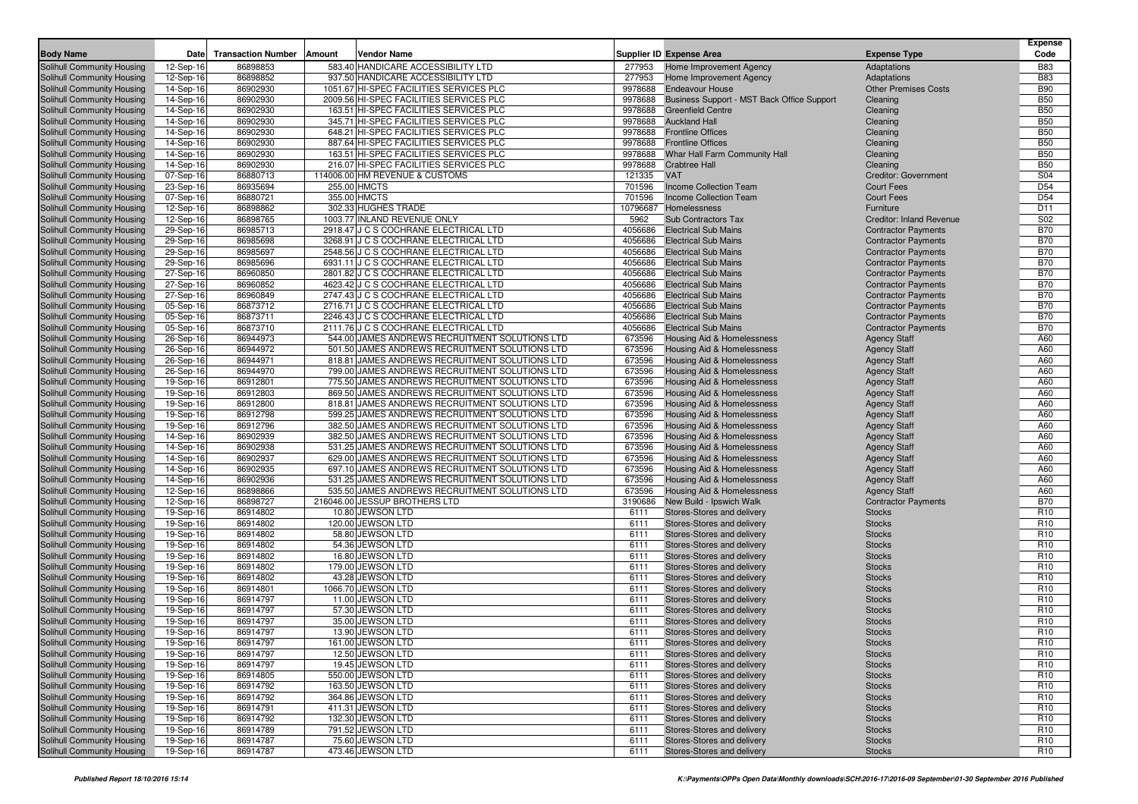| <b>Body Name</b>                                                       | Datel                  | <b>Transaction Number</b> | Amount | <b>Vendor Name</b>                                                                               |                  | <b>Supplier ID Expense Area</b>                              | <b>Expense Type</b>                                      | <b>Expense</b><br>Code             |
|------------------------------------------------------------------------|------------------------|---------------------------|--------|--------------------------------------------------------------------------------------------------|------------------|--------------------------------------------------------------|----------------------------------------------------------|------------------------------------|
| <b>Solihull Community Housing</b>                                      | 12-Sep-16              | 86898853                  |        | 583.40 HANDICARE ACCESSIBILITY LTD                                                               |                  | 277953 Home Improvement Agency                               | Adaptations                                              | <b>B83</b>                         |
| Solihull Community Housing                                             | 12-Sep-16              | 86898852                  |        | 937.50 HANDICARE ACCESSIBILITY LTD                                                               | 277953           | Home Improvement Agency                                      | Adaptations                                              | <b>B83</b>                         |
| Solihull Community Housing                                             | 14-Sep-16              | 86902930                  |        | 1051.67 HI-SPEC FACILITIES SERVICES PLC                                                          |                  | 9978688 Endeavour House                                      | <b>Other Premises Costs</b>                              | <b>B90</b>                         |
| Solihull Community Housing                                             | 14-Sep-16              | 86902930                  |        | 2009.56 HI-SPEC FACILITIES SERVICES PLC                                                          |                  | 9978688 Business Support - MST Back Office Support           | Cleaning                                                 | <b>B50</b>                         |
| Solihull Community Housing                                             | 14-Sep-16              | 86902930                  |        | 163.51 HI-SPEC FACILITIES SERVICES PLC                                                           |                  | 9978688 Greenfield Centre                                    | Cleaning                                                 | <b>B50</b>                         |
| Solihull Community Housing                                             | 14-Sep-16              | 86902930                  |        | 345.71 HI-SPEC FACILITIES SERVICES PLC                                                           |                  | 9978688 Auckland Hall                                        | Cleaning                                                 | <b>B50</b>                         |
| Solihull Community Housing                                             | 14-Sep-16              | 86902930                  |        | 648.21 HI-SPEC FACILITIES SERVICES PLC                                                           |                  | 9978688 Frontline Offices                                    | Cleaning                                                 | <b>B50</b><br><b>B50</b>           |
| Solihull Community Housing<br>Solihull Community Housing               | 14-Sep-16<br>14-Sep-16 | 86902930<br>86902930      |        | 887.64 HI-SPEC FACILITIES SERVICES PLC<br>163.51 HI-SPEC FACILITIES SERVICES PLC                 | 9978688          | 9978688 Frontline Offices<br>Whar Hall Farm Community Hall   | Cleaning<br>Cleaning                                     | <b>B50</b>                         |
| Solihull Community Housing                                             | 14-Sep-16              | 86902930                  |        | 216.07 HI-SPEC FACILITIES SERVICES PLC                                                           |                  | 9978688 Crabtree Hall                                        | Cleaning                                                 | <b>B50</b>                         |
| Solihull Community Housing                                             | 07-Sep-16              | 86880713                  |        | 114006.00 HM REVENUE & CUSTOMS                                                                   | 121335           | <b>VAT</b>                                                   | <b>Creditor: Government</b>                              | S04                                |
| Solihull Community Housing                                             | 23-Sep-16              | 86935694                  |        | 255.00 HMCTS                                                                                     | 701596           | Income Collection Team                                       | <b>Court Fees</b>                                        | D <sub>54</sub>                    |
| Solihull Community Housing                                             | 07-Sep-16              | 86880721                  |        | 355.00 HMCTS                                                                                     | 701596           | <b>Income Collection Team</b>                                | <b>Court Fees</b>                                        | D54                                |
| Solihull Community Housing                                             | 12-Sep-16              | 86898862                  |        | 302.33 HUGHES TRADE                                                                              |                  | 10796687 Homelessness                                        | Furniture                                                | D11                                |
| Solihull Community Housing                                             | 12-Sep-16              | 86898765                  |        | 1003.77 INLAND REVENUE ONLY                                                                      | 5962             | Sub Contractors Tax                                          | <b>Creditor: Inland Revenue</b>                          | S <sub>02</sub>                    |
| Solihull Community Housing                                             | 29-Sep-16              | 86985713                  |        | 2918.47 J C S COCHRANE ELECTRICAL LTD                                                            | 4056686          | <b>Electrical Sub Mains</b>                                  | <b>Contractor Payments</b>                               | <b>B70</b>                         |
| Solihull Community Housing                                             | 29-Sep-16              | 86985698                  |        | 3268.91 J C S COCHRANE ELECTRICAL LTD                                                            |                  | 4056686 Electrical Sub Mains                                 | <b>Contractor Payments</b>                               | <b>B70</b>                         |
| Solihull Community Housing                                             | 29-Sep-16              | 86985697                  |        | 2548.56 J C S COCHRANE ELECTRICAL LTD                                                            |                  | 4056686 Electrical Sub Mains                                 | <b>Contractor Payments</b>                               | <b>B70</b>                         |
| Solihull Community Housing                                             | 29-Sep-16              | 86985696                  |        | 6931.11 J C S COCHRANE ELECTRICAL LTD                                                            |                  | 4056686 Electrical Sub Mains                                 | <b>Contractor Payments</b>                               | <b>B70</b>                         |
| Solihull Community Housing                                             | 27-Sep-16              | 86960850                  |        | 2801.82 J C S COCHRANE ELECTRICAL LTD                                                            |                  | 4056686 Electrical Sub Mains                                 | <b>Contractor Payments</b>                               | <b>B70</b>                         |
| Solihull Community Housing                                             | 27-Sep-16              | 86960852                  |        | 4623.42 J C S COCHRANE ELECTRICAL LTD<br>2747.43 J C S COCHRANE ELECTRICAL LTD                   |                  | 4056686 Electrical Sub Mains<br>4056686 Electrical Sub Mains | <b>Contractor Payments</b>                               | <b>B70</b><br><b>B70</b>           |
| Solihull Community Housing<br>Solihull Community Housing               | 27-Sep-16<br>05-Sep-16 | 86960849<br>86873712      |        | 2716.71 J C S COCHRANE ELECTRICAL LTD                                                            |                  | 4056686 Electrical Sub Mains                                 | <b>Contractor Payments</b><br><b>Contractor Payments</b> | <b>B70</b>                         |
| Solihull Community Housing                                             | 05-Sep-16              | 86873711                  |        | 2246.43 J C S COCHRANE ELECTRICAL LTD                                                            |                  | 4056686 Electrical Sub Mains                                 | <b>Contractor Payments</b>                               | <b>B70</b>                         |
| Solihull Community Housing                                             | 05-Sep-16              | 86873710                  |        | 2111.76 J C S COCHRANE ELECTRICAL LTD                                                            | 4056686          | <b>Electrical Sub Mains</b>                                  | <b>Contractor Payments</b>                               | <b>B70</b>                         |
| Solihull Community Housing                                             | 26-Sep-16              | 86944973                  |        | 544.00 JAMES ANDREWS RECRUITMENT SOLUTIONS LTD                                                   | 673596           | Housing Aid & Homelessness                                   | <b>Agency Staff</b>                                      | A60                                |
| Solihull Community Housing                                             | 26-Sep-16              | 86944972                  |        | 501.50 JAMES ANDREWS RECRUITMENT SOLUTIONS LTD                                                   | 673596           | <b>Housing Aid &amp; Homelessness</b>                        | <b>Agency Staff</b>                                      | A60                                |
| Solihull Community Housing                                             | 26-Sep-16              | 86944971                  |        | 818.81 JAMES ANDREWS RECRUITMENT SOLUTIONS LTD                                                   | 673596           | Housing Aid & Homelessness                                   | <b>Agency Staff</b>                                      | A60                                |
| Solihull Community Housing                                             | 26-Sep-16              | 86944970                  |        | 799.00 JAMES ANDREWS RECRUITMENT SOLUTIONS LTD                                                   | 673596           | Housing Aid & Homelessness                                   | <b>Agency Staff</b>                                      | A60                                |
| Solihull Community Housing                                             | 19-Sep-16              | 86912801                  |        | 775.50 JAMES ANDREWS RECRUITMENT SOLUTIONS LTD                                                   | 673596           | Housing Aid & Homelessness                                   | <b>Agency Staff</b>                                      | A60                                |
| Solihull Community Housing                                             | 19-Sep-16              | 86912803                  |        | 869.50 JAMES ANDREWS RECRUITMENT SOLUTIONS LTD                                                   | 673596           | Housing Aid & Homelessness                                   | <b>Agency Staff</b>                                      | A60                                |
| Solihull Community Housing                                             | 19-Sep-16              | 86912800                  |        | 818.81 JAMES ANDREWS RECRUITMENT SOLUTIONS LTD                                                   | 673596           | Housing Aid & Homelessness                                   | <b>Agency Staff</b>                                      | A60                                |
| Solihull Community Housing                                             | 19-Sep-16              | 86912798                  |        | 599.25 JAMES ANDREWS RECRUITMENT SOLUTIONS LTD                                                   | 673596           | <b>Housing Aid &amp; Homelessness</b>                        | <b>Agency Staff</b>                                      | A60                                |
| Solihull Community Housing                                             | 19-Sep-16              | 86912796<br>86902939      |        | 382.50 JAMES ANDREWS RECRUITMENT SOLUTIONS LTD<br>382.50 JAMES ANDREWS RECRUITMENT SOLUTIONS LTD | 673596<br>673596 | <b>Housing Aid &amp; Homelessness</b>                        | <b>Agency Staff</b>                                      | A60<br>A60                         |
| Solihull Community Housing<br>Solihull Community Housing               | 14-Sep-16<br>14-Sep-16 | 86902938                  |        | 531.25 JAMES ANDREWS RECRUITMENT SOLUTIONS LTD                                                   | 673596           | Housing Aid & Homelessness<br>Housing Aid & Homelessness     | <b>Agency Staff</b><br><b>Agency Staff</b>               | A60                                |
| Solihull Community Housing                                             | 14-Sep-16              | 86902937                  |        | 629.00 JAMES ANDREWS RECRUITMENT SOLUTIONS LTD                                                   | 673596           | Housing Aid & Homelessness                                   | <b>Agency Staff</b>                                      | A60                                |
| Solihull Community Housing                                             | 14-Sep-16              | 86902935                  |        | 697.10 JAMES ANDREWS RECRUITMENT SOLUTIONS LTD                                                   | 673596           | Housing Aid & Homelessness                                   | <b>Agency Staff</b>                                      | A60                                |
| Solihull Community Housing                                             | 14-Sep-16              | 86902936                  |        | 531.25 JAMES ANDREWS RECRUITMENT SOLUTIONS LTD                                                   | 673596           | Housing Aid & Homelessness                                   | <b>Agency Staff</b>                                      | A60                                |
| Solihull Community Housing                                             | 12-Sep-16              | 86898866                  |        | 535.50 JAMES ANDREWS RECRUITMENT SOLUTIONS LTD                                                   | 673596           | Housing Aid & Homelessness                                   | <b>Agency Staff</b>                                      | A60                                |
| Solihull Community Housing                                             | 12-Sep-16              | 86898727                  |        | 216046.00 JESSUP BROTHERS LTD                                                                    | 3190686          | New Build - Ipswich Walk                                     | <b>Contractor Payments</b>                               | <b>B70</b>                         |
| Solihull Community Housing                                             | 19-Sep-16              | 86914802                  |        | 10.80 JEWSON LTD                                                                                 | 6111             | Stores-Stores and delivery                                   | <b>Stocks</b>                                            | R <sub>10</sub>                    |
| Solihull Community Housing                                             | 19-Sep-16              | 86914802                  |        | 120.00 JEWSON LTD                                                                                | 6111             | Stores-Stores and delivery                                   | <b>Stocks</b>                                            | R <sub>10</sub>                    |
| Solihull Community Housing                                             | 19-Sep-16              | 86914802                  |        | 58.80 JEWSON LTD                                                                                 | 6111             | Stores-Stores and delivery                                   | <b>Stocks</b>                                            | R <sub>10</sub>                    |
| Solihull Community Housing                                             | 19-Sep-16              | 86914802<br>86914802      |        | 54.36 JEWSON LTD<br>16.80 JEWSON LTD                                                             | 6111<br>6111     | Stores-Stores and delivery                                   | <b>Stocks</b>                                            | R <sub>10</sub><br>R <sub>10</sub> |
| Solihull Community Housing<br>Solihull Community Housing               | 19-Sep-16<br>19-Sep-16 | 86914802                  |        | 179.00 JEWSON LTD                                                                                | 6111             | Stores-Stores and delivery<br>Stores-Stores and delivery     | <b>Stocks</b><br><b>Stocks</b>                           | R <sub>10</sub>                    |
| Solihull Community Housing                                             | 19-Sep-16              | 86914802                  |        | 43.28 JEWSON LTD                                                                                 | 6111             | Stores-Stores and delivery                                   | <b>Stocks</b>                                            | R <sub>10</sub>                    |
| Solihull Community Housing                                             | 19-Sep-16              | 86914801                  |        | 1066.70 JEWSON LTD                                                                               | 6111             | Stores-Stores and delivery                                   | <b>Stocks</b>                                            | R <sub>10</sub>                    |
| Solihull Community Housing                                             | 19-Sep-16              | 86914797                  |        | 11.00 JEWSON LTD                                                                                 | 6111             | Stores-Stores and delivery                                   | <b>Stocks</b>                                            | R <sub>10</sub>                    |
| Solihull Community Housing                                             | 19-Sep-16              | 86914797                  |        | 57.30 JEWSON LTD                                                                                 | 6111             | Stores-Stores and delivery                                   | <b>Stocks</b>                                            | R <sub>10</sub>                    |
| Solihull Community Housing                                             | 19-Sep-16              | 86914797                  |        | 35.00 JEWSON LTD                                                                                 | 6111             | Stores-Stores and delivery                                   | <b>Stocks</b>                                            | R <sub>10</sub>                    |
| Solihull Community Housing                                             | 19-Sep-16              | 86914797                  |        | 13.90 JEWSON LTD                                                                                 | 6111             | Stores-Stores and delivery                                   | <b>Stocks</b>                                            | R <sub>10</sub>                    |
| Solihull Community Housing                                             | 19-Sep-16              | 86914797                  |        | 161.00 JEWSON LTD                                                                                | 6111             | Stores-Stores and delivery                                   | <b>Stocks</b>                                            | R <sub>10</sub>                    |
| Solihull Community Housing                                             | 19-Sep-16              | 86914797                  |        | 12.50 JEWSON LTD                                                                                 | 6111             | Stores-Stores and delivery                                   | <b>Stocks</b>                                            | R <sub>10</sub>                    |
| Solihull Community Housing                                             | 19-Sep-16              | 86914797                  |        | 19.45 JEWSON LTD                                                                                 | 6111             | Stores-Stores and delivery                                   | <b>Stocks</b>                                            | R <sub>10</sub>                    |
| Solihull Community Housing                                             | 19-Sep-16              | 86914805                  |        | 550.00 JEWSON LTD                                                                                | 6111             | Stores-Stores and delivery                                   | <b>Stocks</b>                                            | R <sub>10</sub>                    |
| Solihull Community Housing                                             | 19-Sep-16              | 86914792                  |        | 163.50 JEWSON LTD                                                                                | 6111             | Stores-Stores and delivery                                   | <b>Stocks</b>                                            | R <sub>10</sub>                    |
| <b>Solihull Community Housing</b><br><b>Solihull Community Housing</b> | 19-Sep-16<br>19-Sep-16 | 86914792<br>86914791      |        | 364.86 JEWSON LTD<br>411.31 JEWSON LTD                                                           | 6111<br>6111     | Stores-Stores and delivery<br>Stores-Stores and delivery     | <b>Stocks</b><br><b>Stocks</b>                           | R <sub>10</sub><br>R <sub>10</sub> |
| Solihull Community Housing                                             | 19-Sep-16              | 86914792                  |        | 132.30 JEWSON LTD                                                                                | 6111             | Stores-Stores and delivery                                   | <b>Stocks</b>                                            | R <sub>10</sub>                    |
| Solihull Community Housing                                             | 19-Sep-16              | 86914789                  |        | 791.52 JEWSON LTD                                                                                | 6111             | Stores-Stores and delivery                                   | <b>Stocks</b>                                            | R <sub>10</sub>                    |
| Solihull Community Housing                                             | 19-Sep-16              | 86914787                  |        | 75.60 JEWSON LTD                                                                                 | 6111             | Stores-Stores and delivery                                   | <b>Stocks</b>                                            | R <sub>10</sub>                    |
| Solihull Community Housing                                             | 19-Sep-16              | 86914787                  |        | 473.46 JEWSON LTD                                                                                | 6111             | Stores-Stores and delivery                                   | <b>Stocks</b>                                            | R <sub>10</sub>                    |
|                                                                        |                        |                           |        |                                                                                                  |                  |                                                              |                                                          |                                    |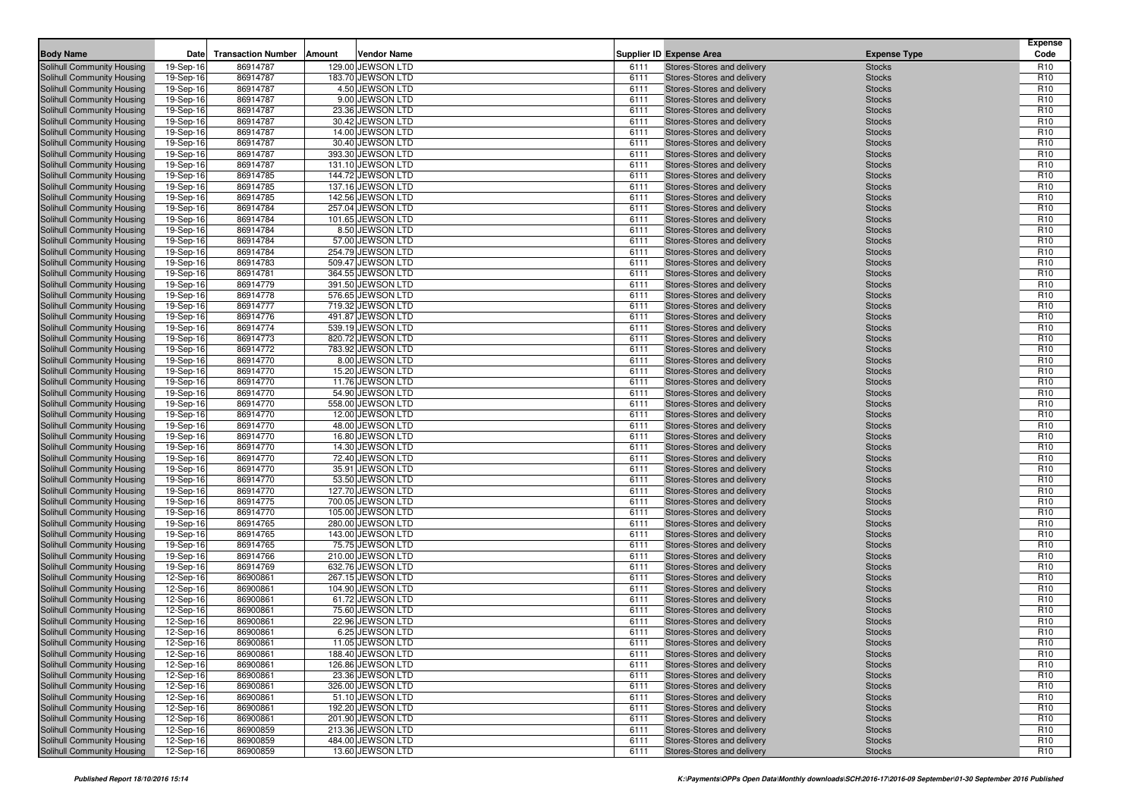| <b>Body Name</b>                                         | Datel                  | <b>Transaction Number</b> | Amount | <b>Vendor Name</b>                     |              | Supplier ID Expense Area                                 | <b>Expense Type</b>            | <b>Expense</b><br>Code             |
|----------------------------------------------------------|------------------------|---------------------------|--------|----------------------------------------|--------------|----------------------------------------------------------|--------------------------------|------------------------------------|
| Solihull Community Housing                               | 19-Sep-16              | 86914787                  |        | 129.00 JEWSON LTD                      | 6111         | Stores-Stores and delivery                               | <b>Stocks</b>                  | R <sub>10</sub>                    |
| Solihull Community Housing                               | 19-Sep-16              | 86914787                  |        | 183.70 JEWSON LTD                      | 6111         | Stores-Stores and delivery                               | <b>Stocks</b>                  | R <sub>10</sub>                    |
| Solihull Community Housing                               | 19-Sep-16              | 86914787                  |        | 4.50 JEWSON LTD                        | 6111         | Stores-Stores and delivery                               | <b>Stocks</b>                  | R <sub>10</sub>                    |
| Solihull Community Housing                               | 19-Sep-16              | 86914787                  |        | 9.00 JEWSON LTD                        | 6111         | Stores-Stores and delivery                               | <b>Stocks</b>                  | R <sub>10</sub>                    |
| Solihull Community Housing                               | 19-Sep-16              | 86914787                  |        | 23.36 JEWSON LTD                       | 6111         | Stores-Stores and delivery                               | <b>Stocks</b>                  | R <sub>10</sub>                    |
| Solihull Community Housing                               | 19-Sep-16              | 86914787                  |        | 30.42 JEWSON LTD                       | 6111         | Stores-Stores and delivery                               | <b>Stocks</b>                  | R <sub>10</sub>                    |
| Solihull Community Housing                               | 19-Sep-16              | 86914787                  |        | 14.00 JEWSON LTD                       | 6111         | Stores-Stores and delivery                               | <b>Stocks</b>                  | R <sub>10</sub>                    |
| Solihull Community Housing                               | 19-Sep-16              | 86914787                  |        | 30.40 JEWSON LTD                       | 6111         | Stores-Stores and delivery                               | <b>Stocks</b>                  | R <sub>10</sub>                    |
| Solihull Community Housing                               | 19-Sep-16              | 86914787                  |        | 393.30 JEWSON LTD                      | 6111         | Stores-Stores and delivery                               | <b>Stocks</b>                  | R <sub>10</sub>                    |
| Solihull Community Housing                               | 19-Sep-16              | 86914787                  |        | 131.10 JEWSON LTD                      | 6111         | Stores-Stores and delivery                               | <b>Stocks</b>                  | R <sub>10</sub>                    |
| Solihull Community Housing                               | 19-Sep-16              | 86914785                  |        | 144.72 JEWSON LTD                      | 6111         | Stores-Stores and delivery                               | <b>Stocks</b>                  | R <sub>10</sub>                    |
| Solihull Community Housing                               | 19-Sep-16              | 86914785                  |        | 137.16 JEWSON LTD                      | 6111         | Stores-Stores and delivery                               | <b>Stocks</b>                  | R <sub>10</sub>                    |
| Solihull Community Housing                               | 19-Sep-16              | 86914785                  |        | 142.56 JEWSON LTD                      | 6111         | Stores-Stores and delivery                               | <b>Stocks</b>                  | R <sub>10</sub>                    |
| Solihull Community Housing                               | 19-Sep-16              | 86914784                  |        | 257.04 JEWSON LTD                      | 6111         | Stores-Stores and delivery                               | <b>Stocks</b>                  | R <sub>10</sub>                    |
| Solihull Community Housing                               | 19-Sep-16              | 86914784                  |        | 101.65 JEWSON LTD                      | 6111         | Stores-Stores and delivery                               | <b>Stocks</b>                  | R <sub>10</sub>                    |
| Solihull Community Housing                               | 19-Sep-16              | 86914784                  |        | 8.50 JEWSON LTD                        | 6111         | Stores-Stores and delivery                               | <b>Stocks</b>                  | R <sub>10</sub>                    |
| Solihull Community Housing                               | 19-Sep-16              | 86914784                  |        | 57.00 JEWSON LTD                       | 6111         | Stores-Stores and delivery                               | <b>Stocks</b>                  | R <sub>10</sub>                    |
| Solihull Community Housing                               | 19-Sep-16              | 86914784<br>86914783      |        | 254.79 JEWSON LTD<br>509.47 JEWSON LTD | 6111<br>6111 | Stores-Stores and delivery                               | <b>Stocks</b>                  | R <sub>10</sub><br>R <sub>10</sub> |
| Solihull Community Housing<br>Solihull Community Housing | 19-Sep-16<br>19-Sep-16 | 86914781                  |        | 364.55 JEWSON LTD                      | 6111         | Stores-Stores and delivery<br>Stores-Stores and delivery | <b>Stocks</b><br><b>Stocks</b> | R <sub>10</sub>                    |
| Solihull Community Housing                               | 19-Sep-16              | 86914779                  |        | 391.50 JEWSON LTD                      | 6111         | Stores-Stores and delivery                               | <b>Stocks</b>                  | R <sub>10</sub>                    |
| Solihull Community Housing                               | 19-Sep-16              | 86914778                  |        | 576.65 JEWSON LTD                      | 6111         | Stores-Stores and delivery                               | <b>Stocks</b>                  | R <sub>10</sub>                    |
| Solihull Community Housing                               | 19-Sep-16              | 86914777                  |        | 719.32 JEWSON LTD                      | 6111         | Stores-Stores and delivery                               | <b>Stocks</b>                  | R <sub>10</sub>                    |
| Solihull Community Housing                               | 19-Sep-16              | 86914776                  |        | 491.87 JEWSON LTD                      | 6111         | Stores-Stores and delivery                               | <b>Stocks</b>                  | R <sub>10</sub>                    |
| Solihull Community Housing                               | 19-Sep-16              | 86914774                  |        | 539.19 JEWSON LTD                      | 6111         | Stores-Stores and delivery                               | <b>Stocks</b>                  | R <sub>10</sub>                    |
| Solihull Community Housing                               | 19-Sep-16              | 86914773                  |        | 820.72 JEWSON LTD                      | 6111         | Stores-Stores and delivery                               | <b>Stocks</b>                  | R <sub>10</sub>                    |
| Solihull Community Housing                               | 19-Sep-16              | 86914772                  |        | 783.92 JEWSON LTD                      | 6111         | Stores-Stores and delivery                               | <b>Stocks</b>                  | R <sub>10</sub>                    |
| Solihull Community Housing                               | 19-Sep-16              | 86914770                  |        | 8.00 JEWSON LTD                        | 6111         | Stores-Stores and delivery                               | <b>Stocks</b>                  | R <sub>10</sub>                    |
| Solihull Community Housing                               | 19-Sep-16              | 86914770                  |        | 15.20 JEWSON LTD                       | 6111         | Stores-Stores and delivery                               | <b>Stocks</b>                  | R <sub>10</sub>                    |
| Solihull Community Housing                               | 19-Sep-16              | 86914770                  |        | 11.76 JEWSON LTD                       | 6111         | Stores-Stores and delivery                               | <b>Stocks</b>                  | R <sub>10</sub>                    |
| Solihull Community Housing                               | 19-Sep-16              | 86914770                  |        | 54.90 JEWSON LTD                       | 6111         | Stores-Stores and delivery                               | <b>Stocks</b>                  | R <sub>10</sub>                    |
| Solihull Community Housing                               | 19-Sep-16              | 86914770                  |        | 558.00 JEWSON LTD                      | 6111         | Stores-Stores and delivery                               | <b>Stocks</b>                  | R <sub>10</sub>                    |
| Solihull Community Housing                               | 19-Sep-16              | 86914770                  |        | 12.00 JEWSON LTD                       | 6111         | Stores-Stores and delivery                               | <b>Stocks</b>                  | R <sub>10</sub>                    |
| Solihull Community Housing                               | 19-Sep-16              | 86914770                  |        | 48.00 JEWSON LTD                       | 6111         | Stores-Stores and delivery                               | <b>Stocks</b>                  | R <sub>10</sub>                    |
| Solihull Community Housing                               | 19-Sep-16              | 86914770                  |        | 16.80 JEWSON LTD                       | 6111         | Stores-Stores and delivery                               | <b>Stocks</b>                  | R <sub>10</sub>                    |
| Solihull Community Housing                               | 19-Sep-16              | 86914770                  |        | 14.30 JEWSON LTD                       | 6111         | Stores-Stores and delivery                               | <b>Stocks</b>                  | R <sub>10</sub>                    |
| Solihull Community Housing                               | 19-Sep-16              | 86914770                  |        | 72.40 JEWSON LTD                       | 6111         | Stores-Stores and delivery                               | <b>Stocks</b>                  | R <sub>10</sub>                    |
| Solihull Community Housing                               | 19-Sep-16              | 86914770                  |        | 35.91 JEWSON LTD                       | 6111         | Stores-Stores and delivery                               | <b>Stocks</b>                  | R <sub>10</sub>                    |
| Solihull Community Housing                               | 19-Sep-16              | 86914770                  |        | 53.50 JEWSON LTD                       | 6111         | Stores-Stores and delivery                               | <b>Stocks</b>                  | R <sub>10</sub>                    |
| Solihull Community Housing                               | 19-Sep-16              | 86914770                  |        | 127.70 JEWSON LTD                      | 6111         | Stores-Stores and delivery                               | <b>Stocks</b>                  | R <sub>10</sub>                    |
| Solihull Community Housing                               | 19-Sep-16              | 86914775                  |        | 700.05 JEWSON LTD                      | 6111         | Stores-Stores and delivery                               | <b>Stocks</b>                  | R <sub>10</sub>                    |
| Solihull Community Housing                               | 19-Sep-16              | 86914770                  |        | 105.00 JEWSON LTD                      | 6111         | Stores-Stores and delivery                               | <b>Stocks</b>                  | R <sub>10</sub>                    |
| Solihull Community Housing                               | 19-Sep-16              | 86914765                  |        | 280.00 JEWSON LTD                      | 6111         | Stores-Stores and delivery                               | <b>Stocks</b>                  | R <sub>10</sub><br>R <sub>10</sub> |
| Solihull Community Housing<br>Solihull Community Housing | 19-Sep-16              | 86914765<br>86914765      |        | 143.00 JEWSON LTD<br>75.75 JEWSON LTD  | 6111<br>6111 | Stores-Stores and delivery<br>Stores-Stores and delivery | <b>Stocks</b><br><b>Stocks</b> | R <sub>10</sub>                    |
| Solihull Community Housing                               | 19-Sep-16<br>19-Sep-16 | 86914766                  |        | 210.00 JEWSON LTD                      | 6111         | Stores-Stores and delivery                               | <b>Stocks</b>                  | R <sub>10</sub>                    |
| Solihull Community Housing                               | 19-Sep-16              | 86914769                  |        | 632.76 JEWSON LTD                      | 6111         | Stores-Stores and delivery                               | <b>Stocks</b>                  | R <sub>10</sub>                    |
| Solihull Community Housing                               | 12-Sep-16              | 86900861                  |        | 267.15 JEWSON LTD                      | 6111         | Stores-Stores and delivery                               | <b>Stocks</b>                  | R <sub>10</sub>                    |
| Solihull Community Housing                               | 12-Sep-16              | 86900861                  |        | 104.90 JEWSON LTD                      | 6111         | Stores-Stores and delivery                               | <b>Stocks</b>                  | R <sub>10</sub>                    |
| Solihull Community Housing                               | 12-Sep-16              | 86900861                  |        | 61.72 JEWSON LTD                       | 6111         | Stores-Stores and delivery                               | <b>Stocks</b>                  | R <sub>10</sub>                    |
| Solihull Community Housing                               | 12-Sep-16              | 86900861                  |        | 75.60 JEWSON LTD                       | 6111         | Stores-Stores and delivery                               | <b>Stocks</b>                  | R <sub>10</sub>                    |
| Solihull Community Housing                               | 12-Sep-16              | 86900861                  |        | 22.96 JEWSON LTD                       | 6111         | Stores-Stores and delivery                               | <b>Stocks</b>                  | R <sub>10</sub>                    |
| Solihull Community Housing                               | 12-Sep-16              | 86900861                  |        | 6.25 JEWSON LTD                        | 6111         | Stores-Stores and delivery                               | <b>Stocks</b>                  | R <sub>10</sub>                    |
| Solihull Community Housing                               | 12-Sep-16              | 86900861                  |        | 11.05 JEWSON LTD                       | 6111         | Stores-Stores and delivery                               | <b>Stocks</b>                  | R <sub>10</sub>                    |
| Solihull Community Housing                               | 12-Sep-16              | 86900861                  |        | 188.40 JEWSON LTD                      | 6111         | Stores-Stores and delivery                               | <b>Stocks</b>                  | R <sub>10</sub>                    |
| Solihull Community Housing                               | 12-Sep-16              | 86900861                  |        | 126.86 JEWSON LTD                      | 6111         | Stores-Stores and delivery                               | <b>Stocks</b>                  | R <sub>10</sub>                    |
| Solihull Community Housing                               | 12-Sep-16              | 86900861                  |        | 23.36 JEWSON LTD                       | 6111         | Stores-Stores and delivery                               | <b>Stocks</b>                  | R <sub>10</sub>                    |
| Solihull Community Housing                               | 12-Sep-16              | 86900861                  |        | 326.00 JEWSON LTD                      | 6111         | Stores-Stores and delivery                               | <b>Stocks</b>                  | R <sub>10</sub>                    |
| Solihull Community Housing                               | 12-Sep-16              | 86900861                  |        | 51.10 JEWSON LTD                       | 6111         | Stores-Stores and delivery                               | <b>Stocks</b>                  | R <sub>10</sub>                    |
| Solihull Community Housing                               | 12-Sep-16              | 86900861                  |        | 192.20 JEWSON LTD                      | 6111         | Stores-Stores and delivery                               | <b>Stocks</b>                  | R <sub>10</sub>                    |
| Solihull Community Housing                               | 12-Sep-16              | 86900861                  |        | 201.90 JEWSON LTD                      | 6111         | Stores-Stores and delivery                               | <b>Stocks</b>                  | R <sub>10</sub>                    |
| Solihull Community Housing                               | 12-Sep-16              | 86900859                  |        | 213.36 JEWSON LTD                      | 6111         | Stores-Stores and delivery                               | <b>Stocks</b>                  | R <sub>10</sub>                    |
| Solihull Community Housing                               | 12-Sep-16              | 86900859                  |        | 484.00 JEWSON LTD                      | 6111         | Stores-Stores and delivery                               | <b>Stocks</b>                  | R <sub>10</sub>                    |
| Solihull Community Housing                               | 12-Sep-16              | 86900859                  |        | 13.60 JEWSON LTD                       | 6111         | Stores-Stores and delivery                               | <b>Stocks</b>                  | R <sub>10</sub>                    |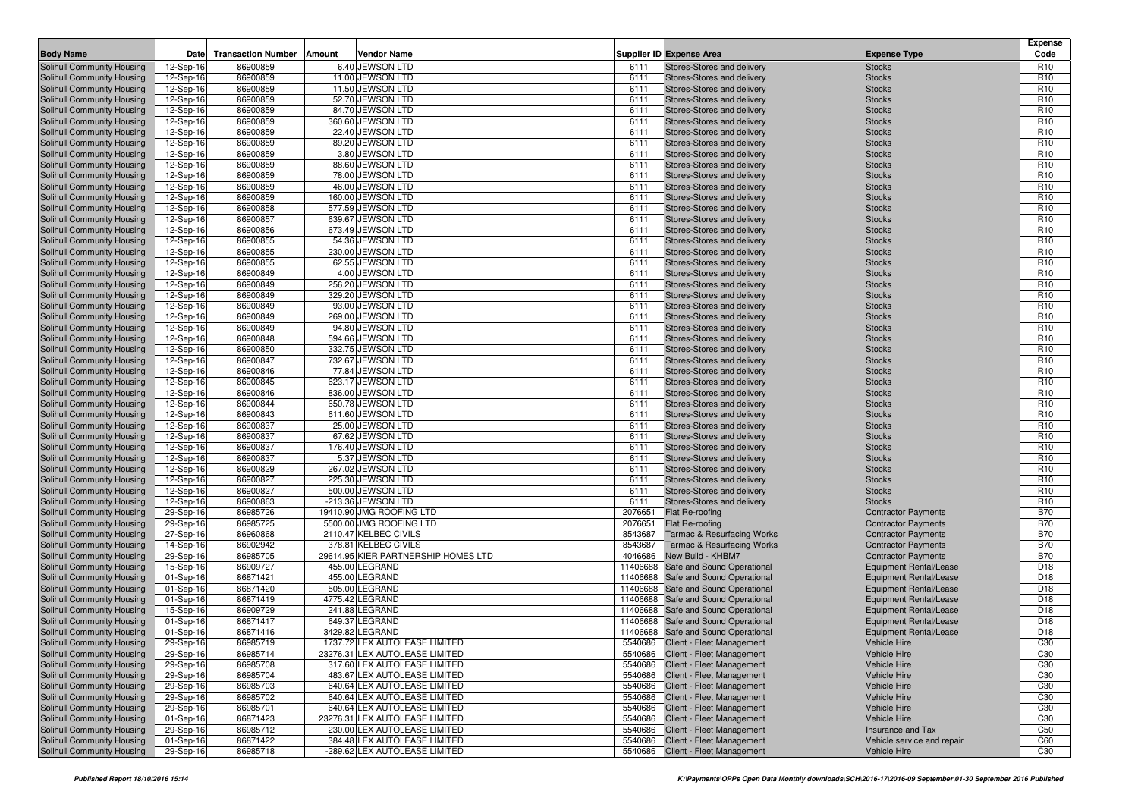| <b>Body Name</b>                                         | Datel                  | <b>Transaction Number</b> | Amount | Vendor Name                                                     |              | <b>Supplier ID Expense Area</b>                                        | <b>Expense Type</b>            | <b>Expense</b><br>Code             |
|----------------------------------------------------------|------------------------|---------------------------|--------|-----------------------------------------------------------------|--------------|------------------------------------------------------------------------|--------------------------------|------------------------------------|
|                                                          |                        |                           |        |                                                                 |              |                                                                        |                                |                                    |
| Solihull Community Housing                               | 12-Sep-16              | 86900859<br>86900859      |        | 6.40 JEWSON LTD<br>11.00 JEWSON LTD                             | 6111<br>6111 | Stores-Stores and delivery<br>Stores-Stores and delivery               | <b>Stocks</b>                  | R <sub>10</sub><br>R <sub>10</sub> |
| Solihull Community Housing<br>Solihull Community Housing | 12-Sep-16<br>12-Sep-16 | 86900859                  |        | 11.50 JEWSON LTD                                                | 6111         | Stores-Stores and delivery                                             | <b>Stocks</b><br><b>Stocks</b> | R <sub>10</sub>                    |
| Solihull Community Housing                               | 12-Sep-16              | 86900859                  |        | 52.70 JEWSON LTD                                                | 6111         | Stores-Stores and delivery                                             | <b>Stocks</b>                  | R <sub>10</sub>                    |
| Solihull Community Housing                               | 12-Sep-16              | 86900859                  |        | 84.70 JEWSON LTD                                                | 6111         | Stores-Stores and delivery                                             | <b>Stocks</b>                  | R <sub>10</sub>                    |
| Solihull Community Housing                               | 12-Sep-16              | 86900859                  |        | 360.60 JEWSON LTD                                               | 6111         | Stores-Stores and delivery                                             | <b>Stocks</b>                  | R <sub>10</sub>                    |
| Solihull Community Housing                               | 12-Sep-16              | 86900859                  |        | 22.40 JEWSON LTD                                                | 6111         | Stores-Stores and delivery                                             | <b>Stocks</b>                  | R <sub>10</sub>                    |
| Solihull Community Housing                               | 12-Sep-16              | 86900859                  |        | 89.20 JEWSON LTD                                                | 6111         | Stores-Stores and delivery                                             | <b>Stocks</b>                  | R <sub>10</sub>                    |
| Solihull Community Housing                               | 12-Sep-16              | 86900859                  |        | 3.80 JEWSON LTD                                                 | 6111         | Stores-Stores and delivery                                             | <b>Stocks</b>                  | R <sub>10</sub>                    |
| <b>Solihull Community Housing</b>                        | 12-Sep-16              | 86900859                  |        | 88.60 JEWSON LTD                                                | 6111         | Stores-Stores and delivery                                             | <b>Stocks</b>                  | R <sub>10</sub>                    |
| Solihull Community Housing                               | 12-Sep-16              | 86900859                  |        | 78.00 JEWSON LTD                                                | 6111         | Stores-Stores and delivery                                             | <b>Stocks</b>                  | R <sub>10</sub>                    |
| Solihull Community Housing                               | 12-Sep-16              | 86900859                  |        | 46.00 JEWSON LTD                                                | 6111         | Stores-Stores and delivery                                             | <b>Stocks</b>                  | R <sub>10</sub>                    |
| <b>Solihull Community Housing</b>                        | 12-Sep-16              | 86900859                  |        | 160.00 JEWSON LTD                                               | 6111         | Stores-Stores and delivery                                             | <b>Stocks</b>                  | R <sub>10</sub>                    |
| Solihull Community Housing                               | 12-Sep-16              | 86900858                  |        | 577.59 JEWSON LTD                                               | 6111         | Stores-Stores and delivery                                             | <b>Stocks</b>                  | R <sub>10</sub>                    |
| Solihull Community Housing                               | 12-Sep-16              | 86900857                  |        | 639.67 JEWSON LTD                                               | 6111         | Stores-Stores and delivery                                             | <b>Stocks</b>                  | R <sub>10</sub>                    |
| Solihull Community Housing                               | 12-Sep-16              | 86900856                  |        | 673.49 JEWSON LTD                                               | 6111         | Stores-Stores and delivery                                             | <b>Stocks</b>                  | R <sub>10</sub>                    |
| Solihull Community Housing                               | 12-Sep-16              | 86900855                  |        | 54.36 JEWSON LTD                                                | 6111         | Stores-Stores and delivery                                             | <b>Stocks</b>                  | R <sub>10</sub>                    |
| Solihull Community Housing                               | 12-Sep-16              | 86900855                  |        | 230.00 JEWSON LTD                                               | 6111         | Stores-Stores and delivery                                             | <b>Stocks</b>                  | R <sub>10</sub>                    |
| Solihull Community Housing                               | 12-Sep-16              | 86900855                  |        | 62.55 JEWSON LTD                                                | 6111         | Stores-Stores and delivery                                             | <b>Stocks</b>                  | R <sub>10</sub>                    |
| Solihull Community Housing                               | 12-Sep-16              | 86900849                  |        | 4.00 JEWSON LTD                                                 | 6111         | Stores-Stores and delivery                                             | <b>Stocks</b>                  | R <sub>10</sub>                    |
| Solihull Community Housing                               | 12-Sep-16              | 86900849                  |        | 256.20 JEWSON LTD                                               | 6111         | Stores-Stores and delivery                                             | <b>Stocks</b>                  | R <sub>10</sub>                    |
| Solihull Community Housing                               | 12-Sep-16              | 86900849                  |        | 329.20 JEWSON LTD                                               | 6111         | Stores-Stores and delivery                                             | <b>Stocks</b>                  | R <sub>10</sub>                    |
| Solihull Community Housing                               | 12-Sep-16              | 86900849                  |        | 93.00 JEWSON LTD                                                | 6111         | Stores-Stores and delivery                                             | <b>Stocks</b>                  | R <sub>10</sub>                    |
| Solihull Community Housing                               | 12-Sep-16              | 86900849                  |        | 269.00 JEWSON LTD                                               | 6111         | Stores-Stores and delivery                                             | <b>Stocks</b>                  | R <sub>10</sub>                    |
| Solihull Community Housing                               | 12-Sep-16              | 86900849                  |        | 94.80 JEWSON LTD                                                | 6111         | Stores-Stores and delivery                                             | <b>Stocks</b>                  | R <sub>10</sub>                    |
| Solihull Community Housing                               | 12-Sep-16              | 86900848                  |        | 594.66 JEWSON LTD                                               | 6111         | Stores-Stores and delivery                                             | <b>Stocks</b>                  | R <sub>10</sub>                    |
| Solihull Community Housing                               | 12-Sep-16              | 86900850                  |        | 332.75 JEWSON LTD                                               | 6111         | Stores-Stores and delivery                                             | <b>Stocks</b>                  | R <sub>10</sub>                    |
| Solihull Community Housing<br>Solihull Community Housing | 12-Sep-16              | 86900847                  |        | 732.67 JEWSON LTD                                               | 6111         | Stores-Stores and delivery                                             | <b>Stocks</b>                  | R <sub>10</sub><br>R <sub>10</sub> |
| Solihull Community Housing                               | 12-Sep-16              | 86900846<br>86900845      |        | 77.84 JEWSON LTD<br>623.17 JEWSON LTD                           | 6111<br>6111 | Stores-Stores and delivery<br>Stores-Stores and delivery               | <b>Stocks</b><br><b>Stocks</b> | R <sub>10</sub>                    |
| Solihull Community Housing                               | 12-Sep-16<br>12-Sep-16 | 86900846                  |        | 836.00 JEWSON LTD                                               | 6111         | Stores-Stores and delivery                                             | <b>Stocks</b>                  | R <sub>10</sub>                    |
| Solihull Community Housing                               | 12-Sep-16              | 86900844                  |        | 650.78 JEWSON LTD                                               | 6111         | Stores-Stores and delivery                                             | <b>Stocks</b>                  | R <sub>10</sub>                    |
| Solihull Community Housing                               | 12-Sep-16              | 86900843                  |        | 611.60 JEWSON LTD                                               | 6111         | Stores-Stores and delivery                                             | <b>Stocks</b>                  | R <sub>10</sub>                    |
| Solihull Community Housing                               | 12-Sep-16              | 86900837                  |        | 25.00 JEWSON LTD                                                | 6111         | Stores-Stores and delivery                                             | <b>Stocks</b>                  | R <sub>10</sub>                    |
| Solihull Community Housing                               | 12-Sep-16              | 86900837                  |        | 67.62 JEWSON LTD                                                | 6111         | Stores-Stores and delivery                                             | <b>Stocks</b>                  | R <sub>10</sub>                    |
| Solihull Community Housing                               | 12-Sep-16              | 86900837                  |        | 176.40 JEWSON LTD                                               | 6111         | Stores-Stores and delivery                                             | <b>Stocks</b>                  | R <sub>10</sub>                    |
| Solihull Community Housing                               | 12-Sep-16              | 86900837                  |        | 5.37 JEWSON LTD                                                 | 6111         | Stores-Stores and delivery                                             | <b>Stocks</b>                  | R <sub>10</sub>                    |
| Solihull Community Housing                               | 12-Sep-16              | 86900829                  |        | 267.02 JEWSON LTD                                               | 6111         | Stores-Stores and delivery                                             | <b>Stocks</b>                  | R <sub>10</sub>                    |
| Solihull Community Housing                               | 12-Sep-16              | 86900827                  |        | 225.30 JEWSON LTD                                               | 6111         | Stores-Stores and delivery                                             | <b>Stocks</b>                  | R <sub>10</sub>                    |
| Solihull Community Housing                               | 12-Sep-16              | 86900827                  |        | 500.00 JEWSON LTD                                               | 6111         | Stores-Stores and delivery                                             | <b>Stocks</b>                  | R <sub>10</sub>                    |
| Solihull Community Housing                               | 12-Sep-16              | 86900863                  |        | -213.36 JEWSON LTD                                              | 6111         | Stores-Stores and delivery                                             | <b>Stocks</b>                  | R <sub>10</sub>                    |
| Solihull Community Housing                               | 29-Sep-16              | 86985726                  |        | 19410.90 JMG ROOFING LTD                                        | 2076651      | Flat Re-roofing                                                        | <b>Contractor Payments</b>     | <b>B70</b>                         |
| Solihull Community Housing                               | 29-Sep-16              | 86985725                  |        | 5500.00 JMG ROOFING LTD                                         |              | 2076651 Flat Re-roofing                                                | <b>Contractor Payments</b>     | <b>B70</b>                         |
| Solihull Community Housing                               | 27-Sep-16              | 86960868                  |        | 2110.47 KELBEC CIVILS                                           | 8543687      | <b>Tarmac &amp; Resurfacing Works</b>                                  | <b>Contractor Payments</b>     | <b>B70</b>                         |
| Solihull Community Housing                               | 14-Sep-16              | 86902942                  |        | 378.81 KELBEC CIVILS                                            | 8543687      | <b>Tarmac &amp; Resurfacing Works</b>                                  | <b>Contractor Payments</b>     | <b>B70</b>                         |
| Solihull Community Housing                               | 29-Sep-16              | 86985705                  |        | 29614.95 KIER PARTNERSHIP HOMES LTD                             | 4046686      | New Build - KHBM7                                                      | <b>Contractor Payments</b>     | <b>B70</b>                         |
| Solihull Community Housing                               | 15-Sep-16              | 86909727                  |        | 455.00 LEGRAND                                                  |              | 11406688 Safe and Sound Operational                                    | Equipment Rental/Lease         | D <sub>18</sub>                    |
| Solihull Community Housing                               | $01-Sep-16$            | 86871421                  |        | 455.00 LEGRAND                                                  |              | 11406688 Safe and Sound Operational                                    | Equipment Rental/Lease         | D <sub>18</sub>                    |
| Solihull Community Housing                               | $01-Sep-16$            | 86871420                  |        | 505.00 LEGRAND                                                  |              | 11406688 Safe and Sound Operational                                    | Equipment Rental/Lease         | D <sub>18</sub>                    |
| Solihull Community Housing                               | $01-Sep-16$            | 86871419                  |        | 4775.42 LEGRAND                                                 |              | 11406688 Safe and Sound Operational                                    | Equipment Rental/Lease         | D <sub>18</sub>                    |
| Solihull Community Housing                               | 15-Sep-16              | 86909729                  |        | 241.88 LEGRAND                                                  |              | 11406688 Safe and Sound Operational                                    | Equipment Rental/Lease         | D <sub>18</sub>                    |
| Solihull Community Housing                               | 01-Sep-16              | 86871417                  |        | 649.37 LEGRAND                                                  |              | 11406688 Safe and Sound Operational                                    | Equipment Rental/Lease         | D18                                |
| Solihull Community Housing                               | 01-Sep-16              | 86871416                  |        | 3429.82 LEGRAND                                                 |              | 11406688 Safe and Sound Operational                                    | Equipment Rental/Lease         | D18                                |
| Solihull Community Housing<br>Solihull Community Housing | 29-Sep-16<br>29-Sep-16 | 86985719<br>86985714      |        | 1737.72 LEX AUTOLEASE LIMITED<br>23276.31 LEX AUTOLEASE LIMITED |              | 5540686 Client - Fleet Management<br>5540686 Client - Fleet Management | Vehicle Hire<br>Vehicle Hire   | C30<br>C <sub>30</sub>             |
| Solihull Community Housing                               | 29-Sep-16              | 86985708                  |        | 317.60 LEX AUTOLEASE LIMITED                                    |              | 5540686 Client - Fleet Management                                      | Vehicle Hire                   | C <sub>30</sub>                    |
| Solihull Community Housing                               | 29-Sep-16              | 86985704                  |        | 483.67 LEX AUTOLEASE LIMITED                                    |              | 5540686 Client - Fleet Management                                      | Vehicle Hire                   | C <sub>30</sub>                    |
| Solihull Community Housing                               | 29-Sep-16              | 86985703                  |        | 640.64 LEX AUTOLEASE LIMITED                                    |              | 5540686 Client - Fleet Management                                      | Vehicle Hire                   | C <sub>30</sub>                    |
| Solihull Community Housing                               | 29-Sep-16              | 86985702                  |        | 640.64 LEX AUTOLEASE LIMITED                                    |              | 5540686 Client - Fleet Management                                      | Vehicle Hire                   | C <sub>30</sub>                    |
| <b>Solihull Community Housing</b>                        | 29-Sep-16              | 86985701                  |        | 640.64 LEX AUTOLEASE LIMITED                                    |              | 5540686 Client - Fleet Management                                      | Vehicle Hire                   | C30                                |
| Solihull Community Housing                               | 01-Sep-16              | 86871423                  |        | 23276.31 LEX AUTOLEASE LIMITED                                  | 5540686      | Client - Fleet Management                                              | Vehicle Hire                   | C <sub>30</sub>                    |
| Solihull Community Housing                               | 29-Sep-16              | 86985712                  |        | 230.00 LEX AUTOLEASE LIMITED                                    |              | 5540686 Client - Fleet Management                                      | Insurance and Tax              | C50                                |
| Solihull Community Housing                               | 01-Sep-16              | 86871422                  |        | 384.48 LEX AUTOLEASE LIMITED                                    |              | 5540686 Client - Fleet Management                                      | Vehicle service and repair     | C60                                |
| Solihull Community Housing                               | 29-Sep-16              | 86985718                  |        | -289.62 LEX AUTOLEASE LIMITED                                   |              | 5540686 Client - Fleet Management                                      | Vehicle Hire                   | C30                                |
|                                                          |                        |                           |        |                                                                 |              |                                                                        |                                |                                    |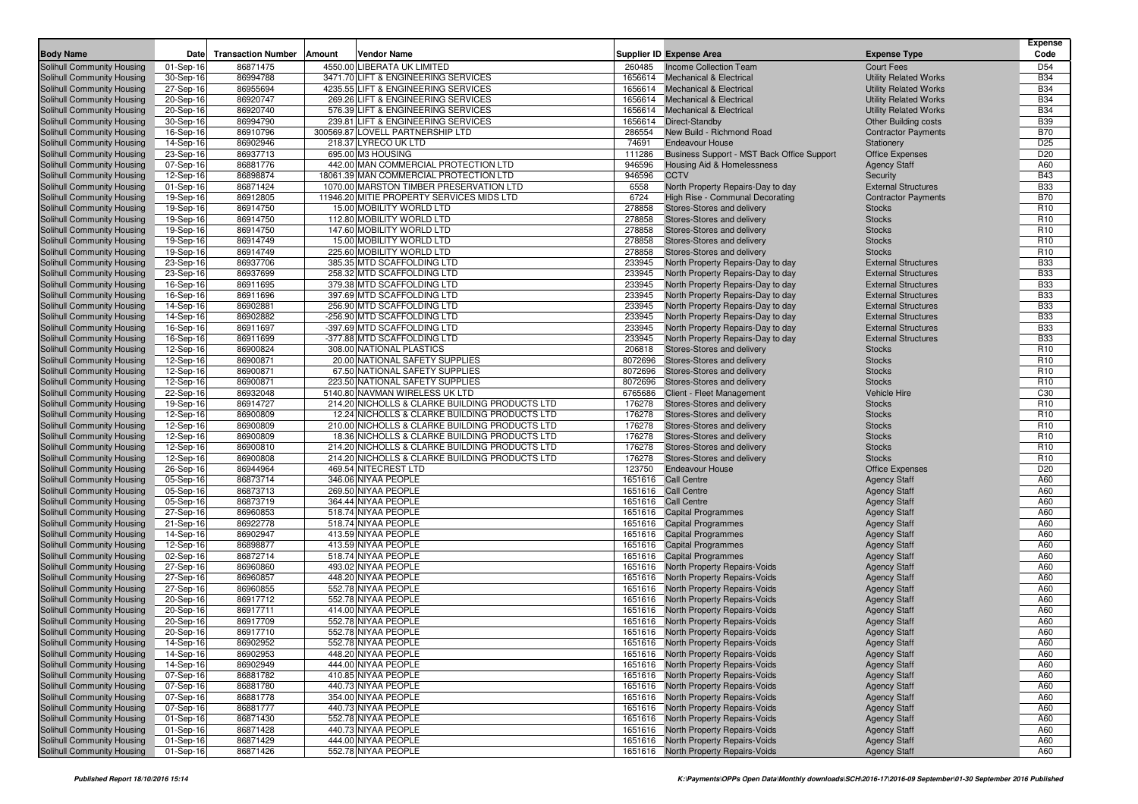| D <sub>54</sub><br>86871475<br>4550.00 LIBERATA UK LIMITED<br><b>Income Collection Team</b><br><b>Court Fees</b><br>Solihull Community Housing<br>01-Sep-16<br>260485<br>86994788<br>3471.70 LIFT & ENGINEERING SERVICES<br><b>Utility Related Works</b><br><b>B34</b><br>Solihull Community Housing<br>30-Sep-16<br>1656614 Mechanical & Electrical<br>86955694<br>4235.55 LIFT & ENGINEERING SERVICES<br>1656614 Mechanical & Electrical<br><b>Utility Related Works</b><br><b>B34</b><br>Solihull Community Housing<br>27-Sep-16<br><b>B34</b><br>86920747<br>269.26 LIFT & ENGINEERING SERVICES<br>1656614 Mechanical & Electrical<br>Solihull Community Housing<br>20-Sep-16<br><b>Utility Related Works</b><br>1656614 Mechanical & Electrical<br><b>B34</b><br>Solihull Community Housing<br>20-Sep-16<br>86920740<br>576.39 LIFT & ENGINEERING SERVICES<br><b>Utility Related Works</b><br>239.81 LIFT & ENGINEERING SERVICES<br><b>B39</b><br>Solihull Community Housing<br>30-Sep-16<br>86994790<br>1656614 Direct-Standby<br><b>Other Building costs</b><br><b>B70</b><br>Solihull Community Housing<br>16-Sep-16<br>86910796<br>300569.87 LOVELL PARTNERSHIP LTD<br>286554<br>New Build - Richmond Road<br><b>Contractor Payments</b><br>86902946<br>74691<br>D <sub>25</sub><br>Solihull Community Housing<br>14-Sep-16<br>218.37 LYRECO UK LTD<br><b>Endeavour House</b><br>Stationery<br>D <sub>20</sub><br>Solihull Community Housing<br>86937713<br>695.00 M3 HOUSING<br>111286<br>Business Support - MST Back Office Support<br><b>Office Expenses</b><br>23-Sep-16<br>86881776<br>442.00 MAN COMMERCIAL PROTECTION LTD<br>946596<br>A60<br>Solihull Community Housing<br>07-Sep-16<br>Housing Aid & Homelessness<br><b>Agency Staff</b><br>946596<br>86898874<br>18061.39 MAN COMMERCIAL PROTECTION LTD<br><b>CCTV</b><br><b>B43</b><br>Solihull Community Housing<br>12-Sep-16<br>Security<br><b>B33</b><br>Solihull Community Housing<br>86871424<br>1070.00 MARSTON TIMBER PRESERVATION LTD<br>6558<br>North Property Repairs-Day to day<br><b>External Structures</b><br>01-Sep-16<br>86912805<br>11946.20 MITIE PROPERTY SERVICES MIDS LTD<br>6724<br><b>B70</b><br>Solihull Community Housing<br>19-Sep-16<br>High Rise - Communal Decorating<br><b>Contractor Payments</b><br>86914750<br>278858<br>R <sub>10</sub><br>Solihull Community Housing<br>15.00 MOBILITY WORLD LTD<br>Stores-Stores and delivery<br>19-Sep-16<br>Stocks<br>86914750<br>112.80 MOBILITY WORLD LTD<br>278858<br>R <sub>10</sub><br>Solihull Community Housing<br>19-Sep-16<br>Stores-Stores and delivery<br><b>Stocks</b><br>86914750<br>278858<br>R <sub>10</sub><br>Solihull Community Housing<br>147.60 MOBILITY WORLD LTD<br>Stores-Stores and delivery<br><b>Stocks</b><br>19-Sep-16<br>86914749<br>278858<br>R <sub>10</sub><br>Solihull Community Housing<br>19-Sep-16<br>15.00 MOBILITY WORLD LTD<br>Stores-Stores and delivery<br><b>Stocks</b><br>R <sub>10</sub><br>Solihull Community Housing<br>86914749<br>225.60 MOBILITY WORLD LTD<br>278858<br>Stores-Stores and delivery<br><b>Stocks</b><br>19-Sep-16<br>86937706<br>385.35 MTD SCAFFOLDING LTD<br>233945<br><b>B33</b><br>Solihull Community Housing<br>23-Sep-16<br>North Property Repairs-Day to day<br><b>External Structures</b><br><b>B33</b><br>86937699<br>233945<br>Solihull Community Housing<br>23-Sep-16<br>258.32 MTD SCAFFOLDING LTD<br>North Property Repairs-Day to day<br><b>External Structures</b><br><b>B33</b><br>Solihull Community Housing<br>86911695<br>379.38 MTD SCAFFOLDING LTD<br>233945<br>North Property Repairs-Day to day<br><b>External Structures</b><br>16-Sep-16<br>86911696<br>397.69 MTD SCAFFOLDING LTD<br>233945<br><b>B33</b><br>Solihull Community Housing<br>North Property Repairs-Day to day<br><b>External Structures</b><br>16-Sep-16<br><b>B33</b><br>86902881<br>233945<br>Solihull Community Housing<br>14-Sep-16<br>256.90 MTD SCAFFOLDING LTD<br>North Property Repairs-Day to day<br><b>External Structures</b><br>86902882<br>-256.90 MTD SCAFFOLDING LTD<br>233945<br><b>External Structures</b><br><b>B33</b><br>Solihull Community Housing<br>North Property Repairs-Day to day<br>14-Sep-16<br>-397.69 MTD SCAFFOLDING LTD<br>233945<br><b>B33</b><br>Solihull Community Housing<br>86911697<br>North Property Repairs-Day to day<br><b>External Structures</b><br>16-Sep-16<br>86911699<br>-377.88 MTD SCAFFOLDING LTD<br>233945<br><b>B33</b><br>Solihull Community Housing<br>16-Sep-16<br>North Property Repairs-Day to day<br><b>External Structures</b><br>206818<br>R <sub>10</sub><br>Solihull Community Housing<br>86900824<br>308.00 NATIONAL PLASTICS<br>Stores-Stores and delivery<br><b>Stocks</b><br>12-Sep-16<br>86900871<br>8072696<br>R <sub>10</sub><br>Solihull Community Housing<br>12-Sep-16<br>20.00 NATIONAL SAFETY SUPPLIES<br>Stores-Stores and delivery<br><b>Stocks</b><br>86900871<br>8072696<br>R <sub>10</sub><br>Solihull Community Housing<br>12-Sep-16<br>67.50 NATIONAL SAFETY SUPPLIES<br>Stores-Stores and delivery<br><b>Stocks</b><br>R <sub>10</sub><br>86900871<br>223.50 NATIONAL SAFETY SUPPLIES<br>8072696<br>Stores-Stores and delivery<br><b>Stocks</b><br>Solihull Community Housing<br>12-Sep-16<br>86932048<br>5140.80 NAVMAN WIRELESS UK LTD<br>6765686<br>C30<br>Solihull Community Housing<br>22-Sep-16<br>Client - Fleet Management<br><b>Vehicle Hire</b><br>86914727<br>214.20 NICHOLLS & CLARKE BUILDING PRODUCTS LTD<br>176278<br>R <sub>10</sub><br>Solihull Community Housing<br>19-Sep-16<br>Stores-Stores and delivery<br><b>Stocks</b><br>86900809<br>176278<br>R <sub>10</sub><br>Solihull Community Housing<br>12.24 NICHOLLS & CLARKE BUILDING PRODUCTS LTD<br>Stores-Stores and delivery<br><b>Stocks</b><br>12-Sep-16<br>176278<br>Solihull Community Housing<br>86900809<br>210.00 NICHOLLS & CLARKE BUILDING PRODUCTS LTD<br>Stores-Stores and delivery<br><b>Stocks</b><br>R <sub>10</sub><br>12-Sep-16<br>86900809<br>18.36 NICHOLLS & CLARKE BUILDING PRODUCTS LTD<br>176278<br>R <sub>10</sub><br>Solihull Community Housing<br>12-Sep-16<br>Stores-Stores and delivery<br><b>Stocks</b><br>176278<br>R <sub>10</sub><br>Solihull Community Housing<br>86900810<br>214.20 NICHOLLS & CLARKE BUILDING PRODUCTS LTD<br>Stores-Stores and delivery<br><b>Stocks</b><br>12-Sep-16<br>86900808<br>214.20 NICHOLLS & CLARKE BUILDING PRODUCTS LTD<br>176278<br>R <sub>10</sub><br>Solihull Community Housing<br>12-Sep-16<br>Stores-Stores and delivery<br><b>Stocks</b><br>86944964<br>469.54 NITECREST LTD<br>123750<br>D <sub>20</sub><br>Solihull Community Housing<br>26-Sep-16<br><b>Endeavour House</b><br><b>Office Expenses</b><br>A60<br>86873714<br>346.06 NIYAA PEOPLE<br>1651616 Call Centre<br>Solihull Community Housing<br>05-Sep-16<br><b>Agency Staff</b><br>86873713<br>269.50 NIYAA PEOPLE<br>A60<br>Solihull Community Housing<br>05-Sep-16<br>1651616 Call Centre<br><b>Agency Staff</b><br>86873719<br>364.44 NIYAA PEOPLE<br>A60<br>Solihull Community Housing<br>05-Sep-16<br>1651616 Call Centre<br><b>Agency Staff</b><br>518.74 NIYAA PEOPLE<br>A60<br>Solihull Community Housing<br>27-Sep-16<br>86960853<br>1651616 Capital Programmes<br><b>Agency Staff</b><br>A60<br>Solihull Community Housing<br>86922778<br>518.74 NIYAA PEOPLE<br>1651616 Capital Programmes<br><b>Agency Staff</b><br>21-Sep-16<br>86902947<br>413.59 NIYAA PEOPLE<br>A60<br>Solihull Community Housing<br>14-Sep-16<br>1651616 Capital Programmes<br><b>Agency Staff</b><br>A60<br>Solihull Community Housing<br>12-Sep-16<br>86898877<br>413.59 NIYAA PEOPLE<br>1651616 Capital Programmes<br><b>Agency Staff</b><br>86872714<br>518.74 NIYAA PEOPLE<br>A60<br>Solihull Community Housing<br>02-Sep-16<br>1651616 Capital Programmes<br><b>Agency Staff</b><br>493.02 NIYAA PEOPLE<br>Solihull Community Housing<br>86960860<br>1651616 North Property Repairs-Voids<br>A60<br>27-Sep-16<br><b>Agency Staff</b><br>A60<br>Solihull Community Housing<br>27-Sep-16<br>86960857<br>448.20 NIYAA PEOPLE<br>1651616 North Property Repairs-Voids<br><b>Agency Staff</b><br>86960855<br>552.78 NIYAA PEOPLE<br>Solihull Community Housing<br>27-Sep-16<br>1651616 North Property Repairs-Voids<br><b>Agency Staff</b><br>A60<br>552.78 NIYAA PEOPLE<br>A60<br>Solihull Community Housing<br>86917712<br>1651616 North Property Repairs-Voids<br>20-Sep-16<br><b>Agency Staff</b><br>414.00 NIYAA PEOPLE<br>A60<br>Solihull Community Housing<br>20-Sep-16<br>86917711<br>1651616 North Property Repairs-Voids<br><b>Agency Staff</b><br>A60<br>Solihull Community Housing<br>20-Sep-16<br>86917709<br>552.78 NIYAA PEOPLE<br>1651616 North Property Repairs-Voids<br><b>Agency Staff</b><br>Solihull Community Housing<br>86917710<br>552.78 NIYAA PEOPLE<br>1651616 North Property Repairs-Voids<br>A60<br>20-Sep-16<br><b>Agency Staff</b><br>Solihull Community Housing<br>14-Sep-16<br>86902952<br>552.78 NIYAA PEOPLE<br>1651616 North Property Repairs-Voids<br><b>Agency Staff</b><br>A60<br>A60<br>86902953<br>448.20 NIYAA PEOPLE<br>1651616 North Property Repairs-Voids<br>Solihull Community Housing<br>14-Sep-16<br><b>Agency Staff</b><br>Solihull Community Housing<br>444.00 NIYAA PEOPLE<br>14-Sep-16<br>86902949<br>1651616 North Property Repairs-Voids<br><b>Agency Staff</b><br>A60<br>Solihull Community Housing<br>86881782<br>410.85 NIYAA PEOPLE<br>1651616 North Property Repairs-Voids<br>07-Sep-16<br><b>Agency Staff</b><br>A60<br>Solihull Community Housing<br>86881780<br>440.73 NIYAA PEOPLE<br>1651616 North Property Repairs-Voids<br><b>Agency Staff</b><br>A60<br>07-Sep-16<br>354.00 NIYAA PEOPLE<br>Solihull Community Housing<br>07-Sep-16<br>86881778<br>1651616 North Property Repairs-Voids<br><b>Agency Staff</b><br>A60<br><b>Solihull Community Housing</b><br>86881777<br>440.73 NIYAA PEOPLE<br>1651616 North Property Repairs-Voids<br>07-Sep-16<br><b>Agency Staff</b><br>A60<br>Solihull Community Housing<br>86871430<br>552.78 NIYAA PEOPLE<br>1651616 North Property Repairs-Voids<br>A60<br>01-Sep-16<br><b>Agency Staff</b><br>Solihull Community Housing<br>86871428<br>440.73 NIYAA PEOPLE<br>1651616 North Property Repairs-Voids<br>A60<br>01-Sep-16<br><b>Agency Staff</b><br>86871429<br>444.00 NIYAA PEOPLE<br>1651616 North Property Repairs-Voids<br>Solihull Community Housing<br>01-Sep-16<br><b>Agency Staff</b><br>A60<br>552.78 NIYAA PEOPLE<br>1651616 North Property Repairs-Voids | <b>Body Name</b>           | Date      | <b>Transaction Number   Amount</b> | <b>Vendor Name</b> | <b>Supplier ID Expense Area</b> | <b>Expense Type</b> | <b>Expense</b><br>Code |
|------------------------------------------------------------------------------------------------------------------------------------------------------------------------------------------------------------------------------------------------------------------------------------------------------------------------------------------------------------------------------------------------------------------------------------------------------------------------------------------------------------------------------------------------------------------------------------------------------------------------------------------------------------------------------------------------------------------------------------------------------------------------------------------------------------------------------------------------------------------------------------------------------------------------------------------------------------------------------------------------------------------------------------------------------------------------------------------------------------------------------------------------------------------------------------------------------------------------------------------------------------------------------------------------------------------------------------------------------------------------------------------------------------------------------------------------------------------------------------------------------------------------------------------------------------------------------------------------------------------------------------------------------------------------------------------------------------------------------------------------------------------------------------------------------------------------------------------------------------------------------------------------------------------------------------------------------------------------------------------------------------------------------------------------------------------------------------------------------------------------------------------------------------------------------------------------------------------------------------------------------------------------------------------------------------------------------------------------------------------------------------------------------------------------------------------------------------------------------------------------------------------------------------------------------------------------------------------------------------------------------------------------------------------------------------------------------------------------------------------------------------------------------------------------------------------------------------------------------------------------------------------------------------------------------------------------------------------------------------------------------------------------------------------------------------------------------------------------------------------------------------------------------------------------------------------------------------------------------------------------------------------------------------------------------------------------------------------------------------------------------------------------------------------------------------------------------------------------------------------------------------------------------------------------------------------------------------------------------------------------------------------------------------------------------------------------------------------------------------------------------------------------------------------------------------------------------------------------------------------------------------------------------------------------------------------------------------------------------------------------------------------------------------------------------------------------------------------------------------------------------------------------------------------------------------------------------------------------------------------------------------------------------------------------------------------------------------------------------------------------------------------------------------------------------------------------------------------------------------------------------------------------------------------------------------------------------------------------------------------------------------------------------------------------------------------------------------------------------------------------------------------------------------------------------------------------------------------------------------------------------------------------------------------------------------------------------------------------------------------------------------------------------------------------------------------------------------------------------------------------------------------------------------------------------------------------------------------------------------------------------------------------------------------------------------------------------------------------------------------------------------------------------------------------------------------------------------------------------------------------------------------------------------------------------------------------------------------------------------------------------------------------------------------------------------------------------------------------------------------------------------------------------------------------------------------------------------------------------------------------------------------------------------------------------------------------------------------------------------------------------------------------------------------------------------------------------------------------------------------------------------------------------------------------------------------------------------------------------------------------------------------------------------------------------------------------------------------------------------------------------------------------------------------------------------------------------------------------------------------------------------------------------------------------------------------------------------------------------------------------------------------------------------------------------------------------------------------------------------------------------------------------------------------------------------------------------------------------------------------------------------------------------------------------------------------------------------------------------------------------------------------------------------------------------------------------------------------------------------------------------------------------------------------------------------------------------------------------------------------------------------------------------------------------------------------------------------------------------------------------------------------------------------------------------------------------------------------------------------------------------------------------------------------------------------------------------------------------------------------------------------------------------------------------------------------------------------------------------------------------------------------------------------------------------------------------------------------------------------------------------------------------------------------------------------------------------------------------------------------------------------------------------------------------------------------------------------------------------------------------------------------------------------------------------------------------------------------------------------------------------------------------------------------------------------------------------------------------------------------------------------------------------------------------------------------------------------------------------------------------------------------------------------------------------------------------------------------------------------------------------------------------------------------------------------------------------------------------------------------------------------------------------------------------------------------------------------------------------------------------------------------------------------------------------------------------------------------------------------------------------------------------------------------------------------------------------------------------------------------------------------------------------------------------------------------------------------------------------------------------------------------------------------------------------------------------------------------------------------------------------------------------------------------------------------------------------------------------------------------------------------------------------------------------------------------------------------------------------------------------------------------------------------------------------------------------------------------------------------------------------------------------------------------------------------------------------------------------------------------------------------------------------------------------------------------------------------------------------------------------------------------------------------------------------------------------------------------------------------------------------------------------------------------------------------------------------------------------------------------------------------------------------------------------------------------------------------------------------------------------------------------------------------------------------------------------------------------------------------------------------------------------------------------------------------------|----------------------------|-----------|------------------------------------|--------------------|---------------------------------|---------------------|------------------------|
|                                                                                                                                                                                                                                                                                                                                                                                                                                                                                                                                                                                                                                                                                                                                                                                                                                                                                                                                                                                                                                                                                                                                                                                                                                                                                                                                                                                                                                                                                                                                                                                                                                                                                                                                                                                                                                                                                                                                                                                                                                                                                                                                                                                                                                                                                                                                                                                                                                                                                                                                                                                                                                                                                                                                                                                                                                                                                                                                                                                                                                                                                                                                                                                                                                                                                                                                                                                                                                                                                                                                                                                                                                                                                                                                                                                                                                                                                                                                                                                                                                                                                                                                                                                                                                                                                                                                                                                                                                                                                                                                                                                                                                                                                                                                                                                                                                                                                                                                                                                                                                                                                                                                                                                                                                                                                                                                                                                                                                                                                                                                                                                                                                                                                                                                                                                                                                                                                                                                                                                                                                                                                                                                                                                                                                                                                                                                                                                                                                                                                                                                                                                                                                                                                                                                                                                                                                                                                                                                                                                                                                                                                                                                                                                                                                                                                                                                                                                                                                                                                                                                                                                                                                                                                                                                                                                                                                                                                                                                                                                                                                                                                                                                                                                                                                                                                                                                                                                                                                                                                                                                                                                                                                                                                                                                                                                                                                                                                                                                                                                                                                                                                                                                                                                                                                                                                                                                                                                                                                                                                                                                                                                                                                                                                                                                                                                                                                                                                                                                                                                                                                                                                                                                                                                                                                                                                                                                                                                                                                                                                                                                                                  |                            |           |                                    |                    |                                 |                     |                        |
|                                                                                                                                                                                                                                                                                                                                                                                                                                                                                                                                                                                                                                                                                                                                                                                                                                                                                                                                                                                                                                                                                                                                                                                                                                                                                                                                                                                                                                                                                                                                                                                                                                                                                                                                                                                                                                                                                                                                                                                                                                                                                                                                                                                                                                                                                                                                                                                                                                                                                                                                                                                                                                                                                                                                                                                                                                                                                                                                                                                                                                                                                                                                                                                                                                                                                                                                                                                                                                                                                                                                                                                                                                                                                                                                                                                                                                                                                                                                                                                                                                                                                                                                                                                                                                                                                                                                                                                                                                                                                                                                                                                                                                                                                                                                                                                                                                                                                                                                                                                                                                                                                                                                                                                                                                                                                                                                                                                                                                                                                                                                                                                                                                                                                                                                                                                                                                                                                                                                                                                                                                                                                                                                                                                                                                                                                                                                                                                                                                                                                                                                                                                                                                                                                                                                                                                                                                                                                                                                                                                                                                                                                                                                                                                                                                                                                                                                                                                                                                                                                                                                                                                                                                                                                                                                                                                                                                                                                                                                                                                                                                                                                                                                                                                                                                                                                                                                                                                                                                                                                                                                                                                                                                                                                                                                                                                                                                                                                                                                                                                                                                                                                                                                                                                                                                                                                                                                                                                                                                                                                                                                                                                                                                                                                                                                                                                                                                                                                                                                                                                                                                                                                                                                                                                                                                                                                                                                                                                                                                                                                                                                                                  |                            |           |                                    |                    |                                 |                     |                        |
|                                                                                                                                                                                                                                                                                                                                                                                                                                                                                                                                                                                                                                                                                                                                                                                                                                                                                                                                                                                                                                                                                                                                                                                                                                                                                                                                                                                                                                                                                                                                                                                                                                                                                                                                                                                                                                                                                                                                                                                                                                                                                                                                                                                                                                                                                                                                                                                                                                                                                                                                                                                                                                                                                                                                                                                                                                                                                                                                                                                                                                                                                                                                                                                                                                                                                                                                                                                                                                                                                                                                                                                                                                                                                                                                                                                                                                                                                                                                                                                                                                                                                                                                                                                                                                                                                                                                                                                                                                                                                                                                                                                                                                                                                                                                                                                                                                                                                                                                                                                                                                                                                                                                                                                                                                                                                                                                                                                                                                                                                                                                                                                                                                                                                                                                                                                                                                                                                                                                                                                                                                                                                                                                                                                                                                                                                                                                                                                                                                                                                                                                                                                                                                                                                                                                                                                                                                                                                                                                                                                                                                                                                                                                                                                                                                                                                                                                                                                                                                                                                                                                                                                                                                                                                                                                                                                                                                                                                                                                                                                                                                                                                                                                                                                                                                                                                                                                                                                                                                                                                                                                                                                                                                                                                                                                                                                                                                                                                                                                                                                                                                                                                                                                                                                                                                                                                                                                                                                                                                                                                                                                                                                                                                                                                                                                                                                                                                                                                                                                                                                                                                                                                                                                                                                                                                                                                                                                                                                                                                                                                                                                                                  |                            |           |                                    |                    |                                 |                     |                        |
|                                                                                                                                                                                                                                                                                                                                                                                                                                                                                                                                                                                                                                                                                                                                                                                                                                                                                                                                                                                                                                                                                                                                                                                                                                                                                                                                                                                                                                                                                                                                                                                                                                                                                                                                                                                                                                                                                                                                                                                                                                                                                                                                                                                                                                                                                                                                                                                                                                                                                                                                                                                                                                                                                                                                                                                                                                                                                                                                                                                                                                                                                                                                                                                                                                                                                                                                                                                                                                                                                                                                                                                                                                                                                                                                                                                                                                                                                                                                                                                                                                                                                                                                                                                                                                                                                                                                                                                                                                                                                                                                                                                                                                                                                                                                                                                                                                                                                                                                                                                                                                                                                                                                                                                                                                                                                                                                                                                                                                                                                                                                                                                                                                                                                                                                                                                                                                                                                                                                                                                                                                                                                                                                                                                                                                                                                                                                                                                                                                                                                                                                                                                                                                                                                                                                                                                                                                                                                                                                                                                                                                                                                                                                                                                                                                                                                                                                                                                                                                                                                                                                                                                                                                                                                                                                                                                                                                                                                                                                                                                                                                                                                                                                                                                                                                                                                                                                                                                                                                                                                                                                                                                                                                                                                                                                                                                                                                                                                                                                                                                                                                                                                                                                                                                                                                                                                                                                                                                                                                                                                                                                                                                                                                                                                                                                                                                                                                                                                                                                                                                                                                                                                                                                                                                                                                                                                                                                                                                                                                                                                                                                                                  |                            |           |                                    |                    |                                 |                     |                        |
|                                                                                                                                                                                                                                                                                                                                                                                                                                                                                                                                                                                                                                                                                                                                                                                                                                                                                                                                                                                                                                                                                                                                                                                                                                                                                                                                                                                                                                                                                                                                                                                                                                                                                                                                                                                                                                                                                                                                                                                                                                                                                                                                                                                                                                                                                                                                                                                                                                                                                                                                                                                                                                                                                                                                                                                                                                                                                                                                                                                                                                                                                                                                                                                                                                                                                                                                                                                                                                                                                                                                                                                                                                                                                                                                                                                                                                                                                                                                                                                                                                                                                                                                                                                                                                                                                                                                                                                                                                                                                                                                                                                                                                                                                                                                                                                                                                                                                                                                                                                                                                                                                                                                                                                                                                                                                                                                                                                                                                                                                                                                                                                                                                                                                                                                                                                                                                                                                                                                                                                                                                                                                                                                                                                                                                                                                                                                                                                                                                                                                                                                                                                                                                                                                                                                                                                                                                                                                                                                                                                                                                                                                                                                                                                                                                                                                                                                                                                                                                                                                                                                                                                                                                                                                                                                                                                                                                                                                                                                                                                                                                                                                                                                                                                                                                                                                                                                                                                                                                                                                                                                                                                                                                                                                                                                                                                                                                                                                                                                                                                                                                                                                                                                                                                                                                                                                                                                                                                                                                                                                                                                                                                                                                                                                                                                                                                                                                                                                                                                                                                                                                                                                                                                                                                                                                                                                                                                                                                                                                                                                                                                                                  |                            |           |                                    |                    |                                 |                     |                        |
|                                                                                                                                                                                                                                                                                                                                                                                                                                                                                                                                                                                                                                                                                                                                                                                                                                                                                                                                                                                                                                                                                                                                                                                                                                                                                                                                                                                                                                                                                                                                                                                                                                                                                                                                                                                                                                                                                                                                                                                                                                                                                                                                                                                                                                                                                                                                                                                                                                                                                                                                                                                                                                                                                                                                                                                                                                                                                                                                                                                                                                                                                                                                                                                                                                                                                                                                                                                                                                                                                                                                                                                                                                                                                                                                                                                                                                                                                                                                                                                                                                                                                                                                                                                                                                                                                                                                                                                                                                                                                                                                                                                                                                                                                                                                                                                                                                                                                                                                                                                                                                                                                                                                                                                                                                                                                                                                                                                                                                                                                                                                                                                                                                                                                                                                                                                                                                                                                                                                                                                                                                                                                                                                                                                                                                                                                                                                                                                                                                                                                                                                                                                                                                                                                                                                                                                                                                                                                                                                                                                                                                                                                                                                                                                                                                                                                                                                                                                                                                                                                                                                                                                                                                                                                                                                                                                                                                                                                                                                                                                                                                                                                                                                                                                                                                                                                                                                                                                                                                                                                                                                                                                                                                                                                                                                                                                                                                                                                                                                                                                                                                                                                                                                                                                                                                                                                                                                                                                                                                                                                                                                                                                                                                                                                                                                                                                                                                                                                                                                                                                                                                                                                                                                                                                                                                                                                                                                                                                                                                                                                                                                                                  |                            |           |                                    |                    |                                 |                     |                        |
|                                                                                                                                                                                                                                                                                                                                                                                                                                                                                                                                                                                                                                                                                                                                                                                                                                                                                                                                                                                                                                                                                                                                                                                                                                                                                                                                                                                                                                                                                                                                                                                                                                                                                                                                                                                                                                                                                                                                                                                                                                                                                                                                                                                                                                                                                                                                                                                                                                                                                                                                                                                                                                                                                                                                                                                                                                                                                                                                                                                                                                                                                                                                                                                                                                                                                                                                                                                                                                                                                                                                                                                                                                                                                                                                                                                                                                                                                                                                                                                                                                                                                                                                                                                                                                                                                                                                                                                                                                                                                                                                                                                                                                                                                                                                                                                                                                                                                                                                                                                                                                                                                                                                                                                                                                                                                                                                                                                                                                                                                                                                                                                                                                                                                                                                                                                                                                                                                                                                                                                                                                                                                                                                                                                                                                                                                                                                                                                                                                                                                                                                                                                                                                                                                                                                                                                                                                                                                                                                                                                                                                                                                                                                                                                                                                                                                                                                                                                                                                                                                                                                                                                                                                                                                                                                                                                                                                                                                                                                                                                                                                                                                                                                                                                                                                                                                                                                                                                                                                                                                                                                                                                                                                                                                                                                                                                                                                                                                                                                                                                                                                                                                                                                                                                                                                                                                                                                                                                                                                                                                                                                                                                                                                                                                                                                                                                                                                                                                                                                                                                                                                                                                                                                                                                                                                                                                                                                                                                                                                                                                                                                                                  |                            |           |                                    |                    |                                 |                     |                        |
|                                                                                                                                                                                                                                                                                                                                                                                                                                                                                                                                                                                                                                                                                                                                                                                                                                                                                                                                                                                                                                                                                                                                                                                                                                                                                                                                                                                                                                                                                                                                                                                                                                                                                                                                                                                                                                                                                                                                                                                                                                                                                                                                                                                                                                                                                                                                                                                                                                                                                                                                                                                                                                                                                                                                                                                                                                                                                                                                                                                                                                                                                                                                                                                                                                                                                                                                                                                                                                                                                                                                                                                                                                                                                                                                                                                                                                                                                                                                                                                                                                                                                                                                                                                                                                                                                                                                                                                                                                                                                                                                                                                                                                                                                                                                                                                                                                                                                                                                                                                                                                                                                                                                                                                                                                                                                                                                                                                                                                                                                                                                                                                                                                                                                                                                                                                                                                                                                                                                                                                                                                                                                                                                                                                                                                                                                                                                                                                                                                                                                                                                                                                                                                                                                                                                                                                                                                                                                                                                                                                                                                                                                                                                                                                                                                                                                                                                                                                                                                                                                                                                                                                                                                                                                                                                                                                                                                                                                                                                                                                                                                                                                                                                                                                                                                                                                                                                                                                                                                                                                                                                                                                                                                                                                                                                                                                                                                                                                                                                                                                                                                                                                                                                                                                                                                                                                                                                                                                                                                                                                                                                                                                                                                                                                                                                                                                                                                                                                                                                                                                                                                                                                                                                                                                                                                                                                                                                                                                                                                                                                                                                                                  |                            |           |                                    |                    |                                 |                     |                        |
|                                                                                                                                                                                                                                                                                                                                                                                                                                                                                                                                                                                                                                                                                                                                                                                                                                                                                                                                                                                                                                                                                                                                                                                                                                                                                                                                                                                                                                                                                                                                                                                                                                                                                                                                                                                                                                                                                                                                                                                                                                                                                                                                                                                                                                                                                                                                                                                                                                                                                                                                                                                                                                                                                                                                                                                                                                                                                                                                                                                                                                                                                                                                                                                                                                                                                                                                                                                                                                                                                                                                                                                                                                                                                                                                                                                                                                                                                                                                                                                                                                                                                                                                                                                                                                                                                                                                                                                                                                                                                                                                                                                                                                                                                                                                                                                                                                                                                                                                                                                                                                                                                                                                                                                                                                                                                                                                                                                                                                                                                                                                                                                                                                                                                                                                                                                                                                                                                                                                                                                                                                                                                                                                                                                                                                                                                                                                                                                                                                                                                                                                                                                                                                                                                                                                                                                                                                                                                                                                                                                                                                                                                                                                                                                                                                                                                                                                                                                                                                                                                                                                                                                                                                                                                                                                                                                                                                                                                                                                                                                                                                                                                                                                                                                                                                                                                                                                                                                                                                                                                                                                                                                                                                                                                                                                                                                                                                                                                                                                                                                                                                                                                                                                                                                                                                                                                                                                                                                                                                                                                                                                                                                                                                                                                                                                                                                                                                                                                                                                                                                                                                                                                                                                                                                                                                                                                                                                                                                                                                                                                                                                                                  |                            |           |                                    |                    |                                 |                     |                        |
|                                                                                                                                                                                                                                                                                                                                                                                                                                                                                                                                                                                                                                                                                                                                                                                                                                                                                                                                                                                                                                                                                                                                                                                                                                                                                                                                                                                                                                                                                                                                                                                                                                                                                                                                                                                                                                                                                                                                                                                                                                                                                                                                                                                                                                                                                                                                                                                                                                                                                                                                                                                                                                                                                                                                                                                                                                                                                                                                                                                                                                                                                                                                                                                                                                                                                                                                                                                                                                                                                                                                                                                                                                                                                                                                                                                                                                                                                                                                                                                                                                                                                                                                                                                                                                                                                                                                                                                                                                                                                                                                                                                                                                                                                                                                                                                                                                                                                                                                                                                                                                                                                                                                                                                                                                                                                                                                                                                                                                                                                                                                                                                                                                                                                                                                                                                                                                                                                                                                                                                                                                                                                                                                                                                                                                                                                                                                                                                                                                                                                                                                                                                                                                                                                                                                                                                                                                                                                                                                                                                                                                                                                                                                                                                                                                                                                                                                                                                                                                                                                                                                                                                                                                                                                                                                                                                                                                                                                                                                                                                                                                                                                                                                                                                                                                                                                                                                                                                                                                                                                                                                                                                                                                                                                                                                                                                                                                                                                                                                                                                                                                                                                                                                                                                                                                                                                                                                                                                                                                                                                                                                                                                                                                                                                                                                                                                                                                                                                                                                                                                                                                                                                                                                                                                                                                                                                                                                                                                                                                                                                                                                                                  |                            |           |                                    |                    |                                 |                     |                        |
|                                                                                                                                                                                                                                                                                                                                                                                                                                                                                                                                                                                                                                                                                                                                                                                                                                                                                                                                                                                                                                                                                                                                                                                                                                                                                                                                                                                                                                                                                                                                                                                                                                                                                                                                                                                                                                                                                                                                                                                                                                                                                                                                                                                                                                                                                                                                                                                                                                                                                                                                                                                                                                                                                                                                                                                                                                                                                                                                                                                                                                                                                                                                                                                                                                                                                                                                                                                                                                                                                                                                                                                                                                                                                                                                                                                                                                                                                                                                                                                                                                                                                                                                                                                                                                                                                                                                                                                                                                                                                                                                                                                                                                                                                                                                                                                                                                                                                                                                                                                                                                                                                                                                                                                                                                                                                                                                                                                                                                                                                                                                                                                                                                                                                                                                                                                                                                                                                                                                                                                                                                                                                                                                                                                                                                                                                                                                                                                                                                                                                                                                                                                                                                                                                                                                                                                                                                                                                                                                                                                                                                                                                                                                                                                                                                                                                                                                                                                                                                                                                                                                                                                                                                                                                                                                                                                                                                                                                                                                                                                                                                                                                                                                                                                                                                                                                                                                                                                                                                                                                                                                                                                                                                                                                                                                                                                                                                                                                                                                                                                                                                                                                                                                                                                                                                                                                                                                                                                                                                                                                                                                                                                                                                                                                                                                                                                                                                                                                                                                                                                                                                                                                                                                                                                                                                                                                                                                                                                                                                                                                                                                                                  |                            |           |                                    |                    |                                 |                     |                        |
|                                                                                                                                                                                                                                                                                                                                                                                                                                                                                                                                                                                                                                                                                                                                                                                                                                                                                                                                                                                                                                                                                                                                                                                                                                                                                                                                                                                                                                                                                                                                                                                                                                                                                                                                                                                                                                                                                                                                                                                                                                                                                                                                                                                                                                                                                                                                                                                                                                                                                                                                                                                                                                                                                                                                                                                                                                                                                                                                                                                                                                                                                                                                                                                                                                                                                                                                                                                                                                                                                                                                                                                                                                                                                                                                                                                                                                                                                                                                                                                                                                                                                                                                                                                                                                                                                                                                                                                                                                                                                                                                                                                                                                                                                                                                                                                                                                                                                                                                                                                                                                                                                                                                                                                                                                                                                                                                                                                                                                                                                                                                                                                                                                                                                                                                                                                                                                                                                                                                                                                                                                                                                                                                                                                                                                                                                                                                                                                                                                                                                                                                                                                                                                                                                                                                                                                                                                                                                                                                                                                                                                                                                                                                                                                                                                                                                                                                                                                                                                                                                                                                                                                                                                                                                                                                                                                                                                                                                                                                                                                                                                                                                                                                                                                                                                                                                                                                                                                                                                                                                                                                                                                                                                                                                                                                                                                                                                                                                                                                                                                                                                                                                                                                                                                                                                                                                                                                                                                                                                                                                                                                                                                                                                                                                                                                                                                                                                                                                                                                                                                                                                                                                                                                                                                                                                                                                                                                                                                                                                                                                                                                                                  |                            |           |                                    |                    |                                 |                     |                        |
|                                                                                                                                                                                                                                                                                                                                                                                                                                                                                                                                                                                                                                                                                                                                                                                                                                                                                                                                                                                                                                                                                                                                                                                                                                                                                                                                                                                                                                                                                                                                                                                                                                                                                                                                                                                                                                                                                                                                                                                                                                                                                                                                                                                                                                                                                                                                                                                                                                                                                                                                                                                                                                                                                                                                                                                                                                                                                                                                                                                                                                                                                                                                                                                                                                                                                                                                                                                                                                                                                                                                                                                                                                                                                                                                                                                                                                                                                                                                                                                                                                                                                                                                                                                                                                                                                                                                                                                                                                                                                                                                                                                                                                                                                                                                                                                                                                                                                                                                                                                                                                                                                                                                                                                                                                                                                                                                                                                                                                                                                                                                                                                                                                                                                                                                                                                                                                                                                                                                                                                                                                                                                                                                                                                                                                                                                                                                                                                                                                                                                                                                                                                                                                                                                                                                                                                                                                                                                                                                                                                                                                                                                                                                                                                                                                                                                                                                                                                                                                                                                                                                                                                                                                                                                                                                                                                                                                                                                                                                                                                                                                                                                                                                                                                                                                                                                                                                                                                                                                                                                                                                                                                                                                                                                                                                                                                                                                                                                                                                                                                                                                                                                                                                                                                                                                                                                                                                                                                                                                                                                                                                                                                                                                                                                                                                                                                                                                                                                                                                                                                                                                                                                                                                                                                                                                                                                                                                                                                                                                                                                                                                                                  |                            |           |                                    |                    |                                 |                     |                        |
|                                                                                                                                                                                                                                                                                                                                                                                                                                                                                                                                                                                                                                                                                                                                                                                                                                                                                                                                                                                                                                                                                                                                                                                                                                                                                                                                                                                                                                                                                                                                                                                                                                                                                                                                                                                                                                                                                                                                                                                                                                                                                                                                                                                                                                                                                                                                                                                                                                                                                                                                                                                                                                                                                                                                                                                                                                                                                                                                                                                                                                                                                                                                                                                                                                                                                                                                                                                                                                                                                                                                                                                                                                                                                                                                                                                                                                                                                                                                                                                                                                                                                                                                                                                                                                                                                                                                                                                                                                                                                                                                                                                                                                                                                                                                                                                                                                                                                                                                                                                                                                                                                                                                                                                                                                                                                                                                                                                                                                                                                                                                                                                                                                                                                                                                                                                                                                                                                                                                                                                                                                                                                                                                                                                                                                                                                                                                                                                                                                                                                                                                                                                                                                                                                                                                                                                                                                                                                                                                                                                                                                                                                                                                                                                                                                                                                                                                                                                                                                                                                                                                                                                                                                                                                                                                                                                                                                                                                                                                                                                                                                                                                                                                                                                                                                                                                                                                                                                                                                                                                                                                                                                                                                                                                                                                                                                                                                                                                                                                                                                                                                                                                                                                                                                                                                                                                                                                                                                                                                                                                                                                                                                                                                                                                                                                                                                                                                                                                                                                                                                                                                                                                                                                                                                                                                                                                                                                                                                                                                                                                                                                                                  |                            |           |                                    |                    |                                 |                     |                        |
|                                                                                                                                                                                                                                                                                                                                                                                                                                                                                                                                                                                                                                                                                                                                                                                                                                                                                                                                                                                                                                                                                                                                                                                                                                                                                                                                                                                                                                                                                                                                                                                                                                                                                                                                                                                                                                                                                                                                                                                                                                                                                                                                                                                                                                                                                                                                                                                                                                                                                                                                                                                                                                                                                                                                                                                                                                                                                                                                                                                                                                                                                                                                                                                                                                                                                                                                                                                                                                                                                                                                                                                                                                                                                                                                                                                                                                                                                                                                                                                                                                                                                                                                                                                                                                                                                                                                                                                                                                                                                                                                                                                                                                                                                                                                                                                                                                                                                                                                                                                                                                                                                                                                                                                                                                                                                                                                                                                                                                                                                                                                                                                                                                                                                                                                                                                                                                                                                                                                                                                                                                                                                                                                                                                                                                                                                                                                                                                                                                                                                                                                                                                                                                                                                                                                                                                                                                                                                                                                                                                                                                                                                                                                                                                                                                                                                                                                                                                                                                                                                                                                                                                                                                                                                                                                                                                                                                                                                                                                                                                                                                                                                                                                                                                                                                                                                                                                                                                                                                                                                                                                                                                                                                                                                                                                                                                                                                                                                                                                                                                                                                                                                                                                                                                                                                                                                                                                                                                                                                                                                                                                                                                                                                                                                                                                                                                                                                                                                                                                                                                                                                                                                                                                                                                                                                                                                                                                                                                                                                                                                                                                                                  |                            |           |                                    |                    |                                 |                     |                        |
|                                                                                                                                                                                                                                                                                                                                                                                                                                                                                                                                                                                                                                                                                                                                                                                                                                                                                                                                                                                                                                                                                                                                                                                                                                                                                                                                                                                                                                                                                                                                                                                                                                                                                                                                                                                                                                                                                                                                                                                                                                                                                                                                                                                                                                                                                                                                                                                                                                                                                                                                                                                                                                                                                                                                                                                                                                                                                                                                                                                                                                                                                                                                                                                                                                                                                                                                                                                                                                                                                                                                                                                                                                                                                                                                                                                                                                                                                                                                                                                                                                                                                                                                                                                                                                                                                                                                                                                                                                                                                                                                                                                                                                                                                                                                                                                                                                                                                                                                                                                                                                                                                                                                                                                                                                                                                                                                                                                                                                                                                                                                                                                                                                                                                                                                                                                                                                                                                                                                                                                                                                                                                                                                                                                                                                                                                                                                                                                                                                                                                                                                                                                                                                                                                                                                                                                                                                                                                                                                                                                                                                                                                                                                                                                                                                                                                                                                                                                                                                                                                                                                                                                                                                                                                                                                                                                                                                                                                                                                                                                                                                                                                                                                                                                                                                                                                                                                                                                                                                                                                                                                                                                                                                                                                                                                                                                                                                                                                                                                                                                                                                                                                                                                                                                                                                                                                                                                                                                                                                                                                                                                                                                                                                                                                                                                                                                                                                                                                                                                                                                                                                                                                                                                                                                                                                                                                                                                                                                                                                                                                                                                                                  |                            |           |                                    |                    |                                 |                     |                        |
|                                                                                                                                                                                                                                                                                                                                                                                                                                                                                                                                                                                                                                                                                                                                                                                                                                                                                                                                                                                                                                                                                                                                                                                                                                                                                                                                                                                                                                                                                                                                                                                                                                                                                                                                                                                                                                                                                                                                                                                                                                                                                                                                                                                                                                                                                                                                                                                                                                                                                                                                                                                                                                                                                                                                                                                                                                                                                                                                                                                                                                                                                                                                                                                                                                                                                                                                                                                                                                                                                                                                                                                                                                                                                                                                                                                                                                                                                                                                                                                                                                                                                                                                                                                                                                                                                                                                                                                                                                                                                                                                                                                                                                                                                                                                                                                                                                                                                                                                                                                                                                                                                                                                                                                                                                                                                                                                                                                                                                                                                                                                                                                                                                                                                                                                                                                                                                                                                                                                                                                                                                                                                                                                                                                                                                                                                                                                                                                                                                                                                                                                                                                                                                                                                                                                                                                                                                                                                                                                                                                                                                                                                                                                                                                                                                                                                                                                                                                                                                                                                                                                                                                                                                                                                                                                                                                                                                                                                                                                                                                                                                                                                                                                                                                                                                                                                                                                                                                                                                                                                                                                                                                                                                                                                                                                                                                                                                                                                                                                                                                                                                                                                                                                                                                                                                                                                                                                                                                                                                                                                                                                                                                                                                                                                                                                                                                                                                                                                                                                                                                                                                                                                                                                                                                                                                                                                                                                                                                                                                                                                                                                                                  |                            |           |                                    |                    |                                 |                     |                        |
|                                                                                                                                                                                                                                                                                                                                                                                                                                                                                                                                                                                                                                                                                                                                                                                                                                                                                                                                                                                                                                                                                                                                                                                                                                                                                                                                                                                                                                                                                                                                                                                                                                                                                                                                                                                                                                                                                                                                                                                                                                                                                                                                                                                                                                                                                                                                                                                                                                                                                                                                                                                                                                                                                                                                                                                                                                                                                                                                                                                                                                                                                                                                                                                                                                                                                                                                                                                                                                                                                                                                                                                                                                                                                                                                                                                                                                                                                                                                                                                                                                                                                                                                                                                                                                                                                                                                                                                                                                                                                                                                                                                                                                                                                                                                                                                                                                                                                                                                                                                                                                                                                                                                                                                                                                                                                                                                                                                                                                                                                                                                                                                                                                                                                                                                                                                                                                                                                                                                                                                                                                                                                                                                                                                                                                                                                                                                                                                                                                                                                                                                                                                                                                                                                                                                                                                                                                                                                                                                                                                                                                                                                                                                                                                                                                                                                                                                                                                                                                                                                                                                                                                                                                                                                                                                                                                                                                                                                                                                                                                                                                                                                                                                                                                                                                                                                                                                                                                                                                                                                                                                                                                                                                                                                                                                                                                                                                                                                                                                                                                                                                                                                                                                                                                                                                                                                                                                                                                                                                                                                                                                                                                                                                                                                                                                                                                                                                                                                                                                                                                                                                                                                                                                                                                                                                                                                                                                                                                                                                                                                                                                                                  |                            |           |                                    |                    |                                 |                     |                        |
|                                                                                                                                                                                                                                                                                                                                                                                                                                                                                                                                                                                                                                                                                                                                                                                                                                                                                                                                                                                                                                                                                                                                                                                                                                                                                                                                                                                                                                                                                                                                                                                                                                                                                                                                                                                                                                                                                                                                                                                                                                                                                                                                                                                                                                                                                                                                                                                                                                                                                                                                                                                                                                                                                                                                                                                                                                                                                                                                                                                                                                                                                                                                                                                                                                                                                                                                                                                                                                                                                                                                                                                                                                                                                                                                                                                                                                                                                                                                                                                                                                                                                                                                                                                                                                                                                                                                                                                                                                                                                                                                                                                                                                                                                                                                                                                                                                                                                                                                                                                                                                                                                                                                                                                                                                                                                                                                                                                                                                                                                                                                                                                                                                                                                                                                                                                                                                                                                                                                                                                                                                                                                                                                                                                                                                                                                                                                                                                                                                                                                                                                                                                                                                                                                                                                                                                                                                                                                                                                                                                                                                                                                                                                                                                                                                                                                                                                                                                                                                                                                                                                                                                                                                                                                                                                                                                                                                                                                                                                                                                                                                                                                                                                                                                                                                                                                                                                                                                                                                                                                                                                                                                                                                                                                                                                                                                                                                                                                                                                                                                                                                                                                                                                                                                                                                                                                                                                                                                                                                                                                                                                                                                                                                                                                                                                                                                                                                                                                                                                                                                                                                                                                                                                                                                                                                                                                                                                                                                                                                                                                                                                                                  |                            |           |                                    |                    |                                 |                     |                        |
|                                                                                                                                                                                                                                                                                                                                                                                                                                                                                                                                                                                                                                                                                                                                                                                                                                                                                                                                                                                                                                                                                                                                                                                                                                                                                                                                                                                                                                                                                                                                                                                                                                                                                                                                                                                                                                                                                                                                                                                                                                                                                                                                                                                                                                                                                                                                                                                                                                                                                                                                                                                                                                                                                                                                                                                                                                                                                                                                                                                                                                                                                                                                                                                                                                                                                                                                                                                                                                                                                                                                                                                                                                                                                                                                                                                                                                                                                                                                                                                                                                                                                                                                                                                                                                                                                                                                                                                                                                                                                                                                                                                                                                                                                                                                                                                                                                                                                                                                                                                                                                                                                                                                                                                                                                                                                                                                                                                                                                                                                                                                                                                                                                                                                                                                                                                                                                                                                                                                                                                                                                                                                                                                                                                                                                                                                                                                                                                                                                                                                                                                                                                                                                                                                                                                                                                                                                                                                                                                                                                                                                                                                                                                                                                                                                                                                                                                                                                                                                                                                                                                                                                                                                                                                                                                                                                                                                                                                                                                                                                                                                                                                                                                                                                                                                                                                                                                                                                                                                                                                                                                                                                                                                                                                                                                                                                                                                                                                                                                                                                                                                                                                                                                                                                                                                                                                                                                                                                                                                                                                                                                                                                                                                                                                                                                                                                                                                                                                                                                                                                                                                                                                                                                                                                                                                                                                                                                                                                                                                                                                                                                                                  |                            |           |                                    |                    |                                 |                     |                        |
|                                                                                                                                                                                                                                                                                                                                                                                                                                                                                                                                                                                                                                                                                                                                                                                                                                                                                                                                                                                                                                                                                                                                                                                                                                                                                                                                                                                                                                                                                                                                                                                                                                                                                                                                                                                                                                                                                                                                                                                                                                                                                                                                                                                                                                                                                                                                                                                                                                                                                                                                                                                                                                                                                                                                                                                                                                                                                                                                                                                                                                                                                                                                                                                                                                                                                                                                                                                                                                                                                                                                                                                                                                                                                                                                                                                                                                                                                                                                                                                                                                                                                                                                                                                                                                                                                                                                                                                                                                                                                                                                                                                                                                                                                                                                                                                                                                                                                                                                                                                                                                                                                                                                                                                                                                                                                                                                                                                                                                                                                                                                                                                                                                                                                                                                                                                                                                                                                                                                                                                                                                                                                                                                                                                                                                                                                                                                                                                                                                                                                                                                                                                                                                                                                                                                                                                                                                                                                                                                                                                                                                                                                                                                                                                                                                                                                                                                                                                                                                                                                                                                                                                                                                                                                                                                                                                                                                                                                                                                                                                                                                                                                                                                                                                                                                                                                                                                                                                                                                                                                                                                                                                                                                                                                                                                                                                                                                                                                                                                                                                                                                                                                                                                                                                                                                                                                                                                                                                                                                                                                                                                                                                                                                                                                                                                                                                                                                                                                                                                                                                                                                                                                                                                                                                                                                                                                                                                                                                                                                                                                                                                                                  |                            |           |                                    |                    |                                 |                     |                        |
|                                                                                                                                                                                                                                                                                                                                                                                                                                                                                                                                                                                                                                                                                                                                                                                                                                                                                                                                                                                                                                                                                                                                                                                                                                                                                                                                                                                                                                                                                                                                                                                                                                                                                                                                                                                                                                                                                                                                                                                                                                                                                                                                                                                                                                                                                                                                                                                                                                                                                                                                                                                                                                                                                                                                                                                                                                                                                                                                                                                                                                                                                                                                                                                                                                                                                                                                                                                                                                                                                                                                                                                                                                                                                                                                                                                                                                                                                                                                                                                                                                                                                                                                                                                                                                                                                                                                                                                                                                                                                                                                                                                                                                                                                                                                                                                                                                                                                                                                                                                                                                                                                                                                                                                                                                                                                                                                                                                                                                                                                                                                                                                                                                                                                                                                                                                                                                                                                                                                                                                                                                                                                                                                                                                                                                                                                                                                                                                                                                                                                                                                                                                                                                                                                                                                                                                                                                                                                                                                                                                                                                                                                                                                                                                                                                                                                                                                                                                                                                                                                                                                                                                                                                                                                                                                                                                                                                                                                                                                                                                                                                                                                                                                                                                                                                                                                                                                                                                                                                                                                                                                                                                                                                                                                                                                                                                                                                                                                                                                                                                                                                                                                                                                                                                                                                                                                                                                                                                                                                                                                                                                                                                                                                                                                                                                                                                                                                                                                                                                                                                                                                                                                                                                                                                                                                                                                                                                                                                                                                                                                                                                                                  |                            |           |                                    |                    |                                 |                     |                        |
|                                                                                                                                                                                                                                                                                                                                                                                                                                                                                                                                                                                                                                                                                                                                                                                                                                                                                                                                                                                                                                                                                                                                                                                                                                                                                                                                                                                                                                                                                                                                                                                                                                                                                                                                                                                                                                                                                                                                                                                                                                                                                                                                                                                                                                                                                                                                                                                                                                                                                                                                                                                                                                                                                                                                                                                                                                                                                                                                                                                                                                                                                                                                                                                                                                                                                                                                                                                                                                                                                                                                                                                                                                                                                                                                                                                                                                                                                                                                                                                                                                                                                                                                                                                                                                                                                                                                                                                                                                                                                                                                                                                                                                                                                                                                                                                                                                                                                                                                                                                                                                                                                                                                                                                                                                                                                                                                                                                                                                                                                                                                                                                                                                                                                                                                                                                                                                                                                                                                                                                                                                                                                                                                                                                                                                                                                                                                                                                                                                                                                                                                                                                                                                                                                                                                                                                                                                                                                                                                                                                                                                                                                                                                                                                                                                                                                                                                                                                                                                                                                                                                                                                                                                                                                                                                                                                                                                                                                                                                                                                                                                                                                                                                                                                                                                                                                                                                                                                                                                                                                                                                                                                                                                                                                                                                                                                                                                                                                                                                                                                                                                                                                                                                                                                                                                                                                                                                                                                                                                                                                                                                                                                                                                                                                                                                                                                                                                                                                                                                                                                                                                                                                                                                                                                                                                                                                                                                                                                                                                                                                                                                                                  |                            |           |                                    |                    |                                 |                     |                        |
|                                                                                                                                                                                                                                                                                                                                                                                                                                                                                                                                                                                                                                                                                                                                                                                                                                                                                                                                                                                                                                                                                                                                                                                                                                                                                                                                                                                                                                                                                                                                                                                                                                                                                                                                                                                                                                                                                                                                                                                                                                                                                                                                                                                                                                                                                                                                                                                                                                                                                                                                                                                                                                                                                                                                                                                                                                                                                                                                                                                                                                                                                                                                                                                                                                                                                                                                                                                                                                                                                                                                                                                                                                                                                                                                                                                                                                                                                                                                                                                                                                                                                                                                                                                                                                                                                                                                                                                                                                                                                                                                                                                                                                                                                                                                                                                                                                                                                                                                                                                                                                                                                                                                                                                                                                                                                                                                                                                                                                                                                                                                                                                                                                                                                                                                                                                                                                                                                                                                                                                                                                                                                                                                                                                                                                                                                                                                                                                                                                                                                                                                                                                                                                                                                                                                                                                                                                                                                                                                                                                                                                                                                                                                                                                                                                                                                                                                                                                                                                                                                                                                                                                                                                                                                                                                                                                                                                                                                                                                                                                                                                                                                                                                                                                                                                                                                                                                                                                                                                                                                                                                                                                                                                                                                                                                                                                                                                                                                                                                                                                                                                                                                                                                                                                                                                                                                                                                                                                                                                                                                                                                                                                                                                                                                                                                                                                                                                                                                                                                                                                                                                                                                                                                                                                                                                                                                                                                                                                                                                                                                                                                                                  |                            |           |                                    |                    |                                 |                     |                        |
|                                                                                                                                                                                                                                                                                                                                                                                                                                                                                                                                                                                                                                                                                                                                                                                                                                                                                                                                                                                                                                                                                                                                                                                                                                                                                                                                                                                                                                                                                                                                                                                                                                                                                                                                                                                                                                                                                                                                                                                                                                                                                                                                                                                                                                                                                                                                                                                                                                                                                                                                                                                                                                                                                                                                                                                                                                                                                                                                                                                                                                                                                                                                                                                                                                                                                                                                                                                                                                                                                                                                                                                                                                                                                                                                                                                                                                                                                                                                                                                                                                                                                                                                                                                                                                                                                                                                                                                                                                                                                                                                                                                                                                                                                                                                                                                                                                                                                                                                                                                                                                                                                                                                                                                                                                                                                                                                                                                                                                                                                                                                                                                                                                                                                                                                                                                                                                                                                                                                                                                                                                                                                                                                                                                                                                                                                                                                                                                                                                                                                                                                                                                                                                                                                                                                                                                                                                                                                                                                                                                                                                                                                                                                                                                                                                                                                                                                                                                                                                                                                                                                                                                                                                                                                                                                                                                                                                                                                                                                                                                                                                                                                                                                                                                                                                                                                                                                                                                                                                                                                                                                                                                                                                                                                                                                                                                                                                                                                                                                                                                                                                                                                                                                                                                                                                                                                                                                                                                                                                                                                                                                                                                                                                                                                                                                                                                                                                                                                                                                                                                                                                                                                                                                                                                                                                                                                                                                                                                                                                                                                                                                                                  |                            |           |                                    |                    |                                 |                     |                        |
|                                                                                                                                                                                                                                                                                                                                                                                                                                                                                                                                                                                                                                                                                                                                                                                                                                                                                                                                                                                                                                                                                                                                                                                                                                                                                                                                                                                                                                                                                                                                                                                                                                                                                                                                                                                                                                                                                                                                                                                                                                                                                                                                                                                                                                                                                                                                                                                                                                                                                                                                                                                                                                                                                                                                                                                                                                                                                                                                                                                                                                                                                                                                                                                                                                                                                                                                                                                                                                                                                                                                                                                                                                                                                                                                                                                                                                                                                                                                                                                                                                                                                                                                                                                                                                                                                                                                                                                                                                                                                                                                                                                                                                                                                                                                                                                                                                                                                                                                                                                                                                                                                                                                                                                                                                                                                                                                                                                                                                                                                                                                                                                                                                                                                                                                                                                                                                                                                                                                                                                                                                                                                                                                                                                                                                                                                                                                                                                                                                                                                                                                                                                                                                                                                                                                                                                                                                                                                                                                                                                                                                                                                                                                                                                                                                                                                                                                                                                                                                                                                                                                                                                                                                                                                                                                                                                                                                                                                                                                                                                                                                                                                                                                                                                                                                                                                                                                                                                                                                                                                                                                                                                                                                                                                                                                                                                                                                                                                                                                                                                                                                                                                                                                                                                                                                                                                                                                                                                                                                                                                                                                                                                                                                                                                                                                                                                                                                                                                                                                                                                                                                                                                                                                                                                                                                                                                                                                                                                                                                                                                                                                                                  |                            |           |                                    |                    |                                 |                     |                        |
|                                                                                                                                                                                                                                                                                                                                                                                                                                                                                                                                                                                                                                                                                                                                                                                                                                                                                                                                                                                                                                                                                                                                                                                                                                                                                                                                                                                                                                                                                                                                                                                                                                                                                                                                                                                                                                                                                                                                                                                                                                                                                                                                                                                                                                                                                                                                                                                                                                                                                                                                                                                                                                                                                                                                                                                                                                                                                                                                                                                                                                                                                                                                                                                                                                                                                                                                                                                                                                                                                                                                                                                                                                                                                                                                                                                                                                                                                                                                                                                                                                                                                                                                                                                                                                                                                                                                                                                                                                                                                                                                                                                                                                                                                                                                                                                                                                                                                                                                                                                                                                                                                                                                                                                                                                                                                                                                                                                                                                                                                                                                                                                                                                                                                                                                                                                                                                                                                                                                                                                                                                                                                                                                                                                                                                                                                                                                                                                                                                                                                                                                                                                                                                                                                                                                                                                                                                                                                                                                                                                                                                                                                                                                                                                                                                                                                                                                                                                                                                                                                                                                                                                                                                                                                                                                                                                                                                                                                                                                                                                                                                                                                                                                                                                                                                                                                                                                                                                                                                                                                                                                                                                                                                                                                                                                                                                                                                                                                                                                                                                                                                                                                                                                                                                                                                                                                                                                                                                                                                                                                                                                                                                                                                                                                                                                                                                                                                                                                                                                                                                                                                                                                                                                                                                                                                                                                                                                                                                                                                                                                                                                                                  |                            |           |                                    |                    |                                 |                     |                        |
|                                                                                                                                                                                                                                                                                                                                                                                                                                                                                                                                                                                                                                                                                                                                                                                                                                                                                                                                                                                                                                                                                                                                                                                                                                                                                                                                                                                                                                                                                                                                                                                                                                                                                                                                                                                                                                                                                                                                                                                                                                                                                                                                                                                                                                                                                                                                                                                                                                                                                                                                                                                                                                                                                                                                                                                                                                                                                                                                                                                                                                                                                                                                                                                                                                                                                                                                                                                                                                                                                                                                                                                                                                                                                                                                                                                                                                                                                                                                                                                                                                                                                                                                                                                                                                                                                                                                                                                                                                                                                                                                                                                                                                                                                                                                                                                                                                                                                                                                                                                                                                                                                                                                                                                                                                                                                                                                                                                                                                                                                                                                                                                                                                                                                                                                                                                                                                                                                                                                                                                                                                                                                                                                                                                                                                                                                                                                                                                                                                                                                                                                                                                                                                                                                                                                                                                                                                                                                                                                                                                                                                                                                                                                                                                                                                                                                                                                                                                                                                                                                                                                                                                                                                                                                                                                                                                                                                                                                                                                                                                                                                                                                                                                                                                                                                                                                                                                                                                                                                                                                                                                                                                                                                                                                                                                                                                                                                                                                                                                                                                                                                                                                                                                                                                                                                                                                                                                                                                                                                                                                                                                                                                                                                                                                                                                                                                                                                                                                                                                                                                                                                                                                                                                                                                                                                                                                                                                                                                                                                                                                                                                                                  |                            |           |                                    |                    |                                 |                     |                        |
|                                                                                                                                                                                                                                                                                                                                                                                                                                                                                                                                                                                                                                                                                                                                                                                                                                                                                                                                                                                                                                                                                                                                                                                                                                                                                                                                                                                                                                                                                                                                                                                                                                                                                                                                                                                                                                                                                                                                                                                                                                                                                                                                                                                                                                                                                                                                                                                                                                                                                                                                                                                                                                                                                                                                                                                                                                                                                                                                                                                                                                                                                                                                                                                                                                                                                                                                                                                                                                                                                                                                                                                                                                                                                                                                                                                                                                                                                                                                                                                                                                                                                                                                                                                                                                                                                                                                                                                                                                                                                                                                                                                                                                                                                                                                                                                                                                                                                                                                                                                                                                                                                                                                                                                                                                                                                                                                                                                                                                                                                                                                                                                                                                                                                                                                                                                                                                                                                                                                                                                                                                                                                                                                                                                                                                                                                                                                                                                                                                                                                                                                                                                                                                                                                                                                                                                                                                                                                                                                                                                                                                                                                                                                                                                                                                                                                                                                                                                                                                                                                                                                                                                                                                                                                                                                                                                                                                                                                                                                                                                                                                                                                                                                                                                                                                                                                                                                                                                                                                                                                                                                                                                                                                                                                                                                                                                                                                                                                                                                                                                                                                                                                                                                                                                                                                                                                                                                                                                                                                                                                                                                                                                                                                                                                                                                                                                                                                                                                                                                                                                                                                                                                                                                                                                                                                                                                                                                                                                                                                                                                                                                                                  |                            |           |                                    |                    |                                 |                     |                        |
|                                                                                                                                                                                                                                                                                                                                                                                                                                                                                                                                                                                                                                                                                                                                                                                                                                                                                                                                                                                                                                                                                                                                                                                                                                                                                                                                                                                                                                                                                                                                                                                                                                                                                                                                                                                                                                                                                                                                                                                                                                                                                                                                                                                                                                                                                                                                                                                                                                                                                                                                                                                                                                                                                                                                                                                                                                                                                                                                                                                                                                                                                                                                                                                                                                                                                                                                                                                                                                                                                                                                                                                                                                                                                                                                                                                                                                                                                                                                                                                                                                                                                                                                                                                                                                                                                                                                                                                                                                                                                                                                                                                                                                                                                                                                                                                                                                                                                                                                                                                                                                                                                                                                                                                                                                                                                                                                                                                                                                                                                                                                                                                                                                                                                                                                                                                                                                                                                                                                                                                                                                                                                                                                                                                                                                                                                                                                                                                                                                                                                                                                                                                                                                                                                                                                                                                                                                                                                                                                                                                                                                                                                                                                                                                                                                                                                                                                                                                                                                                                                                                                                                                                                                                                                                                                                                                                                                                                                                                                                                                                                                                                                                                                                                                                                                                                                                                                                                                                                                                                                                                                                                                                                                                                                                                                                                                                                                                                                                                                                                                                                                                                                                                                                                                                                                                                                                                                                                                                                                                                                                                                                                                                                                                                                                                                                                                                                                                                                                                                                                                                                                                                                                                                                                                                                                                                                                                                                                                                                                                                                                                                                                  |                            |           |                                    |                    |                                 |                     |                        |
|                                                                                                                                                                                                                                                                                                                                                                                                                                                                                                                                                                                                                                                                                                                                                                                                                                                                                                                                                                                                                                                                                                                                                                                                                                                                                                                                                                                                                                                                                                                                                                                                                                                                                                                                                                                                                                                                                                                                                                                                                                                                                                                                                                                                                                                                                                                                                                                                                                                                                                                                                                                                                                                                                                                                                                                                                                                                                                                                                                                                                                                                                                                                                                                                                                                                                                                                                                                                                                                                                                                                                                                                                                                                                                                                                                                                                                                                                                                                                                                                                                                                                                                                                                                                                                                                                                                                                                                                                                                                                                                                                                                                                                                                                                                                                                                                                                                                                                                                                                                                                                                                                                                                                                                                                                                                                                                                                                                                                                                                                                                                                                                                                                                                                                                                                                                                                                                                                                                                                                                                                                                                                                                                                                                                                                                                                                                                                                                                                                                                                                                                                                                                                                                                                                                                                                                                                                                                                                                                                                                                                                                                                                                                                                                                                                                                                                                                                                                                                                                                                                                                                                                                                                                                                                                                                                                                                                                                                                                                                                                                                                                                                                                                                                                                                                                                                                                                                                                                                                                                                                                                                                                                                                                                                                                                                                                                                                                                                                                                                                                                                                                                                                                                                                                                                                                                                                                                                                                                                                                                                                                                                                                                                                                                                                                                                                                                                                                                                                                                                                                                                                                                                                                                                                                                                                                                                                                                                                                                                                                                                                                                                                  |                            |           |                                    |                    |                                 |                     |                        |
|                                                                                                                                                                                                                                                                                                                                                                                                                                                                                                                                                                                                                                                                                                                                                                                                                                                                                                                                                                                                                                                                                                                                                                                                                                                                                                                                                                                                                                                                                                                                                                                                                                                                                                                                                                                                                                                                                                                                                                                                                                                                                                                                                                                                                                                                                                                                                                                                                                                                                                                                                                                                                                                                                                                                                                                                                                                                                                                                                                                                                                                                                                                                                                                                                                                                                                                                                                                                                                                                                                                                                                                                                                                                                                                                                                                                                                                                                                                                                                                                                                                                                                                                                                                                                                                                                                                                                                                                                                                                                                                                                                                                                                                                                                                                                                                                                                                                                                                                                                                                                                                                                                                                                                                                                                                                                                                                                                                                                                                                                                                                                                                                                                                                                                                                                                                                                                                                                                                                                                                                                                                                                                                                                                                                                                                                                                                                                                                                                                                                                                                                                                                                                                                                                                                                                                                                                                                                                                                                                                                                                                                                                                                                                                                                                                                                                                                                                                                                                                                                                                                                                                                                                                                                                                                                                                                                                                                                                                                                                                                                                                                                                                                                                                                                                                                                                                                                                                                                                                                                                                                                                                                                                                                                                                                                                                                                                                                                                                                                                                                                                                                                                                                                                                                                                                                                                                                                                                                                                                                                                                                                                                                                                                                                                                                                                                                                                                                                                                                                                                                                                                                                                                                                                                                                                                                                                                                                                                                                                                                                                                                                                                  |                            |           |                                    |                    |                                 |                     |                        |
|                                                                                                                                                                                                                                                                                                                                                                                                                                                                                                                                                                                                                                                                                                                                                                                                                                                                                                                                                                                                                                                                                                                                                                                                                                                                                                                                                                                                                                                                                                                                                                                                                                                                                                                                                                                                                                                                                                                                                                                                                                                                                                                                                                                                                                                                                                                                                                                                                                                                                                                                                                                                                                                                                                                                                                                                                                                                                                                                                                                                                                                                                                                                                                                                                                                                                                                                                                                                                                                                                                                                                                                                                                                                                                                                                                                                                                                                                                                                                                                                                                                                                                                                                                                                                                                                                                                                                                                                                                                                                                                                                                                                                                                                                                                                                                                                                                                                                                                                                                                                                                                                                                                                                                                                                                                                                                                                                                                                                                                                                                                                                                                                                                                                                                                                                                                                                                                                                                                                                                                                                                                                                                                                                                                                                                                                                                                                                                                                                                                                                                                                                                                                                                                                                                                                                                                                                                                                                                                                                                                                                                                                                                                                                                                                                                                                                                                                                                                                                                                                                                                                                                                                                                                                                                                                                                                                                                                                                                                                                                                                                                                                                                                                                                                                                                                                                                                                                                                                                                                                                                                                                                                                                                                                                                                                                                                                                                                                                                                                                                                                                                                                                                                                                                                                                                                                                                                                                                                                                                                                                                                                                                                                                                                                                                                                                                                                                                                                                                                                                                                                                                                                                                                                                                                                                                                                                                                                                                                                                                                                                                                                                                  |                            |           |                                    |                    |                                 |                     |                        |
|                                                                                                                                                                                                                                                                                                                                                                                                                                                                                                                                                                                                                                                                                                                                                                                                                                                                                                                                                                                                                                                                                                                                                                                                                                                                                                                                                                                                                                                                                                                                                                                                                                                                                                                                                                                                                                                                                                                                                                                                                                                                                                                                                                                                                                                                                                                                                                                                                                                                                                                                                                                                                                                                                                                                                                                                                                                                                                                                                                                                                                                                                                                                                                                                                                                                                                                                                                                                                                                                                                                                                                                                                                                                                                                                                                                                                                                                                                                                                                                                                                                                                                                                                                                                                                                                                                                                                                                                                                                                                                                                                                                                                                                                                                                                                                                                                                                                                                                                                                                                                                                                                                                                                                                                                                                                                                                                                                                                                                                                                                                                                                                                                                                                                                                                                                                                                                                                                                                                                                                                                                                                                                                                                                                                                                                                                                                                                                                                                                                                                                                                                                                                                                                                                                                                                                                                                                                                                                                                                                                                                                                                                                                                                                                                                                                                                                                                                                                                                                                                                                                                                                                                                                                                                                                                                                                                                                                                                                                                                                                                                                                                                                                                                                                                                                                                                                                                                                                                                                                                                                                                                                                                                                                                                                                                                                                                                                                                                                                                                                                                                                                                                                                                                                                                                                                                                                                                                                                                                                                                                                                                                                                                                                                                                                                                                                                                                                                                                                                                                                                                                                                                                                                                                                                                                                                                                                                                                                                                                                                                                                                                                                  |                            |           |                                    |                    |                                 |                     |                        |
|                                                                                                                                                                                                                                                                                                                                                                                                                                                                                                                                                                                                                                                                                                                                                                                                                                                                                                                                                                                                                                                                                                                                                                                                                                                                                                                                                                                                                                                                                                                                                                                                                                                                                                                                                                                                                                                                                                                                                                                                                                                                                                                                                                                                                                                                                                                                                                                                                                                                                                                                                                                                                                                                                                                                                                                                                                                                                                                                                                                                                                                                                                                                                                                                                                                                                                                                                                                                                                                                                                                                                                                                                                                                                                                                                                                                                                                                                                                                                                                                                                                                                                                                                                                                                                                                                                                                                                                                                                                                                                                                                                                                                                                                                                                                                                                                                                                                                                                                                                                                                                                                                                                                                                                                                                                                                                                                                                                                                                                                                                                                                                                                                                                                                                                                                                                                                                                                                                                                                                                                                                                                                                                                                                                                                                                                                                                                                                                                                                                                                                                                                                                                                                                                                                                                                                                                                                                                                                                                                                                                                                                                                                                                                                                                                                                                                                                                                                                                                                                                                                                                                                                                                                                                                                                                                                                                                                                                                                                                                                                                                                                                                                                                                                                                                                                                                                                                                                                                                                                                                                                                                                                                                                                                                                                                                                                                                                                                                                                                                                                                                                                                                                                                                                                                                                                                                                                                                                                                                                                                                                                                                                                                                                                                                                                                                                                                                                                                                                                                                                                                                                                                                                                                                                                                                                                                                                                                                                                                                                                                                                                                                                  |                            |           |                                    |                    |                                 |                     |                        |
|                                                                                                                                                                                                                                                                                                                                                                                                                                                                                                                                                                                                                                                                                                                                                                                                                                                                                                                                                                                                                                                                                                                                                                                                                                                                                                                                                                                                                                                                                                                                                                                                                                                                                                                                                                                                                                                                                                                                                                                                                                                                                                                                                                                                                                                                                                                                                                                                                                                                                                                                                                                                                                                                                                                                                                                                                                                                                                                                                                                                                                                                                                                                                                                                                                                                                                                                                                                                                                                                                                                                                                                                                                                                                                                                                                                                                                                                                                                                                                                                                                                                                                                                                                                                                                                                                                                                                                                                                                                                                                                                                                                                                                                                                                                                                                                                                                                                                                                                                                                                                                                                                                                                                                                                                                                                                                                                                                                                                                                                                                                                                                                                                                                                                                                                                                                                                                                                                                                                                                                                                                                                                                                                                                                                                                                                                                                                                                                                                                                                                                                                                                                                                                                                                                                                                                                                                                                                                                                                                                                                                                                                                                                                                                                                                                                                                                                                                                                                                                                                                                                                                                                                                                                                                                                                                                                                                                                                                                                                                                                                                                                                                                                                                                                                                                                                                                                                                                                                                                                                                                                                                                                                                                                                                                                                                                                                                                                                                                                                                                                                                                                                                                                                                                                                                                                                                                                                                                                                                                                                                                                                                                                                                                                                                                                                                                                                                                                                                                                                                                                                                                                                                                                                                                                                                                                                                                                                                                                                                                                                                                                                                                  |                            |           |                                    |                    |                                 |                     |                        |
|                                                                                                                                                                                                                                                                                                                                                                                                                                                                                                                                                                                                                                                                                                                                                                                                                                                                                                                                                                                                                                                                                                                                                                                                                                                                                                                                                                                                                                                                                                                                                                                                                                                                                                                                                                                                                                                                                                                                                                                                                                                                                                                                                                                                                                                                                                                                                                                                                                                                                                                                                                                                                                                                                                                                                                                                                                                                                                                                                                                                                                                                                                                                                                                                                                                                                                                                                                                                                                                                                                                                                                                                                                                                                                                                                                                                                                                                                                                                                                                                                                                                                                                                                                                                                                                                                                                                                                                                                                                                                                                                                                                                                                                                                                                                                                                                                                                                                                                                                                                                                                                                                                                                                                                                                                                                                                                                                                                                                                                                                                                                                                                                                                                                                                                                                                                                                                                                                                                                                                                                                                                                                                                                                                                                                                                                                                                                                                                                                                                                                                                                                                                                                                                                                                                                                                                                                                                                                                                                                                                                                                                                                                                                                                                                                                                                                                                                                                                                                                                                                                                                                                                                                                                                                                                                                                                                                                                                                                                                                                                                                                                                                                                                                                                                                                                                                                                                                                                                                                                                                                                                                                                                                                                                                                                                                                                                                                                                                                                                                                                                                                                                                                                                                                                                                                                                                                                                                                                                                                                                                                                                                                                                                                                                                                                                                                                                                                                                                                                                                                                                                                                                                                                                                                                                                                                                                                                                                                                                                                                                                                                                                                  |                            |           |                                    |                    |                                 |                     |                        |
|                                                                                                                                                                                                                                                                                                                                                                                                                                                                                                                                                                                                                                                                                                                                                                                                                                                                                                                                                                                                                                                                                                                                                                                                                                                                                                                                                                                                                                                                                                                                                                                                                                                                                                                                                                                                                                                                                                                                                                                                                                                                                                                                                                                                                                                                                                                                                                                                                                                                                                                                                                                                                                                                                                                                                                                                                                                                                                                                                                                                                                                                                                                                                                                                                                                                                                                                                                                                                                                                                                                                                                                                                                                                                                                                                                                                                                                                                                                                                                                                                                                                                                                                                                                                                                                                                                                                                                                                                                                                                                                                                                                                                                                                                                                                                                                                                                                                                                                                                                                                                                                                                                                                                                                                                                                                                                                                                                                                                                                                                                                                                                                                                                                                                                                                                                                                                                                                                                                                                                                                                                                                                                                                                                                                                                                                                                                                                                                                                                                                                                                                                                                                                                                                                                                                                                                                                                                                                                                                                                                                                                                                                                                                                                                                                                                                                                                                                                                                                                                                                                                                                                                                                                                                                                                                                                                                                                                                                                                                                                                                                                                                                                                                                                                                                                                                                                                                                                                                                                                                                                                                                                                                                                                                                                                                                                                                                                                                                                                                                                                                                                                                                                                                                                                                                                                                                                                                                                                                                                                                                                                                                                                                                                                                                                                                                                                                                                                                                                                                                                                                                                                                                                                                                                                                                                                                                                                                                                                                                                                                                                                                                                  |                            |           |                                    |                    |                                 |                     |                        |
|                                                                                                                                                                                                                                                                                                                                                                                                                                                                                                                                                                                                                                                                                                                                                                                                                                                                                                                                                                                                                                                                                                                                                                                                                                                                                                                                                                                                                                                                                                                                                                                                                                                                                                                                                                                                                                                                                                                                                                                                                                                                                                                                                                                                                                                                                                                                                                                                                                                                                                                                                                                                                                                                                                                                                                                                                                                                                                                                                                                                                                                                                                                                                                                                                                                                                                                                                                                                                                                                                                                                                                                                                                                                                                                                                                                                                                                                                                                                                                                                                                                                                                                                                                                                                                                                                                                                                                                                                                                                                                                                                                                                                                                                                                                                                                                                                                                                                                                                                                                                                                                                                                                                                                                                                                                                                                                                                                                                                                                                                                                                                                                                                                                                                                                                                                                                                                                                                                                                                                                                                                                                                                                                                                                                                                                                                                                                                                                                                                                                                                                                                                                                                                                                                                                                                                                                                                                                                                                                                                                                                                                                                                                                                                                                                                                                                                                                                                                                                                                                                                                                                                                                                                                                                                                                                                                                                                                                                                                                                                                                                                                                                                                                                                                                                                                                                                                                                                                                                                                                                                                                                                                                                                                                                                                                                                                                                                                                                                                                                                                                                                                                                                                                                                                                                                                                                                                                                                                                                                                                                                                                                                                                                                                                                                                                                                                                                                                                                                                                                                                                                                                                                                                                                                                                                                                                                                                                                                                                                                                                                                                                                                  |                            |           |                                    |                    |                                 |                     |                        |
|                                                                                                                                                                                                                                                                                                                                                                                                                                                                                                                                                                                                                                                                                                                                                                                                                                                                                                                                                                                                                                                                                                                                                                                                                                                                                                                                                                                                                                                                                                                                                                                                                                                                                                                                                                                                                                                                                                                                                                                                                                                                                                                                                                                                                                                                                                                                                                                                                                                                                                                                                                                                                                                                                                                                                                                                                                                                                                                                                                                                                                                                                                                                                                                                                                                                                                                                                                                                                                                                                                                                                                                                                                                                                                                                                                                                                                                                                                                                                                                                                                                                                                                                                                                                                                                                                                                                                                                                                                                                                                                                                                                                                                                                                                                                                                                                                                                                                                                                                                                                                                                                                                                                                                                                                                                                                                                                                                                                                                                                                                                                                                                                                                                                                                                                                                                                                                                                                                                                                                                                                                                                                                                                                                                                                                                                                                                                                                                                                                                                                                                                                                                                                                                                                                                                                                                                                                                                                                                                                                                                                                                                                                                                                                                                                                                                                                                                                                                                                                                                                                                                                                                                                                                                                                                                                                                                                                                                                                                                                                                                                                                                                                                                                                                                                                                                                                                                                                                                                                                                                                                                                                                                                                                                                                                                                                                                                                                                                                                                                                                                                                                                                                                                                                                                                                                                                                                                                                                                                                                                                                                                                                                                                                                                                                                                                                                                                                                                                                                                                                                                                                                                                                                                                                                                                                                                                                                                                                                                                                                                                                                                                                  |                            |           |                                    |                    |                                 |                     |                        |
|                                                                                                                                                                                                                                                                                                                                                                                                                                                                                                                                                                                                                                                                                                                                                                                                                                                                                                                                                                                                                                                                                                                                                                                                                                                                                                                                                                                                                                                                                                                                                                                                                                                                                                                                                                                                                                                                                                                                                                                                                                                                                                                                                                                                                                                                                                                                                                                                                                                                                                                                                                                                                                                                                                                                                                                                                                                                                                                                                                                                                                                                                                                                                                                                                                                                                                                                                                                                                                                                                                                                                                                                                                                                                                                                                                                                                                                                                                                                                                                                                                                                                                                                                                                                                                                                                                                                                                                                                                                                                                                                                                                                                                                                                                                                                                                                                                                                                                                                                                                                                                                                                                                                                                                                                                                                                                                                                                                                                                                                                                                                                                                                                                                                                                                                                                                                                                                                                                                                                                                                                                                                                                                                                                                                                                                                                                                                                                                                                                                                                                                                                                                                                                                                                                                                                                                                                                                                                                                                                                                                                                                                                                                                                                                                                                                                                                                                                                                                                                                                                                                                                                                                                                                                                                                                                                                                                                                                                                                                                                                                                                                                                                                                                                                                                                                                                                                                                                                                                                                                                                                                                                                                                                                                                                                                                                                                                                                                                                                                                                                                                                                                                                                                                                                                                                                                                                                                                                                                                                                                                                                                                                                                                                                                                                                                                                                                                                                                                                                                                                                                                                                                                                                                                                                                                                                                                                                                                                                                                                                                                                                                                                  |                            |           |                                    |                    |                                 |                     |                        |
|                                                                                                                                                                                                                                                                                                                                                                                                                                                                                                                                                                                                                                                                                                                                                                                                                                                                                                                                                                                                                                                                                                                                                                                                                                                                                                                                                                                                                                                                                                                                                                                                                                                                                                                                                                                                                                                                                                                                                                                                                                                                                                                                                                                                                                                                                                                                                                                                                                                                                                                                                                                                                                                                                                                                                                                                                                                                                                                                                                                                                                                                                                                                                                                                                                                                                                                                                                                                                                                                                                                                                                                                                                                                                                                                                                                                                                                                                                                                                                                                                                                                                                                                                                                                                                                                                                                                                                                                                                                                                                                                                                                                                                                                                                                                                                                                                                                                                                                                                                                                                                                                                                                                                                                                                                                                                                                                                                                                                                                                                                                                                                                                                                                                                                                                                                                                                                                                                                                                                                                                                                                                                                                                                                                                                                                                                                                                                                                                                                                                                                                                                                                                                                                                                                                                                                                                                                                                                                                                                                                                                                                                                                                                                                                                                                                                                                                                                                                                                                                                                                                                                                                                                                                                                                                                                                                                                                                                                                                                                                                                                                                                                                                                                                                                                                                                                                                                                                                                                                                                                                                                                                                                                                                                                                                                                                                                                                                                                                                                                                                                                                                                                                                                                                                                                                                                                                                                                                                                                                                                                                                                                                                                                                                                                                                                                                                                                                                                                                                                                                                                                                                                                                                                                                                                                                                                                                                                                                                                                                                                                                                                                                  |                            |           |                                    |                    |                                 |                     |                        |
|                                                                                                                                                                                                                                                                                                                                                                                                                                                                                                                                                                                                                                                                                                                                                                                                                                                                                                                                                                                                                                                                                                                                                                                                                                                                                                                                                                                                                                                                                                                                                                                                                                                                                                                                                                                                                                                                                                                                                                                                                                                                                                                                                                                                                                                                                                                                                                                                                                                                                                                                                                                                                                                                                                                                                                                                                                                                                                                                                                                                                                                                                                                                                                                                                                                                                                                                                                                                                                                                                                                                                                                                                                                                                                                                                                                                                                                                                                                                                                                                                                                                                                                                                                                                                                                                                                                                                                                                                                                                                                                                                                                                                                                                                                                                                                                                                                                                                                                                                                                                                                                                                                                                                                                                                                                                                                                                                                                                                                                                                                                                                                                                                                                                                                                                                                                                                                                                                                                                                                                                                                                                                                                                                                                                                                                                                                                                                                                                                                                                                                                                                                                                                                                                                                                                                                                                                                                                                                                                                                                                                                                                                                                                                                                                                                                                                                                                                                                                                                                                                                                                                                                                                                                                                                                                                                                                                                                                                                                                                                                                                                                                                                                                                                                                                                                                                                                                                                                                                                                                                                                                                                                                                                                                                                                                                                                                                                                                                                                                                                                                                                                                                                                                                                                                                                                                                                                                                                                                                                                                                                                                                                                                                                                                                                                                                                                                                                                                                                                                                                                                                                                                                                                                                                                                                                                                                                                                                                                                                                                                                                                                                                  |                            |           |                                    |                    |                                 |                     |                        |
|                                                                                                                                                                                                                                                                                                                                                                                                                                                                                                                                                                                                                                                                                                                                                                                                                                                                                                                                                                                                                                                                                                                                                                                                                                                                                                                                                                                                                                                                                                                                                                                                                                                                                                                                                                                                                                                                                                                                                                                                                                                                                                                                                                                                                                                                                                                                                                                                                                                                                                                                                                                                                                                                                                                                                                                                                                                                                                                                                                                                                                                                                                                                                                                                                                                                                                                                                                                                                                                                                                                                                                                                                                                                                                                                                                                                                                                                                                                                                                                                                                                                                                                                                                                                                                                                                                                                                                                                                                                                                                                                                                                                                                                                                                                                                                                                                                                                                                                                                                                                                                                                                                                                                                                                                                                                                                                                                                                                                                                                                                                                                                                                                                                                                                                                                                                                                                                                                                                                                                                                                                                                                                                                                                                                                                                                                                                                                                                                                                                                                                                                                                                                                                                                                                                                                                                                                                                                                                                                                                                                                                                                                                                                                                                                                                                                                                                                                                                                                                                                                                                                                                                                                                                                                                                                                                                                                                                                                                                                                                                                                                                                                                                                                                                                                                                                                                                                                                                                                                                                                                                                                                                                                                                                                                                                                                                                                                                                                                                                                                                                                                                                                                                                                                                                                                                                                                                                                                                                                                                                                                                                                                                                                                                                                                                                                                                                                                                                                                                                                                                                                                                                                                                                                                                                                                                                                                                                                                                                                                                                                                                                                                  |                            |           |                                    |                    |                                 |                     |                        |
|                                                                                                                                                                                                                                                                                                                                                                                                                                                                                                                                                                                                                                                                                                                                                                                                                                                                                                                                                                                                                                                                                                                                                                                                                                                                                                                                                                                                                                                                                                                                                                                                                                                                                                                                                                                                                                                                                                                                                                                                                                                                                                                                                                                                                                                                                                                                                                                                                                                                                                                                                                                                                                                                                                                                                                                                                                                                                                                                                                                                                                                                                                                                                                                                                                                                                                                                                                                                                                                                                                                                                                                                                                                                                                                                                                                                                                                                                                                                                                                                                                                                                                                                                                                                                                                                                                                                                                                                                                                                                                                                                                                                                                                                                                                                                                                                                                                                                                                                                                                                                                                                                                                                                                                                                                                                                                                                                                                                                                                                                                                                                                                                                                                                                                                                                                                                                                                                                                                                                                                                                                                                                                                                                                                                                                                                                                                                                                                                                                                                                                                                                                                                                                                                                                                                                                                                                                                                                                                                                                                                                                                                                                                                                                                                                                                                                                                                                                                                                                                                                                                                                                                                                                                                                                                                                                                                                                                                                                                                                                                                                                                                                                                                                                                                                                                                                                                                                                                                                                                                                                                                                                                                                                                                                                                                                                                                                                                                                                                                                                                                                                                                                                                                                                                                                                                                                                                                                                                                                                                                                                                                                                                                                                                                                                                                                                                                                                                                                                                                                                                                                                                                                                                                                                                                                                                                                                                                                                                                                                                                                                                                                                  |                            |           |                                    |                    |                                 |                     |                        |
|                                                                                                                                                                                                                                                                                                                                                                                                                                                                                                                                                                                                                                                                                                                                                                                                                                                                                                                                                                                                                                                                                                                                                                                                                                                                                                                                                                                                                                                                                                                                                                                                                                                                                                                                                                                                                                                                                                                                                                                                                                                                                                                                                                                                                                                                                                                                                                                                                                                                                                                                                                                                                                                                                                                                                                                                                                                                                                                                                                                                                                                                                                                                                                                                                                                                                                                                                                                                                                                                                                                                                                                                                                                                                                                                                                                                                                                                                                                                                                                                                                                                                                                                                                                                                                                                                                                                                                                                                                                                                                                                                                                                                                                                                                                                                                                                                                                                                                                                                                                                                                                                                                                                                                                                                                                                                                                                                                                                                                                                                                                                                                                                                                                                                                                                                                                                                                                                                                                                                                                                                                                                                                                                                                                                                                                                                                                                                                                                                                                                                                                                                                                                                                                                                                                                                                                                                                                                                                                                                                                                                                                                                                                                                                                                                                                                                                                                                                                                                                                                                                                                                                                                                                                                                                                                                                                                                                                                                                                                                                                                                                                                                                                                                                                                                                                                                                                                                                                                                                                                                                                                                                                                                                                                                                                                                                                                                                                                                                                                                                                                                                                                                                                                                                                                                                                                                                                                                                                                                                                                                                                                                                                                                                                                                                                                                                                                                                                                                                                                                                                                                                                                                                                                                                                                                                                                                                                                                                                                                                                                                                                                                                  |                            |           |                                    |                    |                                 |                     |                        |
|                                                                                                                                                                                                                                                                                                                                                                                                                                                                                                                                                                                                                                                                                                                                                                                                                                                                                                                                                                                                                                                                                                                                                                                                                                                                                                                                                                                                                                                                                                                                                                                                                                                                                                                                                                                                                                                                                                                                                                                                                                                                                                                                                                                                                                                                                                                                                                                                                                                                                                                                                                                                                                                                                                                                                                                                                                                                                                                                                                                                                                                                                                                                                                                                                                                                                                                                                                                                                                                                                                                                                                                                                                                                                                                                                                                                                                                                                                                                                                                                                                                                                                                                                                                                                                                                                                                                                                                                                                                                                                                                                                                                                                                                                                                                                                                                                                                                                                                                                                                                                                                                                                                                                                                                                                                                                                                                                                                                                                                                                                                                                                                                                                                                                                                                                                                                                                                                                                                                                                                                                                                                                                                                                                                                                                                                                                                                                                                                                                                                                                                                                                                                                                                                                                                                                                                                                                                                                                                                                                                                                                                                                                                                                                                                                                                                                                                                                                                                                                                                                                                                                                                                                                                                                                                                                                                                                                                                                                                                                                                                                                                                                                                                                                                                                                                                                                                                                                                                                                                                                                                                                                                                                                                                                                                                                                                                                                                                                                                                                                                                                                                                                                                                                                                                                                                                                                                                                                                                                                                                                                                                                                                                                                                                                                                                                                                                                                                                                                                                                                                                                                                                                                                                                                                                                                                                                                                                                                                                                                                                                                                                                                  |                            |           |                                    |                    |                                 |                     |                        |
|                                                                                                                                                                                                                                                                                                                                                                                                                                                                                                                                                                                                                                                                                                                                                                                                                                                                                                                                                                                                                                                                                                                                                                                                                                                                                                                                                                                                                                                                                                                                                                                                                                                                                                                                                                                                                                                                                                                                                                                                                                                                                                                                                                                                                                                                                                                                                                                                                                                                                                                                                                                                                                                                                                                                                                                                                                                                                                                                                                                                                                                                                                                                                                                                                                                                                                                                                                                                                                                                                                                                                                                                                                                                                                                                                                                                                                                                                                                                                                                                                                                                                                                                                                                                                                                                                                                                                                                                                                                                                                                                                                                                                                                                                                                                                                                                                                                                                                                                                                                                                                                                                                                                                                                                                                                                                                                                                                                                                                                                                                                                                                                                                                                                                                                                                                                                                                                                                                                                                                                                                                                                                                                                                                                                                                                                                                                                                                                                                                                                                                                                                                                                                                                                                                                                                                                                                                                                                                                                                                                                                                                                                                                                                                                                                                                                                                                                                                                                                                                                                                                                                                                                                                                                                                                                                                                                                                                                                                                                                                                                                                                                                                                                                                                                                                                                                                                                                                                                                                                                                                                                                                                                                                                                                                                                                                                                                                                                                                                                                                                                                                                                                                                                                                                                                                                                                                                                                                                                                                                                                                                                                                                                                                                                                                                                                                                                                                                                                                                                                                                                                                                                                                                                                                                                                                                                                                                                                                                                                                                                                                                                                                  |                            |           |                                    |                    |                                 |                     |                        |
|                                                                                                                                                                                                                                                                                                                                                                                                                                                                                                                                                                                                                                                                                                                                                                                                                                                                                                                                                                                                                                                                                                                                                                                                                                                                                                                                                                                                                                                                                                                                                                                                                                                                                                                                                                                                                                                                                                                                                                                                                                                                                                                                                                                                                                                                                                                                                                                                                                                                                                                                                                                                                                                                                                                                                                                                                                                                                                                                                                                                                                                                                                                                                                                                                                                                                                                                                                                                                                                                                                                                                                                                                                                                                                                                                                                                                                                                                                                                                                                                                                                                                                                                                                                                                                                                                                                                                                                                                                                                                                                                                                                                                                                                                                                                                                                                                                                                                                                                                                                                                                                                                                                                                                                                                                                                                                                                                                                                                                                                                                                                                                                                                                                                                                                                                                                                                                                                                                                                                                                                                                                                                                                                                                                                                                                                                                                                                                                                                                                                                                                                                                                                                                                                                                                                                                                                                                                                                                                                                                                                                                                                                                                                                                                                                                                                                                                                                                                                                                                                                                                                                                                                                                                                                                                                                                                                                                                                                                                                                                                                                                                                                                                                                                                                                                                                                                                                                                                                                                                                                                                                                                                                                                                                                                                                                                                                                                                                                                                                                                                                                                                                                                                                                                                                                                                                                                                                                                                                                                                                                                                                                                                                                                                                                                                                                                                                                                                                                                                                                                                                                                                                                                                                                                                                                                                                                                                                                                                                                                                                                                                                                                  |                            |           |                                    |                    |                                 |                     |                        |
|                                                                                                                                                                                                                                                                                                                                                                                                                                                                                                                                                                                                                                                                                                                                                                                                                                                                                                                                                                                                                                                                                                                                                                                                                                                                                                                                                                                                                                                                                                                                                                                                                                                                                                                                                                                                                                                                                                                                                                                                                                                                                                                                                                                                                                                                                                                                                                                                                                                                                                                                                                                                                                                                                                                                                                                                                                                                                                                                                                                                                                                                                                                                                                                                                                                                                                                                                                                                                                                                                                                                                                                                                                                                                                                                                                                                                                                                                                                                                                                                                                                                                                                                                                                                                                                                                                                                                                                                                                                                                                                                                                                                                                                                                                                                                                                                                                                                                                                                                                                                                                                                                                                                                                                                                                                                                                                                                                                                                                                                                                                                                                                                                                                                                                                                                                                                                                                                                                                                                                                                                                                                                                                                                                                                                                                                                                                                                                                                                                                                                                                                                                                                                                                                                                                                                                                                                                                                                                                                                                                                                                                                                                                                                                                                                                                                                                                                                                                                                                                                                                                                                                                                                                                                                                                                                                                                                                                                                                                                                                                                                                                                                                                                                                                                                                                                                                                                                                                                                                                                                                                                                                                                                                                                                                                                                                                                                                                                                                                                                                                                                                                                                                                                                                                                                                                                                                                                                                                                                                                                                                                                                                                                                                                                                                                                                                                                                                                                                                                                                                                                                                                                                                                                                                                                                                                                                                                                                                                                                                                                                                                                                                  |                            |           |                                    |                    |                                 |                     |                        |
|                                                                                                                                                                                                                                                                                                                                                                                                                                                                                                                                                                                                                                                                                                                                                                                                                                                                                                                                                                                                                                                                                                                                                                                                                                                                                                                                                                                                                                                                                                                                                                                                                                                                                                                                                                                                                                                                                                                                                                                                                                                                                                                                                                                                                                                                                                                                                                                                                                                                                                                                                                                                                                                                                                                                                                                                                                                                                                                                                                                                                                                                                                                                                                                                                                                                                                                                                                                                                                                                                                                                                                                                                                                                                                                                                                                                                                                                                                                                                                                                                                                                                                                                                                                                                                                                                                                                                                                                                                                                                                                                                                                                                                                                                                                                                                                                                                                                                                                                                                                                                                                                                                                                                                                                                                                                                                                                                                                                                                                                                                                                                                                                                                                                                                                                                                                                                                                                                                                                                                                                                                                                                                                                                                                                                                                                                                                                                                                                                                                                                                                                                                                                                                                                                                                                                                                                                                                                                                                                                                                                                                                                                                                                                                                                                                                                                                                                                                                                                                                                                                                                                                                                                                                                                                                                                                                                                                                                                                                                                                                                                                                                                                                                                                                                                                                                                                                                                                                                                                                                                                                                                                                                                                                                                                                                                                                                                                                                                                                                                                                                                                                                                                                                                                                                                                                                                                                                                                                                                                                                                                                                                                                                                                                                                                                                                                                                                                                                                                                                                                                                                                                                                                                                                                                                                                                                                                                                                                                                                                                                                                                                                                  |                            |           |                                    |                    |                                 |                     |                        |
|                                                                                                                                                                                                                                                                                                                                                                                                                                                                                                                                                                                                                                                                                                                                                                                                                                                                                                                                                                                                                                                                                                                                                                                                                                                                                                                                                                                                                                                                                                                                                                                                                                                                                                                                                                                                                                                                                                                                                                                                                                                                                                                                                                                                                                                                                                                                                                                                                                                                                                                                                                                                                                                                                                                                                                                                                                                                                                                                                                                                                                                                                                                                                                                                                                                                                                                                                                                                                                                                                                                                                                                                                                                                                                                                                                                                                                                                                                                                                                                                                                                                                                                                                                                                                                                                                                                                                                                                                                                                                                                                                                                                                                                                                                                                                                                                                                                                                                                                                                                                                                                                                                                                                                                                                                                                                                                                                                                                                                                                                                                                                                                                                                                                                                                                                                                                                                                                                                                                                                                                                                                                                                                                                                                                                                                                                                                                                                                                                                                                                                                                                                                                                                                                                                                                                                                                                                                                                                                                                                                                                                                                                                                                                                                                                                                                                                                                                                                                                                                                                                                                                                                                                                                                                                                                                                                                                                                                                                                                                                                                                                                                                                                                                                                                                                                                                                                                                                                                                                                                                                                                                                                                                                                                                                                                                                                                                                                                                                                                                                                                                                                                                                                                                                                                                                                                                                                                                                                                                                                                                                                                                                                                                                                                                                                                                                                                                                                                                                                                                                                                                                                                                                                                                                                                                                                                                                                                                                                                                                                                                                                                                                  |                            |           |                                    |                    |                                 |                     |                        |
|                                                                                                                                                                                                                                                                                                                                                                                                                                                                                                                                                                                                                                                                                                                                                                                                                                                                                                                                                                                                                                                                                                                                                                                                                                                                                                                                                                                                                                                                                                                                                                                                                                                                                                                                                                                                                                                                                                                                                                                                                                                                                                                                                                                                                                                                                                                                                                                                                                                                                                                                                                                                                                                                                                                                                                                                                                                                                                                                                                                                                                                                                                                                                                                                                                                                                                                                                                                                                                                                                                                                                                                                                                                                                                                                                                                                                                                                                                                                                                                                                                                                                                                                                                                                                                                                                                                                                                                                                                                                                                                                                                                                                                                                                                                                                                                                                                                                                                                                                                                                                                                                                                                                                                                                                                                                                                                                                                                                                                                                                                                                                                                                                                                                                                                                                                                                                                                                                                                                                                                                                                                                                                                                                                                                                                                                                                                                                                                                                                                                                                                                                                                                                                                                                                                                                                                                                                                                                                                                                                                                                                                                                                                                                                                                                                                                                                                                                                                                                                                                                                                                                                                                                                                                                                                                                                                                                                                                                                                                                                                                                                                                                                                                                                                                                                                                                                                                                                                                                                                                                                                                                                                                                                                                                                                                                                                                                                                                                                                                                                                                                                                                                                                                                                                                                                                                                                                                                                                                                                                                                                                                                                                                                                                                                                                                                                                                                                                                                                                                                                                                                                                                                                                                                                                                                                                                                                                                                                                                                                                                                                                                                                  |                            |           |                                    |                    |                                 |                     |                        |
|                                                                                                                                                                                                                                                                                                                                                                                                                                                                                                                                                                                                                                                                                                                                                                                                                                                                                                                                                                                                                                                                                                                                                                                                                                                                                                                                                                                                                                                                                                                                                                                                                                                                                                                                                                                                                                                                                                                                                                                                                                                                                                                                                                                                                                                                                                                                                                                                                                                                                                                                                                                                                                                                                                                                                                                                                                                                                                                                                                                                                                                                                                                                                                                                                                                                                                                                                                                                                                                                                                                                                                                                                                                                                                                                                                                                                                                                                                                                                                                                                                                                                                                                                                                                                                                                                                                                                                                                                                                                                                                                                                                                                                                                                                                                                                                                                                                                                                                                                                                                                                                                                                                                                                                                                                                                                                                                                                                                                                                                                                                                                                                                                                                                                                                                                                                                                                                                                                                                                                                                                                                                                                                                                                                                                                                                                                                                                                                                                                                                                                                                                                                                                                                                                                                                                                                                                                                                                                                                                                                                                                                                                                                                                                                                                                                                                                                                                                                                                                                                                                                                                                                                                                                                                                                                                                                                                                                                                                                                                                                                                                                                                                                                                                                                                                                                                                                                                                                                                                                                                                                                                                                                                                                                                                                                                                                                                                                                                                                                                                                                                                                                                                                                                                                                                                                                                                                                                                                                                                                                                                                                                                                                                                                                                                                                                                                                                                                                                                                                                                                                                                                                                                                                                                                                                                                                                                                                                                                                                                                                                                                                                                  |                            |           |                                    |                    |                                 |                     |                        |
|                                                                                                                                                                                                                                                                                                                                                                                                                                                                                                                                                                                                                                                                                                                                                                                                                                                                                                                                                                                                                                                                                                                                                                                                                                                                                                                                                                                                                                                                                                                                                                                                                                                                                                                                                                                                                                                                                                                                                                                                                                                                                                                                                                                                                                                                                                                                                                                                                                                                                                                                                                                                                                                                                                                                                                                                                                                                                                                                                                                                                                                                                                                                                                                                                                                                                                                                                                                                                                                                                                                                                                                                                                                                                                                                                                                                                                                                                                                                                                                                                                                                                                                                                                                                                                                                                                                                                                                                                                                                                                                                                                                                                                                                                                                                                                                                                                                                                                                                                                                                                                                                                                                                                                                                                                                                                                                                                                                                                                                                                                                                                                                                                                                                                                                                                                                                                                                                                                                                                                                                                                                                                                                                                                                                                                                                                                                                                                                                                                                                                                                                                                                                                                                                                                                                                                                                                                                                                                                                                                                                                                                                                                                                                                                                                                                                                                                                                                                                                                                                                                                                                                                                                                                                                                                                                                                                                                                                                                                                                                                                                                                                                                                                                                                                                                                                                                                                                                                                                                                                                                                                                                                                                                                                                                                                                                                                                                                                                                                                                                                                                                                                                                                                                                                                                                                                                                                                                                                                                                                                                                                                                                                                                                                                                                                                                                                                                                                                                                                                                                                                                                                                                                                                                                                                                                                                                                                                                                                                                                                                                                                                                                  |                            |           |                                    |                    |                                 |                     |                        |
|                                                                                                                                                                                                                                                                                                                                                                                                                                                                                                                                                                                                                                                                                                                                                                                                                                                                                                                                                                                                                                                                                                                                                                                                                                                                                                                                                                                                                                                                                                                                                                                                                                                                                                                                                                                                                                                                                                                                                                                                                                                                                                                                                                                                                                                                                                                                                                                                                                                                                                                                                                                                                                                                                                                                                                                                                                                                                                                                                                                                                                                                                                                                                                                                                                                                                                                                                                                                                                                                                                                                                                                                                                                                                                                                                                                                                                                                                                                                                                                                                                                                                                                                                                                                                                                                                                                                                                                                                                                                                                                                                                                                                                                                                                                                                                                                                                                                                                                                                                                                                                                                                                                                                                                                                                                                                                                                                                                                                                                                                                                                                                                                                                                                                                                                                                                                                                                                                                                                                                                                                                                                                                                                                                                                                                                                                                                                                                                                                                                                                                                                                                                                                                                                                                                                                                                                                                                                                                                                                                                                                                                                                                                                                                                                                                                                                                                                                                                                                                                                                                                                                                                                                                                                                                                                                                                                                                                                                                                                                                                                                                                                                                                                                                                                                                                                                                                                                                                                                                                                                                                                                                                                                                                                                                                                                                                                                                                                                                                                                                                                                                                                                                                                                                                                                                                                                                                                                                                                                                                                                                                                                                                                                                                                                                                                                                                                                                                                                                                                                                                                                                                                                                                                                                                                                                                                                                                                                                                                                                                                                                                                                                  |                            |           |                                    |                    |                                 |                     |                        |
|                                                                                                                                                                                                                                                                                                                                                                                                                                                                                                                                                                                                                                                                                                                                                                                                                                                                                                                                                                                                                                                                                                                                                                                                                                                                                                                                                                                                                                                                                                                                                                                                                                                                                                                                                                                                                                                                                                                                                                                                                                                                                                                                                                                                                                                                                                                                                                                                                                                                                                                                                                                                                                                                                                                                                                                                                                                                                                                                                                                                                                                                                                                                                                                                                                                                                                                                                                                                                                                                                                                                                                                                                                                                                                                                                                                                                                                                                                                                                                                                                                                                                                                                                                                                                                                                                                                                                                                                                                                                                                                                                                                                                                                                                                                                                                                                                                                                                                                                                                                                                                                                                                                                                                                                                                                                                                                                                                                                                                                                                                                                                                                                                                                                                                                                                                                                                                                                                                                                                                                                                                                                                                                                                                                                                                                                                                                                                                                                                                                                                                                                                                                                                                                                                                                                                                                                                                                                                                                                                                                                                                                                                                                                                                                                                                                                                                                                                                                                                                                                                                                                                                                                                                                                                                                                                                                                                                                                                                                                                                                                                                                                                                                                                                                                                                                                                                                                                                                                                                                                                                                                                                                                                                                                                                                                                                                                                                                                                                                                                                                                                                                                                                                                                                                                                                                                                                                                                                                                                                                                                                                                                                                                                                                                                                                                                                                                                                                                                                                                                                                                                                                                                                                                                                                                                                                                                                                                                                                                                                                                                                                                                                  |                            |           |                                    |                    |                                 |                     |                        |
|                                                                                                                                                                                                                                                                                                                                                                                                                                                                                                                                                                                                                                                                                                                                                                                                                                                                                                                                                                                                                                                                                                                                                                                                                                                                                                                                                                                                                                                                                                                                                                                                                                                                                                                                                                                                                                                                                                                                                                                                                                                                                                                                                                                                                                                                                                                                                                                                                                                                                                                                                                                                                                                                                                                                                                                                                                                                                                                                                                                                                                                                                                                                                                                                                                                                                                                                                                                                                                                                                                                                                                                                                                                                                                                                                                                                                                                                                                                                                                                                                                                                                                                                                                                                                                                                                                                                                                                                                                                                                                                                                                                                                                                                                                                                                                                                                                                                                                                                                                                                                                                                                                                                                                                                                                                                                                                                                                                                                                                                                                                                                                                                                                                                                                                                                                                                                                                                                                                                                                                                                                                                                                                                                                                                                                                                                                                                                                                                                                                                                                                                                                                                                                                                                                                                                                                                                                                                                                                                                                                                                                                                                                                                                                                                                                                                                                                                                                                                                                                                                                                                                                                                                                                                                                                                                                                                                                                                                                                                                                                                                                                                                                                                                                                                                                                                                                                                                                                                                                                                                                                                                                                                                                                                                                                                                                                                                                                                                                                                                                                                                                                                                                                                                                                                                                                                                                                                                                                                                                                                                                                                                                                                                                                                                                                                                                                                                                                                                                                                                                                                                                                                                                                                                                                                                                                                                                                                                                                                                                                                                                                                                                  |                            |           |                                    |                    |                                 |                     |                        |
|                                                                                                                                                                                                                                                                                                                                                                                                                                                                                                                                                                                                                                                                                                                                                                                                                                                                                                                                                                                                                                                                                                                                                                                                                                                                                                                                                                                                                                                                                                                                                                                                                                                                                                                                                                                                                                                                                                                                                                                                                                                                                                                                                                                                                                                                                                                                                                                                                                                                                                                                                                                                                                                                                                                                                                                                                                                                                                                                                                                                                                                                                                                                                                                                                                                                                                                                                                                                                                                                                                                                                                                                                                                                                                                                                                                                                                                                                                                                                                                                                                                                                                                                                                                                                                                                                                                                                                                                                                                                                                                                                                                                                                                                                                                                                                                                                                                                                                                                                                                                                                                                                                                                                                                                                                                                                                                                                                                                                                                                                                                                                                                                                                                                                                                                                                                                                                                                                                                                                                                                                                                                                                                                                                                                                                                                                                                                                                                                                                                                                                                                                                                                                                                                                                                                                                                                                                                                                                                                                                                                                                                                                                                                                                                                                                                                                                                                                                                                                                                                                                                                                                                                                                                                                                                                                                                                                                                                                                                                                                                                                                                                                                                                                                                                                                                                                                                                                                                                                                                                                                                                                                                                                                                                                                                                                                                                                                                                                                                                                                                                                                                                                                                                                                                                                                                                                                                                                                                                                                                                                                                                                                                                                                                                                                                                                                                                                                                                                                                                                                                                                                                                                                                                                                                                                                                                                                                                                                                                                                                                                                                                                                  | Solihull Community Housing | 01-Sep-16 | 86871426                           |                    |                                 | <b>Agency Staff</b> | A60                    |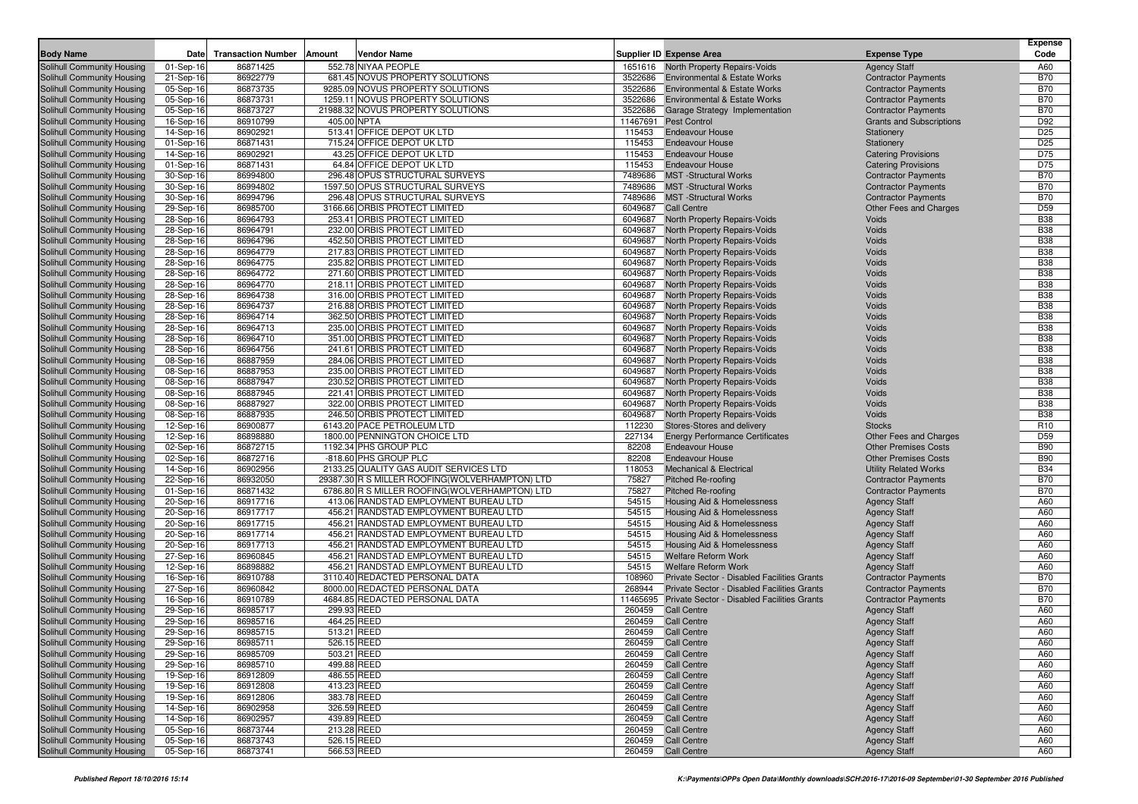| <b>Body Name</b>                                         | Date                   | <b>Transaction Number Amount</b> | <b>Vendor Name</b>                                                |                 | <b>Supplier ID Expense Area</b>                                  | <b>Expense Type</b>                                      | <b>Expense</b><br>Code        |
|----------------------------------------------------------|------------------------|----------------------------------|-------------------------------------------------------------------|-----------------|------------------------------------------------------------------|----------------------------------------------------------|-------------------------------|
| Solihull Community Housing                               | 01-Sep-16              | 86871425                         | 552.78 NIYAA PEOPLE                                               |                 | 1651616 North Property Repairs-Voids                             | <b>Agency Staff</b>                                      | A60                           |
| Solihull Community Housing                               | 21-Sep-16              | 86922779                         | 681.45 NOVUS PROPERTY SOLUTIONS                                   |                 | 3522686 Environmental & Estate Works                             | <b>Contractor Payments</b>                               | <b>B70</b>                    |
| Solihull Community Housing                               | 05-Sep-16              | 86873735                         | 9285.09 NOVUS PROPERTY SOLUTIONS                                  |                 | 3522686 Environmental & Estate Works                             | <b>Contractor Payments</b>                               | <b>B70</b>                    |
| Solihull Community Housing                               | 05-Sep-16              | 86873731                         | 1259.11 NOVUS PROPERTY SOLUTIONS                                  |                 | 3522686 Environmental & Estate Works                             | <b>Contractor Payments</b>                               | <b>B70</b>                    |
| Solihull Community Housing                               | 05-Sep-16              | 86873727                         | 21988.32 NOVUS PROPERTY SOLUTIONS                                 |                 | 3522686 Garage Strategy Implementation                           | <b>Contractor Payments</b>                               | <b>B70</b>                    |
| Solihull Community Housing                               | 16-Sep-16              | 86910799                         | 405.00 NPTA                                                       |                 | 11467691 Pest Control                                            | <b>Grants and Subscriptions</b>                          | D92                           |
| Solihull Community Housing                               | 14-Sep-16              | 86902921                         | 513.41 OFFICE DEPOT UK LTD                                        | 115453          | <b>Endeavour House</b>                                           | Stationery                                               | D <sub>25</sub>               |
| Solihull Community Housing                               | 01-Sep-16              | 86871431                         | 715.24 OFFICE DEPOT UK LTD                                        | 115453          | <b>Endeavour House</b>                                           | Stationery                                               | D <sub>25</sub>               |
| Solihull Community Housing                               | 14-Sep-16              | 86902921                         | 43.25 OFFICE DEPOT UK LTD                                         | 115453          | <b>Endeavour House</b>                                           | <b>Catering Provisions</b>                               | D75                           |
| Solihull Community Housing                               | 01-Sep-16              | 86871431                         | 64.84 OFFICE DEPOT UK LTD                                         | 115453          | <b>Endeavour House</b>                                           | <b>Catering Provisions</b>                               | D75                           |
| Solihull Community Housing                               | 30-Sep-16              | 86994800                         | 296.48 OPUS STRUCTURAL SURVEYS                                    |                 | 7489686 MST-Structural Works<br>7489686 MST-Structural Works     | <b>Contractor Payments</b>                               | <b>B70</b><br><b>B70</b>      |
| Solihull Community Housing<br>Solihull Community Housing | 30-Sep-16<br>30-Sep-16 | 86994802<br>86994796             | 1597.50 OPUS STRUCTURAL SURVEYS<br>296.48 OPUS STRUCTURAL SURVEYS | 7489686         | <b>MST</b> - Structural Works                                    | <b>Contractor Payments</b><br><b>Contractor Payments</b> | <b>B70</b>                    |
| Solihull Community Housing                               | 29-Sep-16              | 86985700                         | 3166.66 ORBIS PROTECT LIMITED                                     | 6049687         | <b>Call Centre</b>                                               | Other Fees and Charges                                   | D <sub>59</sub>               |
| Solihull Community Housing                               | 28-Sep-16              | 86964793                         | 253.41 ORBIS PROTECT LIMITED                                      |                 | 6049687 North Property Repairs-Voids                             | Voids                                                    | <b>B38</b>                    |
| Solihull Community Housing                               | 28-Sep-16              | 86964791                         | 232.00 ORBIS PROTECT LIMITED                                      | 6049687         | <b>North Property Repairs-Voids</b>                              | Voids                                                    | <b>B38</b>                    |
| Solihull Community Housing                               | 28-Sep-16              | 86964796                         | 452.50 ORBIS PROTECT LIMITED                                      |                 | 6049687 North Property Repairs-Voids                             | Voids                                                    | <b>B38</b>                    |
| Solihull Community Housing                               | 28-Sep-16              | 86964779                         | 217.83 ORBIS PROTECT LIMITED                                      |                 | 6049687 North Property Repairs-Voids                             | Voids                                                    | <b>B38</b>                    |
| Solihull Community Housing                               | 28-Sep-16              | 86964775                         | 235.82 ORBIS PROTECT LIMITED                                      | 6049687         | <b>North Property Repairs-Voids</b>                              | Voids                                                    | <b>B38</b>                    |
| Solihull Community Housing                               | 28-Sep-16              | 86964772                         | 271.60 ORBIS PROTECT LIMITED                                      |                 | 6049687 North Property Repairs-Voids                             | Voids                                                    | <b>B38</b>                    |
| Solihull Community Housing                               | 28-Sep-16              | 86964770                         | 218.11 ORBIS PROTECT LIMITED                                      |                 | 6049687 North Property Repairs-Voids                             | Voids                                                    | <b>B38</b>                    |
| Solihull Community Housing                               | 28-Sep-16              | 86964738                         | 316.00 ORBIS PROTECT LIMITED                                      | 6049687         | <b>North Property Repairs-Voids</b>                              | Voids                                                    | <b>B38</b>                    |
| Solihull Community Housing                               | 28-Sep-16              | 86964737                         | 216.88 ORBIS PROTECT LIMITED                                      | 6049687         | <b>North Property Repairs-Voids</b>                              | Voids                                                    | <b>B38</b>                    |
| Solihull Community Housing                               | 28-Sep-16              | 86964714                         | 362.50 ORBIS PROTECT LIMITED                                      | 6049687         | <b>North Property Repairs-Voids</b>                              | Voids                                                    | <b>B38</b>                    |
| Solihull Community Housing                               | 28-Sep-16              | 86964713                         | 235.00 ORBIS PROTECT LIMITED                                      | 6049687         | <b>North Property Repairs-Voids</b>                              | Voids                                                    | <b>B38</b>                    |
| Solihull Community Housing                               | 28-Sep-16              | 86964710                         | 351.00 ORBIS PROTECT LIMITED                                      | 6049687         | <b>North Property Repairs-Voids</b>                              | Voids                                                    | <b>B38</b>                    |
| Solihull Community Housing                               | 28-Sep-16              | 86964756                         | 241.61 ORBIS PROTECT LIMITED                                      | 6049687         | <b>North Property Repairs-Voids</b>                              | Voids                                                    | <b>B38</b>                    |
| Solihull Community Housing                               | 08-Sep-16              | 86887959                         | 284.06 ORBIS PROTECT LIMITED                                      | 6049687         | <b>North Property Repairs-Voids</b>                              | Voids                                                    | <b>B38</b>                    |
| Solihull Community Housing                               | 08-Sep-16              | 86887953                         | 235.00 ORBIS PROTECT LIMITED                                      | 6049687         | <b>North Property Repairs-Voids</b>                              | Voids                                                    | <b>B38</b>                    |
| Solihull Community Housing                               | 08-Sep-16              | 86887947                         | 230.52 ORBIS PROTECT LIMITED                                      | 6049687         | <b>North Property Repairs-Voids</b>                              | Voids                                                    | <b>B38</b>                    |
| Solihull Community Housing                               | 08-Sep-16              | 86887945                         | 221.41 ORBIS PROTECT LIMITED                                      | 6049687         | <b>North Property Repairs-Voids</b>                              | Voids                                                    | <b>B38</b>                    |
| Solihull Community Housing                               | 08-Sep-16              | 86887927                         | 322.00 ORBIS PROTECT LIMITED                                      | 6049687         | <b>North Property Repairs-Voids</b>                              | Voids                                                    | <b>B38</b>                    |
| Solihull Community Housing                               | 08-Sep-16              | 86887935                         | 246.50 ORBIS PROTECT LIMITED                                      |                 | 6049687 North Property Repairs-Voids                             | Voids                                                    | <b>B38</b>                    |
| Solihull Community Housing                               | 12-Sep-16              | 86900877                         | 6143.20 PACE PETROLEUM LTD                                        | 112230          | Stores-Stores and delivery                                       | <b>Stocks</b>                                            | R <sub>10</sub>               |
| Solihull Community Housing                               | 12-Sep-16              | 86898880<br>86872715             | 1800.00 PENNINGTON CHOICE LTD                                     | 227134<br>82208 | <b>Energy Performance Certificates</b><br><b>Endeavour House</b> | Other Fees and Charges<br><b>Other Premises Costs</b>    | D <sub>59</sub><br><b>B90</b> |
| Solihull Community Housing<br>Solihull Community Housing | 02-Sep-16<br>02-Sep-16 | 86872716                         | 1192.34 PHS GROUP PLC<br>-818.60 PHS GROUP PLC                    | 82208           | <b>Endeavour House</b>                                           | <b>Other Premises Costs</b>                              | <b>B90</b>                    |
| Solihull Community Housing                               | 14-Sep-16              | 86902956                         | 2133.25 QUALITY GAS AUDIT SERVICES LTD                            | 118053          | <b>Mechanical &amp; Electrical</b>                               | <b>Utility Related Works</b>                             | <b>B34</b>                    |
| Solihull Community Housing                               | 22-Sep-16              | 86932050                         | 29387.30 R S MILLER ROOFING (WOLVERHAMPTON) LTD                   | 75827           | <b>Pitched Re-roofing</b>                                        | <b>Contractor Payments</b>                               | <b>B70</b>                    |
| Solihull Community Housing                               | 01-Sep-16              | 86871432                         | 6786.80 R S MILLER ROOFING(WOLVERHAMPTON) LTD                     | 75827           | <b>Pitched Re-roofing</b>                                        | <b>Contractor Payments</b>                               | <b>B70</b>                    |
| Solihull Community Housing                               | 20-Sep-16              | 86917716                         | 413.06 RANDSTAD EMPLOYMENT BUREAU LTD                             | 54515           | Housing Aid & Homelessness                                       | <b>Agency Staff</b>                                      | A60                           |
| Solihull Community Housing                               | 20-Sep-16              | 86917717                         | 456.21 RANDSTAD EMPLOYMENT BUREAU LTD                             | 54515           | Housing Aid & Homelessness                                       | <b>Agency Staff</b>                                      | A60                           |
| Solihull Community Housing                               | 20-Sep-16              | 86917715                         | 456.21 RANDSTAD EMPLOYMENT BUREAU LTD                             | 54515           | Housing Aid & Homelessness                                       | <b>Agency Staff</b>                                      | A60                           |
| Solihull Community Housing                               | 20-Sep-16              | 86917714                         | 456.21 RANDSTAD EMPLOYMENT BUREAU LTD                             | 54515           | Housing Aid & Homelessness                                       | <b>Agency Staff</b>                                      | A60                           |
| Solihull Community Housing                               | 20-Sep-16              | 86917713                         | 456.21 RANDSTAD EMPLOYMENT BUREAU LTD                             | 54515           | <b>Housing Aid &amp; Homelessness</b>                            | <b>Agency Staff</b>                                      | A60                           |
| Solihull Community Housing                               | 27-Sep-16              | 86960845                         | 456.21 RANDSTAD EMPLOYMENT BUREAU LTD                             | 54515           | <b>Welfare Reform Work</b>                                       | <b>Agency Staff</b>                                      | A60                           |
| Solihull Community Housing                               | 12-Sep-16              | 86898882                         | 456.21 RANDSTAD EMPLOYMENT BUREAU LTD                             | 54515           | <b>Welfare Reform Work</b>                                       | <b>Agency Staff</b>                                      | A60                           |
| <b>Solihull Community Housing</b>                        | 16-Sep-16              | 86910788                         | 3110.40 REDACTED PERSONAL DATA                                    | 108960          | Private Sector - Disabled Facilities Grants                      | <b>Contractor Payments</b>                               | <b>B70</b>                    |
| Solihull Community Housing                               | 27-Sep-16              | 86960842                         | 8000.00 REDACTED PERSONAL DATA                                    | 268944          | Private Sector - Disabled Facilities Grants                      | <b>Contractor Payments</b>                               | <b>B70</b>                    |
| Solihull Community Housing                               | 16-Sep-16              | 86910789                         | 4684.85 REDACTED PERSONAL DATA                                    | 11465695        | Private Sector - Disabled Facilities Grants                      | <b>Contractor Payments</b>                               | <b>B70</b>                    |
| Solihull Community Housing                               | 29-Sep-16              | 86985717                         | 299.93 REED                                                       | 260459          | <b>Call Centre</b>                                               | <b>Agency Staff</b>                                      | A60                           |
| Solihull Community Housing                               | 29-Sep-16              | 86985716                         | 464.25 REED                                                       | 260459          | <b>Call Centre</b>                                               | <b>Agency Staff</b>                                      | A60                           |
| Solihull Community Housing                               | 29-Sep-16              | 86985715                         | 513.21 REED                                                       | 260459          | <b>Call Centre</b>                                               | <b>Agency Staff</b>                                      | A60                           |
| Solihull Community Housing                               | 29-Sep-16              | 86985711                         | 526.15 REED                                                       |                 | 260459 Call Centre                                               | <b>Agency Staff</b>                                      | A60                           |
| Solihull Community Housing                               | 29-Sep-16              | 86985709                         | 503.21 REED                                                       |                 | 260459 Call Centre                                               | <b>Agency Staff</b>                                      | A60                           |
| Solihull Community Housing                               | 29-Sep-16              | 86985710                         | 499.88 REED                                                       |                 | 260459 Call Centre                                               | <b>Agency Staff</b>                                      | A60                           |
| <b>Solihull Community Housing</b>                        | 19-Sep-16              | 86912809                         | 486.55 REED                                                       |                 | 260459 Call Centre                                               | <b>Agency Staff</b>                                      | A60                           |
| Solihull Community Housing<br>Solihull Community Housing | 19-Sep-16              | 86912808                         | 413.23 REED                                                       |                 | 260459 Call Centre                                               | <b>Agency Staff</b>                                      | A60                           |
| Solihull Community Housing                               | 19-Sep-16              | 86912806                         | 383.78 REED<br>326.59 REED                                        |                 | 260459 Call Centre<br>260459 Call Centre                         | <b>Agency Staff</b>                                      | A60<br>A60                    |
| Solihull Community Housing                               | 14-Sep-16              | 86902958<br>86902957             | 439.89 REED                                                       |                 | 260459 Call Centre                                               | <b>Agency Staff</b><br><b>Agency Staff</b>               | A60                           |
| Solihull Community Housing                               | 14-Sep-16<br>05-Sep-16 | 86873744                         | 213.28 REED                                                       |                 | 260459 Call Centre                                               | <b>Agency Staff</b>                                      | A60                           |
| Solihull Community Housing                               | 05-Sep-16              | 86873743                         | 526.15 REED                                                       |                 | 260459 Call Centre                                               | <b>Agency Staff</b>                                      | A60                           |
| Solihull Community Housing                               | 05-Sep-16              | 86873741                         | 566.53 REED                                                       |                 | 260459 Call Centre                                               | <b>Agency Staff</b>                                      | A60                           |
|                                                          |                        |                                  |                                                                   |                 |                                                                  |                                                          |                               |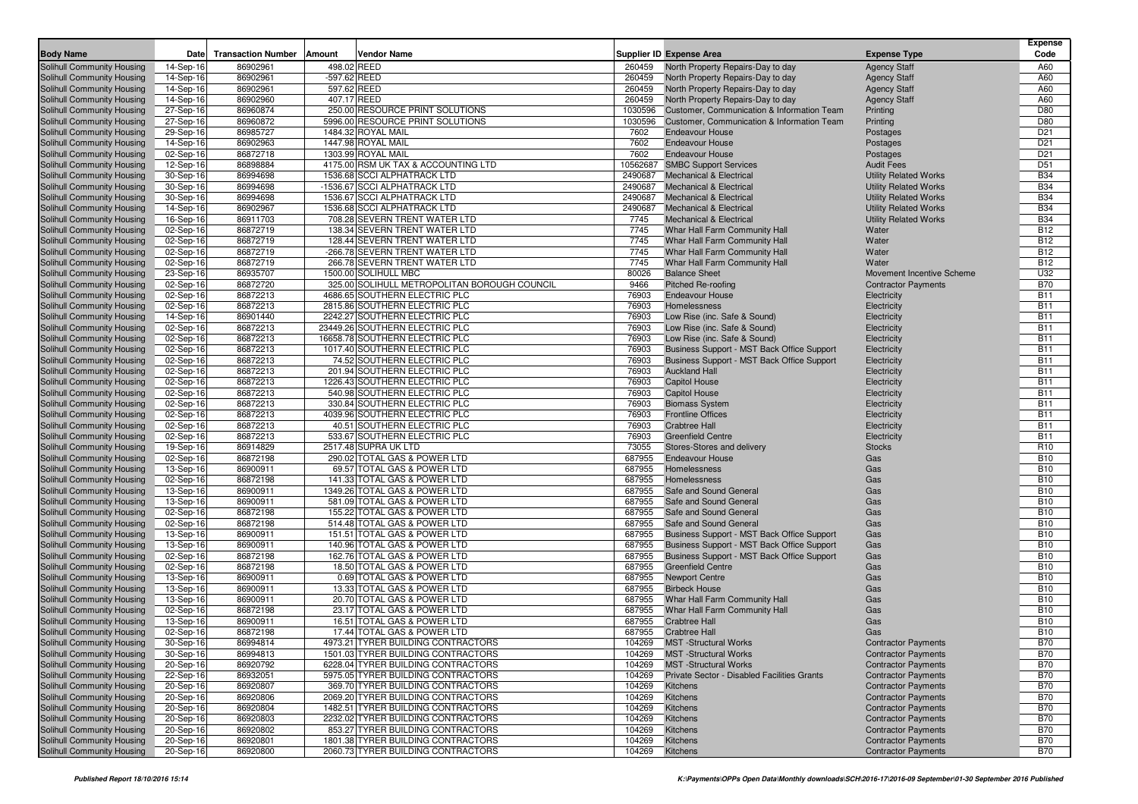| <b>Body Name</b>                                         | Datel                  | <b>Transaction Number</b> | Amount       | <b>Vendor Name</b>                                                       |                  | Supplier ID Expense Area                    | <b>Expense Type</b>                                      | <b>Expense</b><br>Code   |
|----------------------------------------------------------|------------------------|---------------------------|--------------|--------------------------------------------------------------------------|------------------|---------------------------------------------|----------------------------------------------------------|--------------------------|
| <b>Solihull Community Housing</b>                        | 14-Sep-16              | 86902961                  | 498.02 REED  |                                                                          | 260459           | North Property Repairs-Day to day           | <b>Agency Staff</b>                                      | A60                      |
| Solihull Community Housing                               | 14-Sep-16              | 86902961                  | -597.62 REED |                                                                          | 260459           | North Property Repairs-Day to day           | <b>Agency Staff</b>                                      | A60                      |
| Solihull Community Housing                               | 14-Sep-16              | 86902961                  | 597.62 REED  |                                                                          | 260459           | North Property Repairs-Day to day           | <b>Agency Staff</b>                                      | A60                      |
| Solihull Community Housing                               | 14-Sep-16              | 86902960                  | 407.17 REED  |                                                                          | 260459           | North Property Repairs-Day to day           | <b>Agency Staff</b>                                      | A60                      |
| Solihull Community Housing                               | 27-Sep-16              | 86960874                  |              | 250.00 RESOURCE PRINT SOLUTIONS                                          | 1030596          | Customer, Communication & Information Team  | Printing                                                 | D80                      |
| Solihull Community Housing                               | 27-Sep-16              | 86960872                  |              | 5996.00 RESOURCE PRINT SOLUTIONS                                         | 1030596          | Customer, Communication & Information Team  | Printing                                                 | D80                      |
| Solihull Community Housing                               | 29-Sep-16              | 86985727                  |              | 1484.32 ROYAL MAIL                                                       | 7602             | <b>Endeavour House</b>                      | Postages                                                 | D <sub>21</sub>          |
| Solihull Community Housing                               | 14-Sep-16              | 86902963                  |              | 1447.98 ROYAL MAIL                                                       | 7602             | <b>Endeavour House</b>                      | Postages                                                 | D <sub>21</sub>          |
| Solihull Community Housing                               | 02-Sep-16              | 86872718                  |              | 1303.99 ROYAL MAIL                                                       | 7602             | <b>Endeavour House</b>                      | Postages                                                 | D <sub>21</sub>          |
| Solihull Community Housing                               | 12-Sep-16              | 86898884                  |              | 4175.00 RSM UK TAX & ACCOUNTING LTD                                      |                  | 10562687 SMBC Support Services              | <b>Audit Fees</b>                                        | D <sub>51</sub>          |
| Solihull Community Housing                               | 30-Sep-16              | 86994698                  |              | 1536.68 SCCI ALPHATRACK LTD                                              | 2490687          | <b>Mechanical &amp; Electrical</b>          | <b>Utility Related Works</b>                             | <b>B34</b>               |
| Solihull Community Housing                               | 30-Sep-16              | 86994698                  |              | -1536.67 SCCI ALPHATRACK LTD                                             | 2490687          | <b>Mechanical &amp; Electrical</b>          | <b>Utility Related Works</b>                             | <b>B34</b>               |
| Solihull Community Housing                               | 30-Sep-16              | 86994698                  |              | 1536.67 SCCI ALPHATRACK LTD                                              | 2490687          | <b>Mechanical &amp; Electrical</b>          | <b>Utility Related Works</b>                             | <b>B34</b>               |
| Solihull Community Housing                               | 14-Sep-16              | 86902967                  |              | 1536.68 SCCI ALPHATRACK LTD                                              | 2490687          | <b>Mechanical &amp; Electrical</b>          | <b>Utility Related Works</b>                             | <b>B34</b>               |
| Solihull Community Housing                               | 16-Sep-16              | 86911703                  |              | 708.28 SEVERN TRENT WATER LTD                                            | 7745             | <b>Mechanical &amp; Electrical</b>          | <b>Utility Related Works</b>                             | <b>B34</b>               |
| Solihull Community Housing                               | 02-Sep-16              | 86872719                  |              | 138.34 SEVERN TRENT WATER LTD                                            | 7745             | Whar Hall Farm Community Hall               | Water                                                    | <b>B12</b>               |
| Solihull Community Housing                               | 02-Sep-16              | 86872719                  |              | 128.44 SEVERN TRENT WATER LTD                                            | 7745             | Whar Hall Farm Community Hall               | Water                                                    | <b>B12</b>               |
| Solihull Community Housing                               | 02-Sep-16              | 86872719                  |              | -266.78 SEVERN TRENT WATER LTD                                           | 7745             | Whar Hall Farm Community Hall               | Water                                                    | <b>B12</b>               |
| Solihull Community Housing                               | 02-Sep-16              | 86872719                  |              | 266.78 SEVERN TRENT WATER LTD                                            | 7745             | Whar Hall Farm Community Hall               | Water                                                    | <b>B12</b>               |
| Solihull Community Housing                               | 23-Sep-16              | 86935707                  |              | 1500.00 SOLIHULL MBC                                                     | 80026            | <b>Balance Sheet</b>                        | Movement Incentive Scheme                                | U32                      |
| Solihull Community Housing                               | 02-Sep-16              | 86872720                  |              | 325.00 SOLIHULL METROPOLITAN BOROUGH COUNCIL                             | 9466             | <b>Pitched Re-roofing</b>                   | <b>Contractor Payments</b>                               | <b>B70</b>               |
| Solihull Community Housing                               | 02-Sep-16              | 86872213                  |              | 4686.65 SOUTHERN ELECTRIC PLC                                            | 76903            | <b>Endeavour House</b>                      | Electricity                                              | <b>B11</b>               |
| Solihull Community Housing                               | 02-Sep-16              | 86872213                  |              | 2815.86 SOUTHERN ELECTRIC PLC                                            | 76903            | Homelessness                                | Electricity                                              | <b>B11</b>               |
| Solihull Community Housing                               | 14-Sep-16              | 86901440                  |              | 2242.27 SOUTHERN ELECTRIC PLC                                            | 76903            | Low Rise (inc. Safe & Sound)                | Electricity                                              | <b>B11</b>               |
| Solihull Community Housing                               | 02-Sep-16              | 86872213                  |              | 23449.26 SOUTHERN ELECTRIC PLC                                           | 76903            | Low Rise (inc. Safe & Sound)                | Electricity                                              | <b>B11</b>               |
| Solihull Community Housing                               | 02-Sep-16              | 86872213                  |              | 16658.78 SOUTHERN ELECTRIC PLC                                           | 76903            | Low Rise (inc. Safe & Sound)                | Electricity                                              | <b>B11</b>               |
| Solihull Community Housing                               | 02-Sep-16              | 86872213                  |              | 1017.40 SOUTHERN ELECTRIC PLC                                            | 76903            | Business Support - MST Back Office Support  | Electricity                                              | <b>B11</b>               |
| Solihull Community Housing                               | 02-Sep-16              | 86872213                  |              | 74.52 SOUTHERN ELECTRIC PLC                                              | 76903            | Business Support - MST Back Office Support  | Electricity                                              | <b>B11</b>               |
| Solihull Community Housing                               | 02-Sep-16              | 86872213                  |              | 201.94 SOUTHERN ELECTRIC PLC                                             | 76903            | <b>Auckland Hall</b>                        | Electricity                                              | <b>B11</b>               |
| Solihull Community Housing                               | 02-Sep-16              | 86872213                  |              | 1226.43 SOUTHERN ELECTRIC PLC                                            | 76903            | <b>Capitol House</b>                        | Electricity                                              | <b>B11</b>               |
| Solihull Community Housing                               | 02-Sep-16              | 86872213                  |              | 540.98 SOUTHERN ELECTRIC PLC                                             | 76903            | <b>Capitol House</b>                        | Electricity                                              | <b>B11</b>               |
| Solihull Community Housing                               | 02-Sep-16              | 86872213                  |              | 330.84 SOUTHERN ELECTRIC PLC                                             | 76903            | <b>Biomass System</b>                       | Electricity                                              | <b>B11</b>               |
| Solihull Community Housing                               | 02-Sep-16              | 86872213                  |              | 4039.96 SOUTHERN ELECTRIC PLC                                            | 76903            | <b>Frontline Offices</b>                    | Electricity                                              | <b>B11</b>               |
| Solihull Community Housing                               | 02-Sep-16              | 86872213                  |              | 40.51 SOUTHERN ELECTRIC PLC                                              | 76903            | <b>Crabtree Hall</b>                        | Electricity                                              | <b>B11</b>               |
| Solihull Community Housing                               | 02-Sep-16              | 86872213                  |              | 533.67 SOUTHERN ELECTRIC PLC                                             | 76903            | <b>Greenfield Centre</b>                    | Electricity                                              | <b>B11</b>               |
| Solihull Community Housing                               | 19-Sep-16              | 86914829                  |              | 2517.48 SUPRA UK LTD                                                     | 73055            | Stores-Stores and delivery                  | <b>Stocks</b>                                            | R <sub>10</sub>          |
| Solihull Community Housing                               | 02-Sep-16              | 86872198                  |              | 290.02 TOTAL GAS & POWER LTD                                             | 687955           | <b>Endeavour House</b>                      | Gas                                                      | <b>B10</b>               |
| Solihull Community Housing                               | 13-Sep-16              | 86900911                  |              | 69.57 TOTAL GAS & POWER LTD                                              | 687955           | Homelessness                                | Gas                                                      | <b>B10</b>               |
| Solihull Community Housing                               | 02-Sep-16              | 86872198                  |              | 141.33 TOTAL GAS & POWER LTD                                             | 687955           | Homelessness                                | Gas                                                      | <b>B10</b>               |
| Solihull Community Housing                               | 13-Sep-16              | 86900911                  |              | 1349.26 TOTAL GAS & POWER LTD                                            | 687955           | Safe and Sound General                      | Gas                                                      | <b>B10</b>               |
| Solihull Community Housing                               | 13-Sep-16              | 86900911                  |              | 581.09 TOTAL GAS & POWER LTD                                             | 687955           | Safe and Sound General                      | Gas                                                      | <b>B10</b>               |
| Solihull Community Housing                               | 02-Sep-16              | 86872198                  |              | 155.22 TOTAL GAS & POWER LTD                                             | 687955           | Safe and Sound General                      | Gas                                                      | <b>B10</b>               |
| Solihull Community Housing                               | 02-Sep-16              | 86872198                  |              | 514.48 TOTAL GAS & POWER LTD                                             | 687955           | Safe and Sound General                      | Gas                                                      | <b>B10</b>               |
| Solihull Community Housing                               | 13-Sep-16              | 86900911                  |              | 151.51 TOTAL GAS & POWER LTD                                             | 687955           | Business Support - MST Back Office Support  | Gas                                                      | <b>B10</b>               |
| Solihull Community Housing                               | 13-Sep-16              | 86900911                  |              | 140.96 TOTAL GAS & POWER LTD                                             | 687955           | Business Support - MST Back Office Support  | Gas                                                      | <b>B10</b>               |
| Solihull Community Housing                               | 02-Sep-16              | 86872198                  |              | 162.76 TOTAL GAS & POWER LTD                                             | 687955           | Business Support - MST Back Office Support  | Gas                                                      | <b>B10</b>               |
| Solihull Community Housing                               | 02-Sep-16              | 86872198                  |              | 18.50 TOTAL GAS & POWER LTD                                              | 687955           | <b>Greenfield Centre</b>                    | Gas                                                      | <b>B10</b>               |
| Solihull Community Housing                               | 13-Sep-16              | 86900911                  |              | 0.69 TOTAL GAS & POWER LTD                                               | 687955           | <b>Newport Centre</b>                       | Gas                                                      | <b>B10</b>               |
| Solihull Community Housing                               | 13-Sep-16              | 86900911                  |              | 13.33 TOTAL GAS & POWER LTD                                              | 687955           | <b>Birbeck House</b>                        | Gas                                                      | <b>B10</b>               |
| Solihull Community Housing                               | 13-Sep-16              | 86900911                  |              | 20.70 TOTAL GAS & POWER LTD                                              | 687955           | Whar Hall Farm Community Hall               | Gas                                                      | <b>B10</b>               |
| Solihull Community Housing                               | 02-Sep-16              | 86872198                  |              | 23.17 TOTAL GAS & POWER LTD                                              | 687955           | Whar Hall Farm Community Hall               | Gas                                                      | <b>B10</b>               |
| Solihull Community Housing                               | 13-Sep-16              | 86900911                  |              | 16.51 TOTAL GAS & POWER LTD                                              | 687955           | <b>Crabtree Hall</b>                        | Gas                                                      | <b>B10</b>               |
| Solihull Community Housing                               | 02-Sep-16              | 86872198                  |              | 17.44 TOTAL GAS & POWER LTD                                              | 687955           | <b>Crabtree Hall</b>                        | Gas                                                      | <b>B10</b>               |
| Solihull Community Housing                               | 30-Sep-16              | 86994814                  |              | 4973.21 TYRER BUILDING CONTRACTORS                                       |                  | 104269 MST -Structural Works                | <b>Contractor Payments</b>                               | <b>B70</b>               |
| Solihull Community Housing                               | 30-Sep-16              | 86994813                  |              | 1501.03 TYRER BUILDING CONTRACTORS                                       |                  | 104269 MST-Structural Works                 | <b>Contractor Payments</b>                               | <b>B70</b>               |
| Solihull Community Housing                               | 20-Sep-16              | 86920792                  |              | 6228.04 TYRER BUILDING CONTRACTORS                                       |                  | 104269 MST-Structural Works                 | <b>Contractor Payments</b>                               | B70                      |
| Solihull Community Housing                               | 22-Sep-16              | 86932051                  |              | 5975.05 TYRER BUILDING CONTRACTORS                                       | 104269           | Private Sector - Disabled Facilities Grants | <b>Contractor Payments</b>                               | <b>B70</b>               |
| Solihull Community Housing                               | 20-Sep-16              | 86920807                  |              | 369.70 TYRER BUILDING CONTRACTORS                                        | 104269           | Kitchens                                    | <b>Contractor Payments</b>                               | <b>B70</b>               |
| Solihull Community Housing                               | 20-Sep-16<br>20-Sep-16 | 86920806                  |              | 2069.20 TYRER BUILDING CONTRACTORS<br>1482.51 TYRER BUILDING CONTRACTORS | 104269           | Kitchens                                    | <b>Contractor Payments</b>                               | <b>B70</b>               |
| Solihull Community Housing<br>Solihull Community Housing |                        | 86920804                  |              | 2232.02 TYRER BUILDING CONTRACTORS                                       | 104269           | Kitchens                                    | <b>Contractor Payments</b><br><b>Contractor Payments</b> | <b>B70</b>               |
| Solihull Community Housing                               | 20-Sep-16              | 86920803<br>86920802      |              | 853.27 TYRER BUILDING CONTRACTORS                                        | 104269<br>104269 | Kitchens                                    | <b>Contractor Payments</b>                               | <b>B70</b><br><b>B70</b> |
| Solihull Community Housing                               | 20-Sep-16<br>20-Sep-16 | 86920801                  |              | 1801.38 TYRER BUILDING CONTRACTORS                                       | 104269           | Kitchens<br>Kitchens                        | <b>Contractor Payments</b>                               | <b>B70</b>               |
| Solihull Community Housing                               |                        | 86920800                  |              | 2060.73 TYRER BUILDING CONTRACTORS                                       |                  |                                             | <b>Contractor Payments</b>                               | <b>B70</b>               |
|                                                          | 20-Sep-16              |                           |              |                                                                          | 104269 Kitchens  |                                             |                                                          |                          |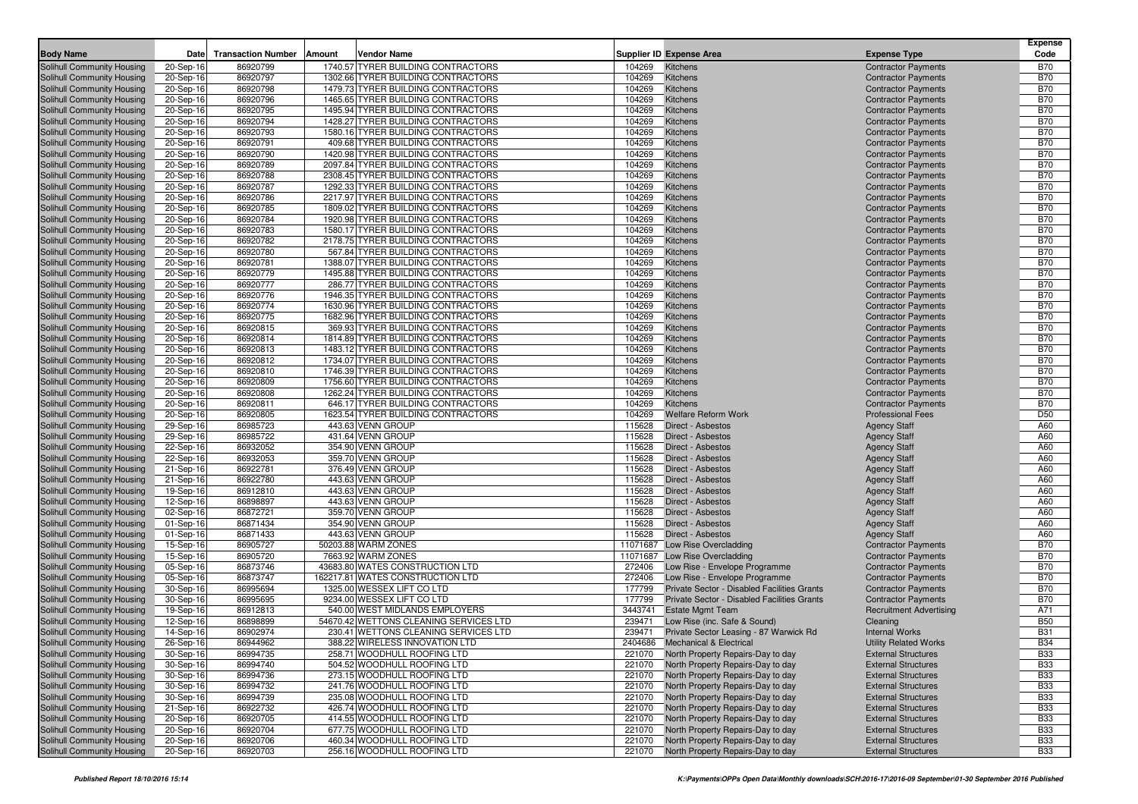| <b>Body Name</b>                                         | <b>Date</b>            | <b>Transaction Number   Amount</b> | <b>Vendor Name</b>                                                       |                  | <b>Supplier ID Expense Area</b>                                                      | <b>Expense Type</b>                                      | <b>Expense</b><br>Code   |
|----------------------------------------------------------|------------------------|------------------------------------|--------------------------------------------------------------------------|------------------|--------------------------------------------------------------------------------------|----------------------------------------------------------|--------------------------|
| Solihull Community Housing                               | 20-Sep-16              | 86920799                           | 1740.57 TYRER BUILDING CONTRACTORS                                       | 104269           | Kitchens                                                                             | <b>Contractor Payments</b>                               | <b>B70</b>               |
| Solihull Community Housing                               | 20-Sep-16              | 86920797                           | 1302.66 TYRER BUILDING CONTRACTORS                                       | 104269           | Kitchens                                                                             | <b>Contractor Payments</b>                               | <b>B70</b>               |
| Solihull Community Housing                               | 20-Sep-16              | 86920798                           | 1479.73 TYRER BUILDING CONTRACTORS                                       | 104269           | Kitchens                                                                             | <b>Contractor Payments</b>                               | <b>B70</b>               |
| Solihull Community Housing                               | 20-Sep-16              | 86920796                           | 1465.65 TYRER BUILDING CONTRACTORS                                       | 104269           | Kitchens                                                                             | <b>Contractor Payments</b>                               | <b>B70</b>               |
| Solihull Community Housing                               | 20-Sep-16              | 86920795                           | 1495.94 TYRER BUILDING CONTRACTORS                                       | 104269           | Kitchens                                                                             | <b>Contractor Payments</b>                               | <b>B70</b>               |
| Solihull Community Housing                               | 20-Sep-16              | 86920794                           | 1428.27 TYRER BUILDING CONTRACTORS                                       | 104269           | Kitchens                                                                             | <b>Contractor Payments</b>                               | <b>B70</b>               |
| Solihull Community Housing                               | 20-Sep-16              | 86920793                           | 1580.16 TYRER BUILDING CONTRACTORS                                       | 104269           | <b>Kitchens</b>                                                                      | <b>Contractor Payments</b>                               | <b>B70</b>               |
| Solihull Community Housing                               | 20-Sep-16              | 86920791                           | 409.68 TYRER BUILDING CONTRACTORS                                        | 104269           | Kitchens                                                                             | <b>Contractor Payments</b>                               | <b>B70</b>               |
| Solihull Community Housing                               | 20-Sep-16              | 86920790                           | 1420.98 TYRER BUILDING CONTRACTORS                                       | 104269           | Kitchens                                                                             | <b>Contractor Payments</b>                               | <b>B70</b>               |
| Solihull Community Housing                               | 20-Sep-16              | 86920789                           | 2097.84 TYRER BUILDING CONTRACTORS                                       | 104269           | Kitchens                                                                             | <b>Contractor Payments</b>                               | <b>B70</b>               |
| Solihull Community Housing                               | 20-Sep-16              | 86920788                           | 2308.45 TYRER BUILDING CONTRACTORS<br>1292.33 TYRER BUILDING CONTRACTORS | 104269<br>104269 | Kitchens<br>Kitchens                                                                 | <b>Contractor Payments</b>                               | <b>B70</b><br><b>B70</b> |
| Solihull Community Housing<br>Solihull Community Housing | 20-Sep-16<br>20-Sep-16 | 86920787<br>86920786               | 2217.97 TYRER BUILDING CONTRACTORS                                       | 104269           | Kitchens                                                                             | <b>Contractor Payments</b><br><b>Contractor Payments</b> | <b>B70</b>               |
| Solihull Community Housing                               | 20-Sep-16              | 86920785                           | 1809.02 TYRER BUILDING CONTRACTORS                                       | 104269           | Kitchens                                                                             | <b>Contractor Payments</b>                               | <b>B70</b>               |
| Solihull Community Housing                               | 20-Sep-16              | 86920784                           | 1920.98 TYRER BUILDING CONTRACTORS                                       | 104269           | Kitchens                                                                             | <b>Contractor Payments</b>                               | <b>B70</b>               |
| Solihull Community Housing                               | 20-Sep-16              | 86920783                           | 1580.17 TYRER BUILDING CONTRACTORS                                       | 104269           | Kitchens                                                                             | <b>Contractor Payments</b>                               | <b>B70</b>               |
| Solihull Community Housing                               | 20-Sep-16              | 86920782                           | 2178.75 TYRER BUILDING CONTRACTORS                                       | 104269           | Kitchens                                                                             | <b>Contractor Payments</b>                               | <b>B70</b>               |
| Solihull Community Housing                               | 20-Sep-16              | 86920780                           | 567.84 TYRER BUILDING CONTRACTORS                                        | 104269           | Kitchens                                                                             | <b>Contractor Payments</b>                               | <b>B70</b>               |
| Solihull Community Housing                               | 20-Sep-16              | 86920781                           | 1388.07 TYRER BUILDING CONTRACTORS                                       | 104269           | Kitchens                                                                             | <b>Contractor Payments</b>                               | <b>B70</b>               |
| Solihull Community Housing                               | 20-Sep-16              | 86920779                           | 1495.88 TYRER BUILDING CONTRACTORS                                       | 104269           | Kitchens                                                                             | <b>Contractor Payments</b>                               | <b>B70</b>               |
| Solihull Community Housing                               | 20-Sep-16              | 86920777                           | 286.77 TYRER BUILDING CONTRACTORS                                        | 104269           | Kitchens                                                                             | <b>Contractor Payments</b>                               | <b>B70</b>               |
| Solihull Community Housing                               | 20-Sep-16              | 86920776                           | 1946.35 TYRER BUILDING CONTRACTORS                                       | 104269           | Kitchens                                                                             | <b>Contractor Payments</b>                               | <b>B70</b>               |
| Solihull Community Housing                               | 20-Sep-16              | 86920774                           | 1630.96 TYRER BUILDING CONTRACTORS                                       | 104269           | Kitchens                                                                             | <b>Contractor Payments</b>                               | <b>B70</b>               |
| Solihull Community Housing                               | 20-Sep-16              | 86920775                           | 1682.96 TYRER BUILDING CONTRACTORS                                       | 104269           | Kitchens                                                                             | <b>Contractor Payments</b>                               | <b>B70</b>               |
| Solihull Community Housing                               | 20-Sep-16              | 86920815                           | 369.93 TYRER BUILDING CONTRACTORS                                        | 104269           | Kitchens                                                                             | <b>Contractor Payments</b>                               | <b>B70</b>               |
| Solihull Community Housing                               | 20-Sep-16              | 86920814                           | 1814.89 TYRER BUILDING CONTRACTORS                                       | 104269           | Kitchens                                                                             | <b>Contractor Payments</b>                               | <b>B70</b>               |
| Solihull Community Housing                               | 20-Sep-16              | 86920813                           | 1483.12 TYRER BUILDING CONTRACTORS                                       | 104269           | Kitchens                                                                             | <b>Contractor Payments</b>                               | <b>B70</b>               |
| Solihull Community Housing                               | 20-Sep-16              | 86920812                           | 1734.07 TYRER BUILDING CONTRACTORS                                       | 104269           | Kitchens                                                                             | <b>Contractor Payments</b>                               | <b>B70</b>               |
| Solihull Community Housing                               | 20-Sep-16              | 86920810                           | 1746.39 TYRER BUILDING CONTRACTORS                                       | 104269           | Kitchens                                                                             | <b>Contractor Payments</b>                               | <b>B70</b>               |
| Solihull Community Housing                               | 20-Sep-16              | 86920809                           | 1756.60 TYRER BUILDING CONTRACTORS                                       | 104269           | Kitchens                                                                             | <b>Contractor Payments</b>                               | <b>B70</b>               |
| Solihull Community Housing                               | 20-Sep-16              | 86920808                           | 1262.24 TYRER BUILDING CONTRACTORS                                       | 104269           | Kitchens                                                                             | <b>Contractor Payments</b>                               | <b>B70</b>               |
| Solihull Community Housing                               | 20-Sep-16              | 86920811                           | 646.17 TYRER BUILDING CONTRACTORS                                        | 104269           | Kitchens                                                                             | <b>Contractor Payments</b>                               | <b>B70</b>               |
| Solihull Community Housing                               | 20-Sep-16              | 86920805                           | 1623.54 TYRER BUILDING CONTRACTORS                                       | 104269           | <b>Welfare Reform Work</b>                                                           | <b>Professional Fees</b>                                 | D <sub>50</sub>          |
| Solihull Community Housing                               | 29-Sep-16              | 86985723                           | 443.63 VENN GROUP                                                        | 115628           | Direct - Asbestos                                                                    | <b>Agency Staff</b>                                      | A60<br>A60               |
| Solihull Community Housing<br>Solihull Community Housing | 29-Sep-16<br>22-Sep-16 | 86985722<br>86932052               | 431.64 VENN GROUP<br>354.90 VENN GROUP                                   | 115628<br>115628 | Direct - Asbestos<br>Direct - Asbestos                                               | <b>Agency Staff</b><br><b>Agency Staff</b>               | A60                      |
| Solihull Community Housing                               | 22-Sep-16              | 86932053                           | 359.70 VENN GROUP                                                        | 115628           | Direct - Asbestos                                                                    | <b>Agency Staff</b>                                      | A60                      |
| Solihull Community Housing                               | 21-Sep-16              | 86922781                           | 376.49 VENN GROUP                                                        | 115628           | Direct - Asbestos                                                                    | <b>Agency Staff</b>                                      | A60                      |
| Solihull Community Housing                               | 21-Sep-16              | 86922780                           | 443.63 VENN GROUP                                                        | 115628           | Direct - Asbestos                                                                    | <b>Agency Staff</b>                                      | A60                      |
| Solihull Community Housing                               | 19-Sep-16              | 86912810                           | 443.63 VENN GROUP                                                        | 115628           | Direct - Asbestos                                                                    | <b>Agency Staff</b>                                      | A60                      |
| Solihull Community Housing                               | 12-Sep-16              | 86898897                           | 443.63 VENN GROUP                                                        | 115628           | Direct - Asbestos                                                                    | <b>Agency Staff</b>                                      | A60                      |
| Solihull Community Housing                               | 02-Sep-16              | 86872721                           | 359.70 VENN GROUP                                                        | 115628           | Direct - Asbestos                                                                    | <b>Agency Staff</b>                                      | A60                      |
| Solihull Community Housing                               | 01-Sep-16              | 86871434                           | 354.90 VENN GROUP                                                        | 115628           | Direct - Asbestos                                                                    | <b>Agency Staff</b>                                      | A60                      |
| Solihull Community Housing                               | 01-Sep-16              | 86871433                           | 443.63 VENN GROUP                                                        | 115628           | Direct - Asbestos                                                                    | <b>Agency Staff</b>                                      | A60                      |
| Solihull Community Housing                               | 15-Sep-16              | 86905727                           | 50203.88 WARM ZONES                                                      | 11071687         | Low Rise Overcladding                                                                | <b>Contractor Payments</b>                               | <b>B70</b>               |
| Solihull Community Housing                               | 15-Sep-16              | 86905720                           | 7663.92 WARM ZONES                                                       |                  | 11071687 Low Rise Overcladding                                                       | <b>Contractor Payments</b>                               | <b>B70</b>               |
| Solihull Community Housing                               | 05-Sep-16              | 86873746                           | 43683.80 WATES CONSTRUCTION LTD                                          | 272406           | Low Rise - Envelope Programme                                                        | <b>Contractor Payments</b>                               | <b>B70</b>               |
| Solihull Community Housing                               | 05-Sep-16              | 86873747                           | 162217.81 WATES CONSTRUCTION LTD                                         | 272406           | Low Rise - Envelope Programme                                                        | <b>Contractor Payments</b>                               | <b>B70</b>               |
| Solihull Community Housing                               | 30-Sep-16              | 86995694                           | 1325.00 WESSEX LIFT CO LTD                                               | 177799           | Private Sector - Disabled Facilities Grants                                          | <b>Contractor Payments</b>                               | <b>B70</b>               |
| Solihull Community Housing                               | 30-Sep-16              | 86995695                           | 9234.00 WESSEX LIFT CO LTD                                               | 177799           | Private Sector - Disabled Facilities Grants                                          | <b>Contractor Payments</b>                               | <b>B70</b>               |
| Solihull Community Housing                               | 19-Sep-16              | 86912813                           | 540.00 WEST MIDLANDS EMPLOYERS                                           | 3443741          | <b>Estate Mgmt Team</b>                                                              | <b>Recruitment Advertising</b>                           | A71                      |
| Solihull Community Housing                               | 12-Sep-16              | 86898899                           | 54670.42 WETTONS CLEANING SERVICES LTD                                   | 239471           | Low Rise (inc. Safe & Sound)                                                         | Cleaning                                                 | <b>B50</b>               |
| Solihull Community Housing                               | 14-Sep-16              | 86902974                           | 230.41 WETTONS CLEANING SERVICES LTD                                     |                  | 239471 Private Sector Leasing - 87 Warwick Rd                                        | <b>Internal Works</b>                                    | <b>B31</b>               |
| Solihull Community Housing                               | 26-Sep-16              | 86944962                           | 388.22 WIRELESS INNOVATION LTD<br>258.71 WOODHULL ROOFING LTD            |                  | 2404686 Mechanical & Electrical                                                      | <b>Utility Related Works</b>                             | <b>B34</b>               |
| Solihull Community Housing<br>Solihull Community Housing | 30-Sep-16              | 86994735                           | 504.52 WOODHULL ROOFING LTD                                              |                  | 221070 North Property Repairs-Day to day                                             | <b>External Structures</b>                               | <b>B33</b><br><b>B33</b> |
| <b>Solihull Community Housing</b>                        | 30-Sep-16<br>30-Sep-16 | 86994740<br>86994736               | 273.15 WOODHULL ROOFING LTD                                              |                  | 221070 North Property Repairs-Day to day<br>221070 North Property Repairs-Day to day | <b>External Structures</b><br><b>External Structures</b> | <b>B33</b>               |
| Solihull Community Housing                               | 30-Sep-16              | 86994732                           | 241.76 WOODHULL ROOFING LTD                                              |                  | 221070 North Property Repairs-Day to day                                             | <b>External Structures</b>                               | <b>B33</b>               |
| Solihull Community Housing                               | 30-Sep-16              | 86994739                           | 235.08 WOODHULL ROOFING LTD                                              |                  | 221070 North Property Repairs-Day to day                                             | <b>External Structures</b>                               | <b>B33</b>               |
| Solihull Community Housing                               | 21-Sep-16              | 86922732                           | 426.74 WOODHULL ROOFING LTD                                              |                  | 221070 North Property Repairs-Day to day                                             | <b>External Structures</b>                               | <b>B33</b>               |
| Solihull Community Housing                               | 20-Sep-16              | 86920705                           | 414.55 WOODHULL ROOFING LTD                                              |                  | 221070 North Property Repairs-Day to day                                             | <b>External Structures</b>                               | <b>B33</b>               |
| Solihull Community Housing                               | 20-Sep-16              | 86920704                           | 677.75 WOODHULL ROOFING LTD                                              |                  | 221070 North Property Repairs-Day to day                                             | <b>External Structures</b>                               | <b>B33</b>               |
| Solihull Community Housing                               | 20-Sep-16              | 86920706                           | 460.34 WOODHULL ROOFING LTD                                              | 221070           | North Property Repairs-Day to day                                                    | <b>External Structures</b>                               | <b>B33</b>               |
| Solihull Community Housing                               | 20-Sep-16              | 86920703                           | 256.16 WOODHULL ROOFING LTD                                              |                  | 221070 North Property Repairs-Day to day                                             | <b>External Structures</b>                               | <b>B33</b>               |
|                                                          |                        |                                    |                                                                          |                  |                                                                                      |                                                          |                          |